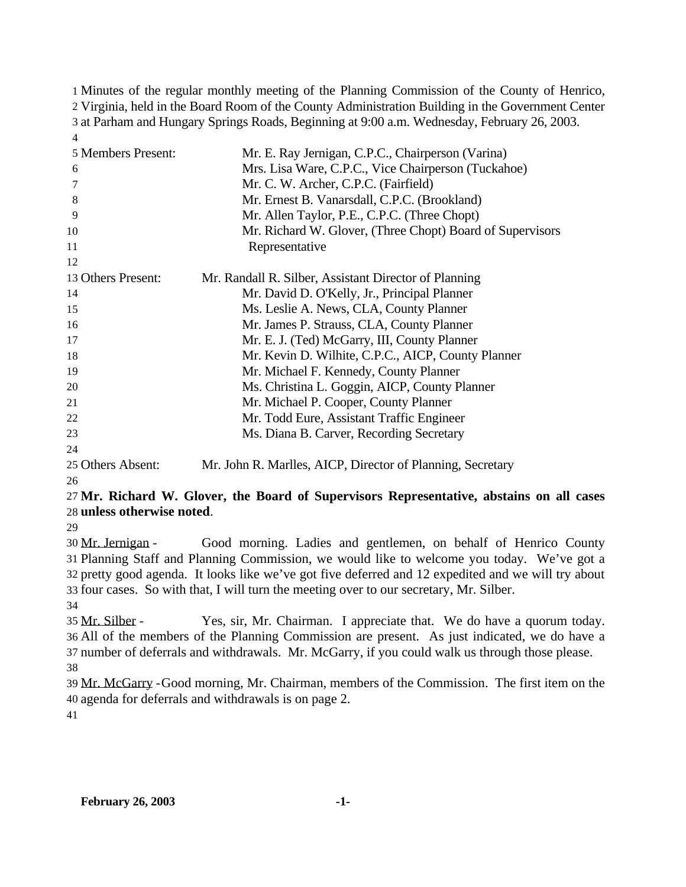Minutes of the regular monthly meeting of the Planning Commission of the County of Henrico, Virginia, held in the Board Room of the County Administration Building in the Government Center at Parham and Hungary Springs Roads, Beginning at 9:00 a.m. Wednesday, February 26, 2003. 

| 5 Members Present: | Mr. E. Ray Jernigan, C.P.C., Chairperson (Varina)          |
|--------------------|------------------------------------------------------------|
| 6                  | Mrs. Lisa Ware, C.P.C., Vice Chairperson (Tuckahoe)        |
| 7                  | Mr. C. W. Archer, C.P.C. (Fairfield)                       |
| 8                  | Mr. Ernest B. Vanarsdall, C.P.C. (Brookland)               |
| 9                  | Mr. Allen Taylor, P.E., C.P.C. (Three Chopt)               |
| 10                 | Mr. Richard W. Glover, (Three Chopt) Board of Supervisors  |
| 11                 | Representative                                             |
| 12                 |                                                            |
| 13 Others Present: | Mr. Randall R. Silber, Assistant Director of Planning      |
| 14                 | Mr. David D. O'Kelly, Jr., Principal Planner               |
| 15                 | Ms. Leslie A. News, CLA, County Planner                    |
| 16                 | Mr. James P. Strauss, CLA, County Planner                  |
| 17                 | Mr. E. J. (Ted) McGarry, III, County Planner               |
| 18                 | Mr. Kevin D. Wilhite, C.P.C., AICP, County Planner         |
| 19                 | Mr. Michael F. Kennedy, County Planner                     |
| 20                 | Ms. Christina L. Goggin, AICP, County Planner              |
| 21                 | Mr. Michael P. Cooper, County Planner                      |
| 22                 | Mr. Todd Eure, Assistant Traffic Engineer                  |
| 23                 | Ms. Diana B. Carver, Recording Secretary                   |
| 24                 |                                                            |
| 25 Others Absent:  | Mr. John R. Marlles, AICP, Director of Planning, Secretary |

### **Mr. Richard W. Glover, the Board of Supervisors Representative, abstains on all cases unless otherwise noted**.

 Mr. Jernigan - Good morning. Ladies and gentlemen, on behalf of Henrico County Planning Staff and Planning Commission, we would like to welcome you today. We've got a pretty good agenda. It looks like we've got five deferred and 12 expedited and we will try about four cases. So with that, I will turn the meeting over to our secretary, Mr. Silber.

 Mr. Silber - Yes, sir, Mr. Chairman. I appreciate that. We do have a quorum today. All of the members of the Planning Commission are present. As just indicated, we do have a number of deferrals and withdrawals. Mr. McGarry, if you could walk us through those please. 

 Mr. McGarry -Good morning, Mr. Chairman, members of the Commission. The first item on the agenda for deferrals and withdrawals is on page 2.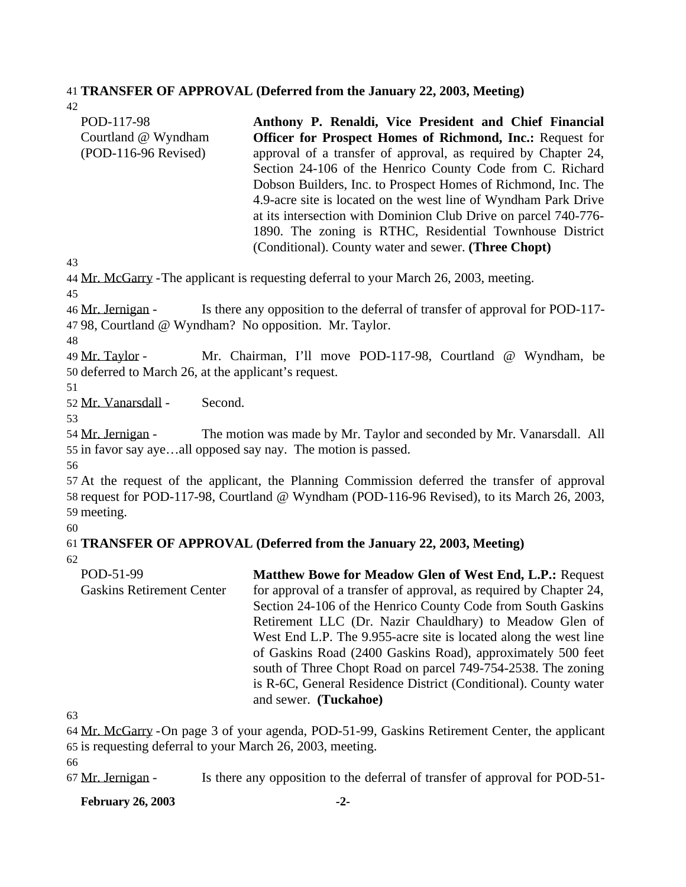#### 41 **TRANSFER OF APPROVAL (Deferred from the January 22, 2003, Meeting)**

42

| POD-117-98             | Anthony P. Renaldi, Vice President and Chief Financial           |
|------------------------|------------------------------------------------------------------|
| Courtland @ Wyndham    | <b>Officer for Prospect Homes of Richmond, Inc.: Request for</b> |
| $(POD-116-96$ Revised) | approval of a transfer of approval, as required by Chapter 24,   |
|                        | Section 24-106 of the Henrico County Code from C. Richard        |
|                        | Dobson Builders, Inc. to Prospect Homes of Richmond, Inc. The    |
|                        | 4.9-acre site is located on the west line of Wyndham Park Drive  |
|                        | at its intersection with Dominion Club Drive on parcel 740-776-  |
|                        | 1890. The zoning is RTHC, Residential Townhouse District         |
|                        | (Conditional). County water and sewer. (Three Chopt)             |

43

44 Mr. McGarry -The applicant is requesting deferral to your March 26, 2003, meeting.

45

46 Mr. Jernigan - Is there any opposition to the deferral of transfer of approval for POD-117- 47 98, Courtland @ Wyndham? No opposition. Mr. Taylor.

48

49 Mr. Taylor - Mr. Chairman, I'll move POD-117-98, Courtland @ Wyndham, be 50 deferred to March 26, at the applicant's request.

51

52 Mr. Vanarsdall - Second.

53

54 Mr. Jernigan - The motion was made by Mr. Taylor and seconded by Mr. Vanarsdall. All 55 in favor say aye…all opposed say nay. The motion is passed.

56

57 At the request of the applicant, the Planning Commission deferred the transfer of approval 58 request for POD-117-98, Courtland @ Wyndham (POD-116-96 Revised), to its March 26, 2003, 59 meeting.

60

#### 61 **TRANSFER OF APPROVAL (Deferred from the January 22, 2003, Meeting)** 62

POD-51-99 Gaskins Retirement Center **Matthew Bowe for Meadow Glen of West End, L.P.:** Request for approval of a transfer of approval, as required by Chapter 24, Section 24-106 of the Henrico County Code from South Gaskins Retirement LLC (Dr. Nazir Chauldhary) to Meadow Glen of West End L.P. The 9.955-acre site is located along the west line of Gaskins Road (2400 Gaskins Road), approximately 500 feet south of Three Chopt Road on parcel 749-754-2538. The zoning is R-6C, General Residence District (Conditional). County water and sewer. **(Tuckahoe)**

63

64 Mr. McGarry -On page 3 of your agenda, POD-51-99, Gaskins Retirement Center, the applicant 65 is requesting deferral to your March 26, 2003, meeting.

66

67 Mr. Jernigan - Is there any opposition to the deferral of transfer of approval for POD-51-

**February 26, 2003 -2-**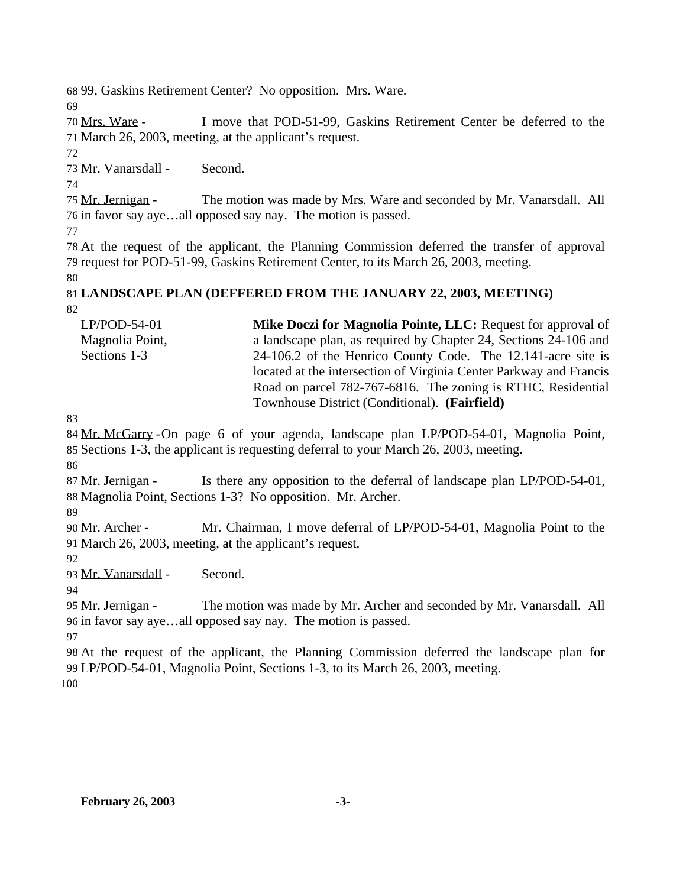99, Gaskins Retirement Center? No opposition. Mrs. Ware.

 Mrs. Ware - I move that POD-51-99, Gaskins Retirement Center be deferred to the March 26, 2003, meeting, at the applicant's request.

Mr. Vanarsdall - Second.

 Mr. Jernigan - The motion was made by Mrs. Ware and seconded by Mr. Vanarsdall. All in favor say aye…all opposed say nay. The motion is passed.

 At the request of the applicant, the Planning Commission deferred the transfer of approval request for POD-51-99, Gaskins Retirement Center, to its March 26, 2003, meeting.

#### **LANDSCAPE PLAN (DEFFERED FROM THE JANUARY 22, 2003, MEETING)**

LP/POD-54-01 Magnolia Point, Sections 1-3 **Mike Doczi for Magnolia Pointe, LLC:** Request for approval of a landscape plan, as required by Chapter 24, Sections 24-106 and 24-106.2 of the Henrico County Code. The 12.141-acre site is located at the intersection of Virginia Center Parkway and Francis Road on parcel 782-767-6816. The zoning is RTHC, Residential Townhouse District (Conditional). **(Fairfield)**

 Mr. McGarry -On page 6 of your agenda, landscape plan LP/POD-54-01, Magnolia Point, Sections 1-3, the applicant is requesting deferral to your March 26, 2003, meeting.

87 Mr. Jernigan - Is there any opposition to the deferral of landscape plan LP/POD-54-01, Magnolia Point, Sections 1-3? No opposition. Mr. Archer.

 Mr. Archer - Mr. Chairman, I move deferral of LP/POD-54-01, Magnolia Point to the March 26, 2003, meeting, at the applicant's request.

Mr. Vanarsdall - Second.

95 Mr. Jernigan - The motion was made by Mr. Archer and seconded by Mr. Vanarsdall. All in favor say aye…all opposed say nay. The motion is passed.

 At the request of the applicant, the Planning Commission deferred the landscape plan for LP/POD-54-01, Magnolia Point, Sections 1-3, to its March 26, 2003, meeting.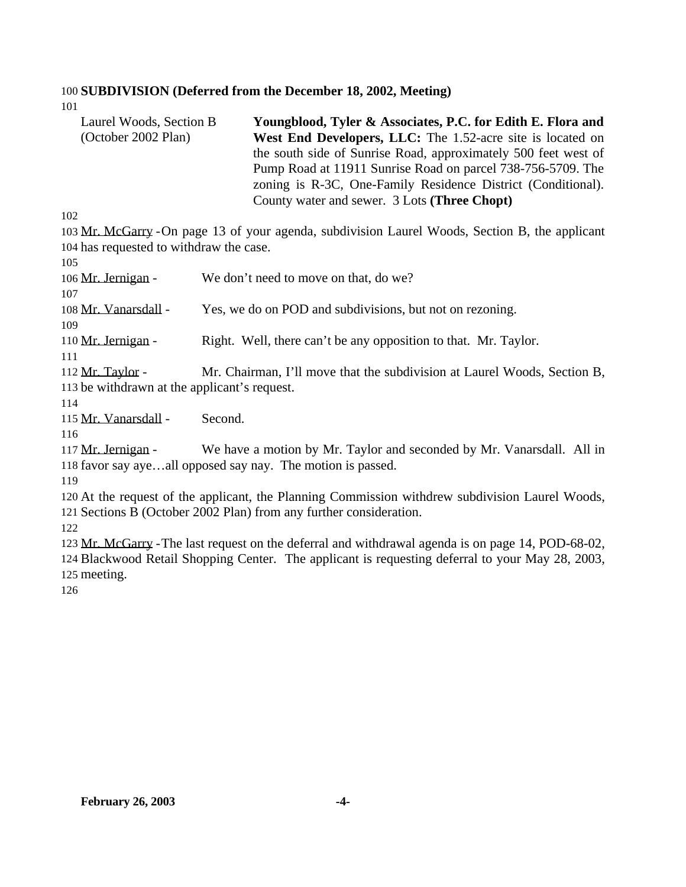# **SUBDIVISION (Deferred from the December 18, 2002, Meeting)**

| Laurel Woods, Section B<br>(October 2002 Plan)                                                   | Youngblood, Tyler & Associates, P.C. for Edith E. Flora and<br>West End Developers, LLC: The 1.52-acre site is located on<br>the south side of Sunrise Road, approximately 500 feet west of<br>Pump Road at 11911 Sunrise Road on parcel 738-756-5709. The<br>zoning is R-3C, One-Family Residence District (Conditional).<br>County water and sewer. 3 Lots (Three Chopt) |
|--------------------------------------------------------------------------------------------------|----------------------------------------------------------------------------------------------------------------------------------------------------------------------------------------------------------------------------------------------------------------------------------------------------------------------------------------------------------------------------|
| 102                                                                                              |                                                                                                                                                                                                                                                                                                                                                                            |
|                                                                                                  | 103 Mr. McGarry - On page 13 of your agenda, subdivision Laurel Woods, Section B, the applicant                                                                                                                                                                                                                                                                            |
| 104 has requested to withdraw the case.                                                          |                                                                                                                                                                                                                                                                                                                                                                            |
| 105                                                                                              |                                                                                                                                                                                                                                                                                                                                                                            |
| 106 Mr. Jernigan -                                                                               | We don't need to move on that, do we?                                                                                                                                                                                                                                                                                                                                      |
| 107                                                                                              |                                                                                                                                                                                                                                                                                                                                                                            |
| 108 Mr. Vanarsdall -                                                                             | Yes, we do on POD and subdivisions, but not on rezoning.                                                                                                                                                                                                                                                                                                                   |
| 109                                                                                              |                                                                                                                                                                                                                                                                                                                                                                            |
| 110 Mr. Jernigan -                                                                               | Right. Well, there can't be any opposition to that. Mr. Taylor.                                                                                                                                                                                                                                                                                                            |
| 111                                                                                              |                                                                                                                                                                                                                                                                                                                                                                            |
| 112 Mr. Taylor -                                                                                 | Mr. Chairman, I'll move that the subdivision at Laurel Woods, Section B,                                                                                                                                                                                                                                                                                                   |
| 113 be withdrawn at the applicant's request.                                                     |                                                                                                                                                                                                                                                                                                                                                                            |
| 114                                                                                              |                                                                                                                                                                                                                                                                                                                                                                            |
| 115 Mr. Vanarsdall -<br>Second.                                                                  |                                                                                                                                                                                                                                                                                                                                                                            |
| 116                                                                                              |                                                                                                                                                                                                                                                                                                                                                                            |
| 117 Mr. Jernigan -                                                                               | We have a motion by Mr. Taylor and seconded by Mr. Vanarsdall. All in                                                                                                                                                                                                                                                                                                      |
| 118 favor say ayeall opposed say nay. The motion is passed.<br>119                               |                                                                                                                                                                                                                                                                                                                                                                            |
|                                                                                                  | 120 At the request of the applicant, the Planning Commission withdrew subdivision Laurel Woods,                                                                                                                                                                                                                                                                            |
| 121 Sections B (October 2002 Plan) from any further consideration.                               |                                                                                                                                                                                                                                                                                                                                                                            |
| 122                                                                                              |                                                                                                                                                                                                                                                                                                                                                                            |
|                                                                                                  | 123 Mr. McGarry - The last request on the deferral and withdrawal agenda is on page 14, POD-68-02,                                                                                                                                                                                                                                                                         |
| 124 Blackwood Retail Shopping Center. The applicant is requesting deferral to your May 28, 2003, |                                                                                                                                                                                                                                                                                                                                                                            |
| 125 meeting.                                                                                     |                                                                                                                                                                                                                                                                                                                                                                            |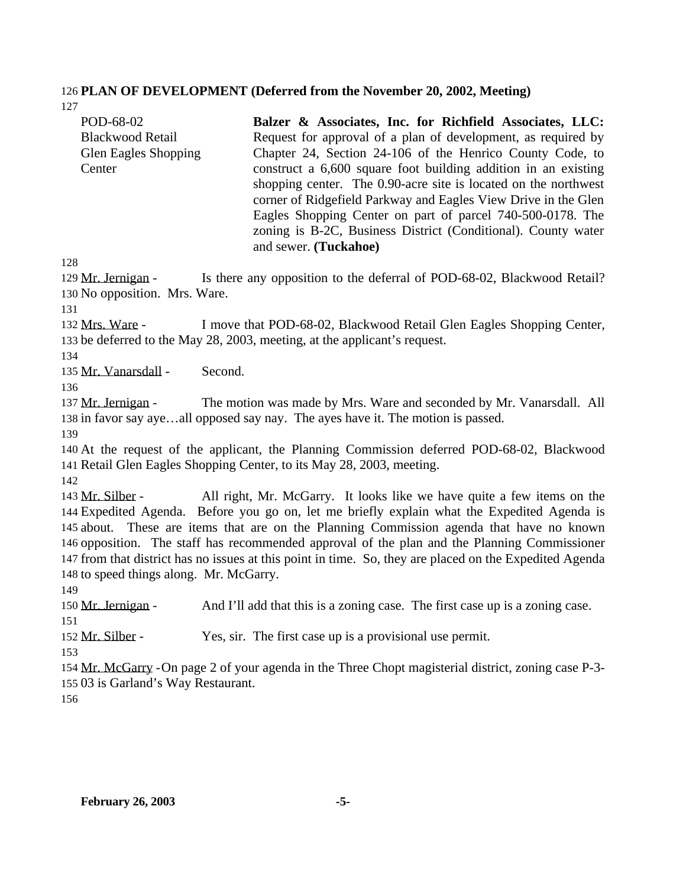#### **PLAN OF DEVELOPMENT (Deferred from the November 20, 2002, Meeting)**

| POD-68-02                   | Balzer & Associates, Inc. for Richfield Associates, LLC:        |
|-----------------------------|-----------------------------------------------------------------|
| <b>Blackwood Retail</b>     | Request for approval of a plan of development, as required by   |
| <b>Glen Eagles Shopping</b> | Chapter 24, Section 24-106 of the Henrico County Code, to       |
| Center                      | construct a 6,600 square foot building addition in an existing  |
|                             | shopping center. The 0.90-acre site is located on the northwest |
|                             | corner of Ridgefield Parkway and Eagles View Drive in the Glen  |
|                             | Eagles Shopping Center on part of parcel 740-500-0178. The      |
|                             | zoning is B-2C, Business District (Conditional). County water   |

129 Mr. Jernigan - Is there any opposition to the deferral of POD-68-02, Blackwood Retail? No opposition. Mrs. Ware.

and sewer. **(Tuckahoe)**

 Mrs. Ware - I move that POD-68-02, Blackwood Retail Glen Eagles Shopping Center, be deferred to the May 28, 2003, meeting, at the applicant's request.

Mr. Vanarsdall - Second.

137 Mr. Jernigan - The motion was made by Mrs. Ware and seconded by Mr. Vanarsdall. All in favor say aye…all opposed say nay. The ayes have it. The motion is passed.

 At the request of the applicant, the Planning Commission deferred POD-68-02, Blackwood Retail Glen Eagles Shopping Center, to its May 28, 2003, meeting.

 Mr. Silber - All right, Mr. McGarry. It looks like we have quite a few items on the Expedited Agenda. Before you go on, let me briefly explain what the Expedited Agenda is about. These are items that are on the Planning Commission agenda that have no known opposition. The staff has recommended approval of the plan and the Planning Commissioner from that district has no issues at this point in time. So, they are placed on the Expedited Agenda to speed things along. Mr. McGarry.

150 Mr. Jernigan - And I'll add that this is a zoning case. The first case up is a zoning case. 

Mr. Silber - Yes, sir. The first case up is a provisional use permit.

 Mr. McGarry -On page 2 of your agenda in the Three Chopt magisterial district, zoning case P-3- 03 is Garland's Way Restaurant.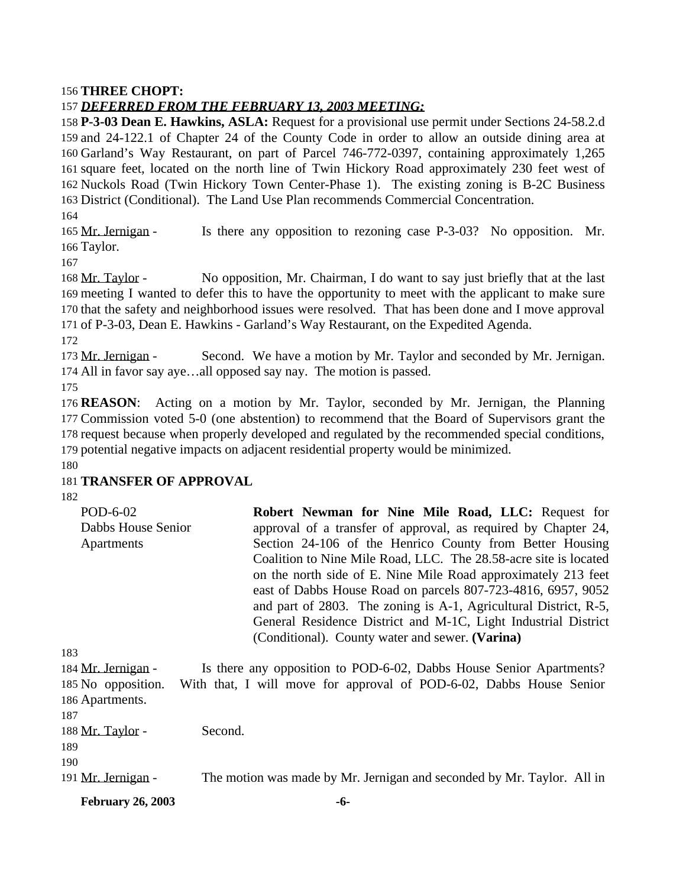#### **THREE CHOPT:**

#### *DEFERRED FROM THE FEBRUARY 13, 2003 MEETING:*

 **P-3-03 Dean E. Hawkins, ASLA:** Request for a provisional use permit under Sections 24-58.2.d and 24-122.1 of Chapter 24 of the County Code in order to allow an outside dining area at Garland's Way Restaurant, on part of Parcel 746-772-0397, containing approximately 1,265 square feet, located on the north line of Twin Hickory Road approximately 230 feet west of Nuckols Road (Twin Hickory Town Center-Phase 1). The existing zoning is B-2C Business District (Conditional). The Land Use Plan recommends Commercial Concentration.

 Mr. Jernigan - Is there any opposition to rezoning case P-3-03? No opposition. Mr. Taylor.

168 Mr. Taylor - No opposition, Mr. Chairman, I do want to say just briefly that at the last meeting I wanted to defer this to have the opportunity to meet with the applicant to make sure that the safety and neighborhood issues were resolved. That has been done and I move approval of P-3-03, Dean E. Hawkins - Garland's Way Restaurant, on the Expedited Agenda.

173 Mr. Jernigan - Second. We have a motion by Mr. Taylor and seconded by Mr. Jernigan. All in favor say aye…all opposed say nay. The motion is passed.

 **REASON**: Acting on a motion by Mr. Taylor, seconded by Mr. Jernigan, the Planning Commission voted 5-0 (one abstention) to recommend that the Board of Supervisors grant the request because when properly developed and regulated by the recommended special conditions, potential negative impacts on adjacent residential property would be minimized.

#### **TRANSFER OF APPROVAL**

| POD-6-02           | Robert Newman for Nine Mile Road, LLC: Request for               |
|--------------------|------------------------------------------------------------------|
| Dabbs House Senior | approval of a transfer of approval, as required by Chapter 24,   |
| Apartments         | Section 24-106 of the Henrico County from Better Housing         |
|                    | Coalition to Nine Mile Road, LLC. The 28.58-acre site is located |
|                    | on the north side of E. Nine Mile Road approximately 213 feet    |
|                    | east of Dabbs House Road on parcels 807-723-4816, 6957, 9052     |
|                    | and part of 2803. The zoning is A-1, Agricultural District, R-5, |
|                    | General Residence District and M-1C, Light Industrial District   |
|                    | (Conditional). County water and sewer. (Varina)                  |

 Mr. Jernigan - Is there any opposition to POD-6-02, Dabbs House Senior Apartments? No opposition. With that, I will move for approval of POD-6-02, Dabbs House Senior Apartments. 188 Mr. Taylor - Second. 

191 Mr. Jernigan - The motion was made by Mr. Jernigan and seconded by Mr. Taylor. All in

**February 26, 2003 -6-**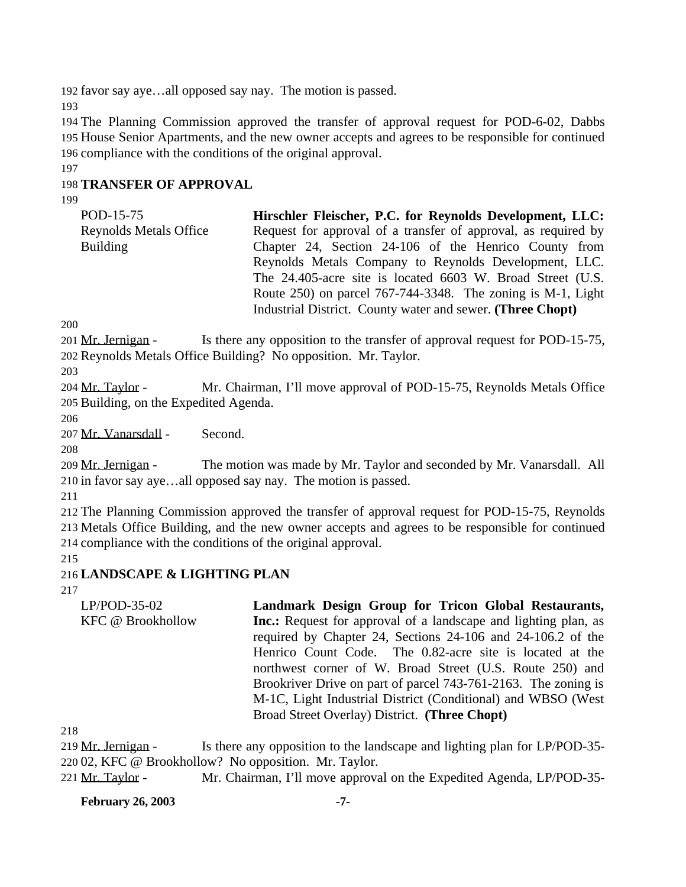192 favor say aye…all opposed say nay. The motion is passed.

193

194 The Planning Commission approved the transfer of approval request for POD-6-02, Dabbs 195 House Senior Apartments, and the new owner accepts and agrees to be responsible for continued 196 compliance with the conditions of the original approval.

197

## 198 **TRANSFER OF APPROVAL**

199

| POD-15-75                     | Hirschler Fleischer, P.C. for Reynolds Development, LLC:          |
|-------------------------------|-------------------------------------------------------------------|
| <b>Reynolds Metals Office</b> | Request for approval of a transfer of approval, as required by    |
| <b>Building</b>               | Chapter 24, Section 24-106 of the Henrico County from             |
|                               | Reynolds Metals Company to Reynolds Development, LLC.             |
|                               | The 24.405-acre site is located 6603 W. Broad Street (U.S.        |
|                               | Route $250$ ) on parcel $767-744-3348$ . The zoning is M-1, Light |
|                               | Industrial District. County water and sewer. (Three Chopt)        |

200

201 Mr. Jernigan - Is there any opposition to the transfer of approval request for POD-15-75, 202 Reynolds Metals Office Building? No opposition. Mr. Taylor.

203

204 Mr. Taylor - Mr. Chairman, I'll move approval of POD-15-75, Reynolds Metals Office 205 Building, on the Expedited Agenda.

206

207 Mr. Vanarsdall - Second.

208

209 Mr. Jernigan - The motion was made by Mr. Taylor and seconded by Mr. Vanarsdall. All 210 in favor say aye…all opposed say nay. The motion is passed.

211

212 The Planning Commission approved the transfer of approval request for POD-15-75, Reynolds 213 Metals Office Building, and the new owner accepts and agrees to be responsible for continued 214 compliance with the conditions of the original approval.

215

### 216 **LANDSCAPE & LIGHTING PLAN**

217

LP/POD-35-02 KFC @ Brookhollow **Landmark Design Group for Tricon Global Restaurants, Inc.:** Request for approval of a landscape and lighting plan, as required by Chapter 24, Sections 24-106 and 24-106.2 of the Henrico Count Code. The 0.82-acre site is located at the northwest corner of W. Broad Street (U.S. Route 250) and Brookriver Drive on part of parcel 743-761-2163. The zoning is M-1C, Light Industrial District (Conditional) and WBSO (West Broad Street Overlay) District. **(Three Chopt)**

218

219 Mr. Jernigan - Is there any opposition to the landscape and lighting plan for LP/POD-35-220 02, KFC @ Brookhollow? No opposition. Mr. Taylor.

221 Mr. Taylor - Mr. Chairman, I'll move approval on the Expedited Agenda, LP/POD-35-

**February 26, 2003 -7-**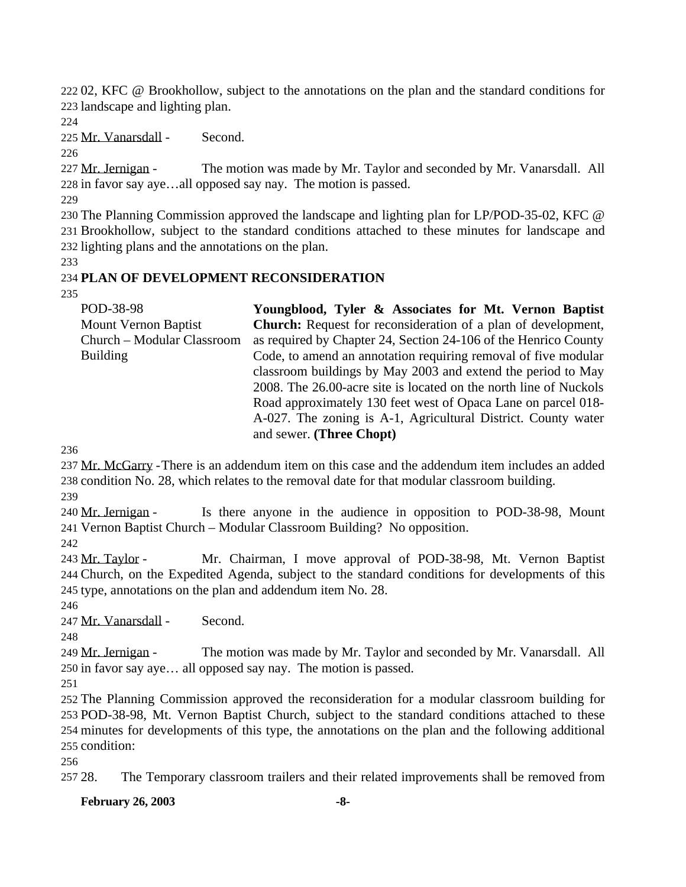02, KFC @ Brookhollow, subject to the annotations on the plan and the standard conditions for landscape and lighting plan.

Mr. Vanarsdall - Second.

227 Mr. Jernigan - The motion was made by Mr. Taylor and seconded by Mr. Vanarsdall. All in favor say aye…all opposed say nay. The motion is passed.

 The Planning Commission approved the landscape and lighting plan for LP/POD-35-02, KFC @ Brookhollow, subject to the standard conditions attached to these minutes for landscape and lighting plans and the annotations on the plan.

## **PLAN OF DEVELOPMENT RECONSIDERATION**

| POD-38-98                   | Youngblood, Tyler & Associates for Mt. Vernon Baptist                |
|-----------------------------|----------------------------------------------------------------------|
| <b>Mount Vernon Baptist</b> | <b>Church:</b> Request for reconsideration of a plan of development, |
| Church - Modular Classroom  | as required by Chapter 24, Section 24-106 of the Henrico County      |
| <b>Building</b>             | Code, to amend an annotation requiring removal of five modular       |
|                             | classroom buildings by May 2003 and extend the period to May         |
|                             | 2008. The 26.00-acre site is located on the north line of Nuckols    |
|                             | Road approximately 130 feet west of Opaca Lane on parcel 018-        |
|                             | A-027. The zoning is A-1, Agricultural District. County water        |
|                             | and sewer. (Three Chopt)                                             |

 Mr. McGarry -There is an addendum item on this case and the addendum item includes an added condition No. 28, which relates to the removal date for that modular classroom building.

 Mr. Jernigan - Is there anyone in the audience in opposition to POD-38-98, Mount Vernon Baptist Church – Modular Classroom Building? No opposition.

 Mr. Taylor - Mr. Chairman, I move approval of POD-38-98, Mt. Vernon Baptist Church, on the Expedited Agenda, subject to the standard conditions for developments of this type, annotations on the plan and addendum item No. 28.

Mr. Vanarsdall - Second.

249 Mr. Jernigan - The motion was made by Mr. Taylor and seconded by Mr. Vanarsdall. All in favor say aye… all opposed say nay. The motion is passed.

 The Planning Commission approved the reconsideration for a modular classroom building for POD-38-98, Mt. Vernon Baptist Church, subject to the standard conditions attached to these minutes for developments of this type, the annotations on the plan and the following additional condition:

28. The Temporary classroom trailers and their related improvements shall be removed from

**February 26, 2003 -8-**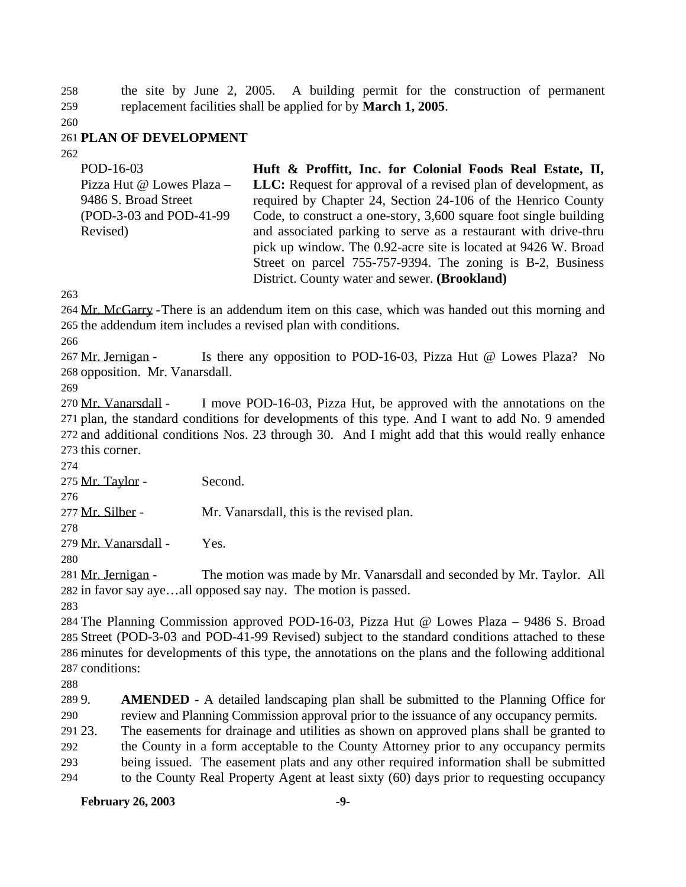the site by June 2, 2005. A building permit for the construction of permanent replacement facilities shall be applied for by **March 1, 2005**.

#### **PLAN OF DEVELOPMENT**

| POD-16-03                 | Huft & Proffitt, Inc. for Colonial Foods Real Estate, II,             |
|---------------------------|-----------------------------------------------------------------------|
| Pizza Hut @ Lowes Plaza - | <b>LLC:</b> Request for approval of a revised plan of development, as |
| 9486 S. Broad Street      | required by Chapter 24, Section 24-106 of the Henrico County          |
| (POD-3-03 and POD-41-99)  | Code, to construct a one-story, 3,600 square foot single building     |
| Revised)                  | and associated parking to serve as a restaurant with drive-thru       |
|                           | pick up window. The 0.92-acre site is located at 9426 W. Broad        |
|                           | Street on parcel 755-757-9394. The zoning is B-2, Business            |
|                           | District. County water and sewer. (Brookland)                         |

264 Mr. McGarry - There is an addendum item on this case, which was handed out this morning and the addendum item includes a revised plan with conditions.

 Mr. Jernigan - Is there any opposition to POD-16-03, Pizza Hut @ Lowes Plaza? No opposition. Mr. Vanarsdall.

 Mr. Vanarsdall - I move POD-16-03, Pizza Hut, be approved with the annotations on the plan, the standard conditions for developments of this type. And I want to add No. 9 amended and additional conditions Nos. 23 through 30. And I might add that this would really enhance this corner.

Mr. Taylor - Second.

277 Mr. Silber - Mr. Vanarsdall, this is the revised plan.

Mr. Vanarsdall - Yes.

281 Mr. Jernigan - The motion was made by Mr. Vanarsdall and seconded by Mr. Taylor. All in favor say aye…all opposed say nay. The motion is passed. 

 The Planning Commission approved POD-16-03, Pizza Hut @ Lowes Plaza – 9486 S. Broad Street (POD-3-03 and POD-41-99 Revised) subject to the standard conditions attached to these minutes for developments of this type, the annotations on the plans and the following additional conditions:

 9. **AMENDED** - A detailed landscaping plan shall be submitted to the Planning Office for review and Planning Commission approval prior to the issuance of any occupancy permits.

23. The easements for drainage and utilities as shown on approved plans shall be granted to

 the County in a form acceptable to the County Attorney prior to any occupancy permits being issued. The easement plats and any other required information shall be submitted

to the County Real Property Agent at least sixty (60) days prior to requesting occupancy

### **February 26, 2003** -9-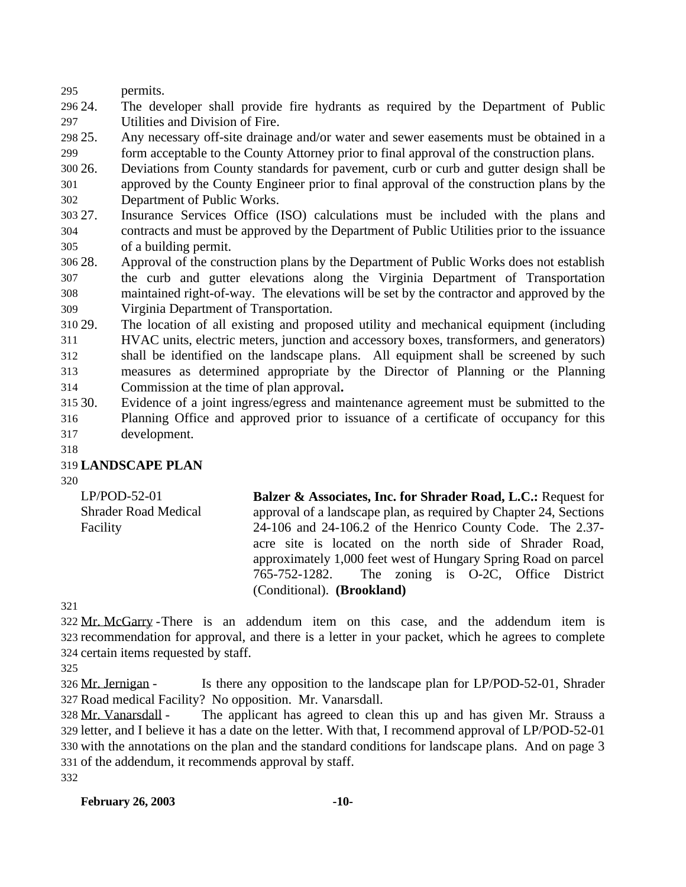permits.

 24. The developer shall provide fire hydrants as required by the Department of Public Utilities and Division of Fire.

 25. Any necessary off-site drainage and/or water and sewer easements must be obtained in a form acceptable to the County Attorney prior to final approval of the construction plans.

 26. Deviations from County standards for pavement, curb or curb and gutter design shall be approved by the County Engineer prior to final approval of the construction plans by the

Department of Public Works.

 27. Insurance Services Office (ISO) calculations must be included with the plans and contracts and must be approved by the Department of Public Utilities prior to the issuance of a building permit.

 28. Approval of the construction plans by the Department of Public Works does not establish the curb and gutter elevations along the Virginia Department of Transportation maintained right-of-way. The elevations will be set by the contractor and approved by the Virginia Department of Transportation.

 29. The location of all existing and proposed utility and mechanical equipment (including HVAC units, electric meters, junction and accessory boxes, transformers, and generators) shall be identified on the landscape plans. All equipment shall be screened by such measures as determined appropriate by the Director of Planning or the Planning Commission at the time of plan approval**.** 

- 30. Evidence of a joint ingress/egress and maintenance agreement must be submitted to the Planning Office and approved prior to issuance of a certificate of occupancy for this development.
- 

## **LANDSCAPE PLAN**

LP/POD-52-01 Shrader Road Medical Facility **Balzer & Associates, Inc. for Shrader Road, L.C.:** Request for approval of a landscape plan, as required by Chapter 24, Sections 24-106 and 24-106.2 of the Henrico County Code. The 2.37 acre site is located on the north side of Shrader Road, approximately 1,000 feet west of Hungary Spring Road on parcel 765-752-1282. The zoning is O-2C, Office District (Conditional). **(Brookland)**

 Mr. McGarry -There is an addendum item on this case, and the addendum item is recommendation for approval, and there is a letter in your packet, which he agrees to complete certain items requested by staff.

 Mr. Jernigan - Is there any opposition to the landscape plan for LP/POD-52-01, Shrader Road medical Facility? No opposition. Mr. Vanarsdall.

 Mr. Vanarsdall - The applicant has agreed to clean this up and has given Mr. Strauss a letter, and I believe it has a date on the letter. With that, I recommend approval of LP/POD-52-01 with the annotations on the plan and the standard conditions for landscape plans. And on page 3 of the addendum, it recommends approval by staff.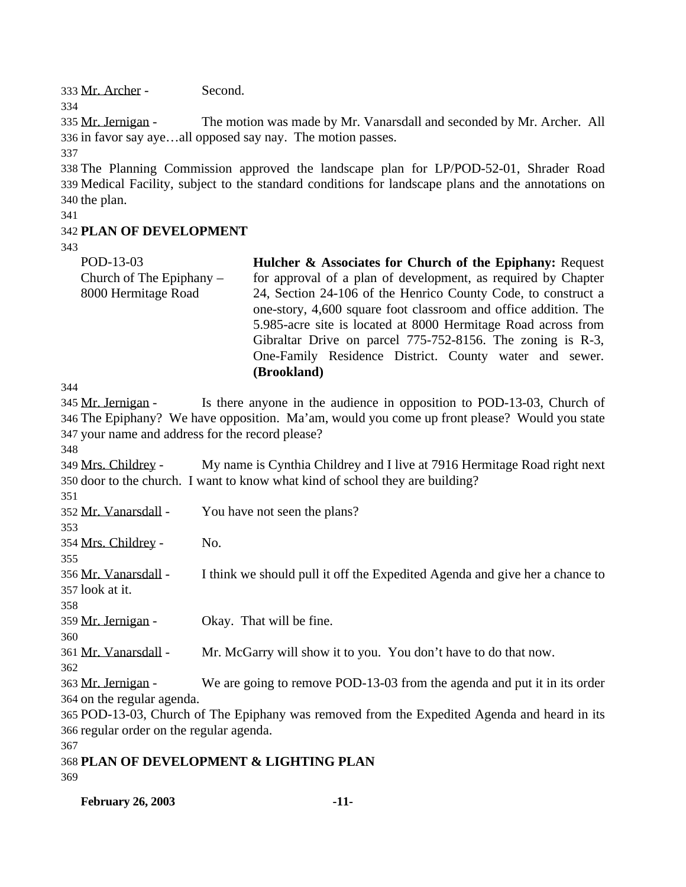333 Mr. Archer - Second.

334

335 Mr. Jernigan - The motion was made by Mr. Vanarsdall and seconded by Mr. Archer. All 336 in favor say aye…all opposed say nay. The motion passes.

337

338 The Planning Commission approved the landscape plan for LP/POD-52-01, Shrader Road 339 Medical Facility, subject to the standard conditions for landscape plans and the annotations on 340 the plan.

341

## 342 **PLAN OF DEVELOPMENT**

343

| POD-13-03                  | Hulcher & Associates for Church of the Epiphany: Request              |
|----------------------------|-----------------------------------------------------------------------|
| Church of The Epiphany $-$ | for approval of a plan of development, as required by Chapter         |
| 8000 Hermitage Road        | 24, Section 24-106 of the Henrico County Code, to construct a         |
|                            | one-story, 4,600 square foot classroom and office addition. The       |
|                            | 5.985-acre site is located at 8000 Hermitage Road across from         |
|                            | Gibraltar Drive on parcel 775-752-8156. The zoning is R-3,            |
|                            | One-Family Residence District. County water and sewer.                |
|                            | (Brookland)                                                           |
| 4                          |                                                                       |
| 5 Mr. Jernigan -           | Is there anyone in the audience in opposition to POD-13-03, Church of |
|                            |                                                                       |

344

| 345 Mr. Jernigan -                               | Is there anyone in the audience in opposition to POD-13-03, Church of                        |  |  |
|--------------------------------------------------|----------------------------------------------------------------------------------------------|--|--|
|                                                  | 346 The Epiphany? We have opposition. Ma'am, would you come up front please? Would you state |  |  |
| 347 your name and address for the record please? |                                                                                              |  |  |
| 348                                              |                                                                                              |  |  |
| 349 Mrs. Childrey -                              | My name is Cynthia Childrey and I live at 7916 Hermitage Road right next                     |  |  |
|                                                  | 350 door to the church. I want to know what kind of school they are building?                |  |  |
| 351                                              |                                                                                              |  |  |
| 352 Mr. Vanarsdall -                             | You have not seen the plans?                                                                 |  |  |
| 353                                              |                                                                                              |  |  |
| 354 Mrs. Childrey -                              | No.                                                                                          |  |  |
| 355                                              |                                                                                              |  |  |
| 356 Mr. Vanarsdall -                             | I think we should pull it off the Expedited Agenda and give her a chance to                  |  |  |
| 357 look at it.                                  |                                                                                              |  |  |
| 358                                              |                                                                                              |  |  |
| 359 Mr. Jernigan -                               | Okay. That will be fine.                                                                     |  |  |
| 360                                              |                                                                                              |  |  |
| 361 Mr. Vanarsdall -                             | Mr. McGarry will show it to you. You don't have to do that now.                              |  |  |
| 362                                              |                                                                                              |  |  |
| 363 Mr. Jernigan -                               | We are going to remove POD-13-03 from the agenda and put it in its order                     |  |  |
| 364 on the regular agenda.                       |                                                                                              |  |  |
|                                                  | 365 POD-13-03, Church of The Epiphany was removed from the Expedited Agenda and heard in its |  |  |
| 366 regular order on the regular agenda.         |                                                                                              |  |  |
| 367                                              |                                                                                              |  |  |
|                                                  | 368 PLAN OF DEVELOPMENT & LIGHTING PLAN                                                      |  |  |
| 369                                              |                                                                                              |  |  |

**February 26, 2003 -11-**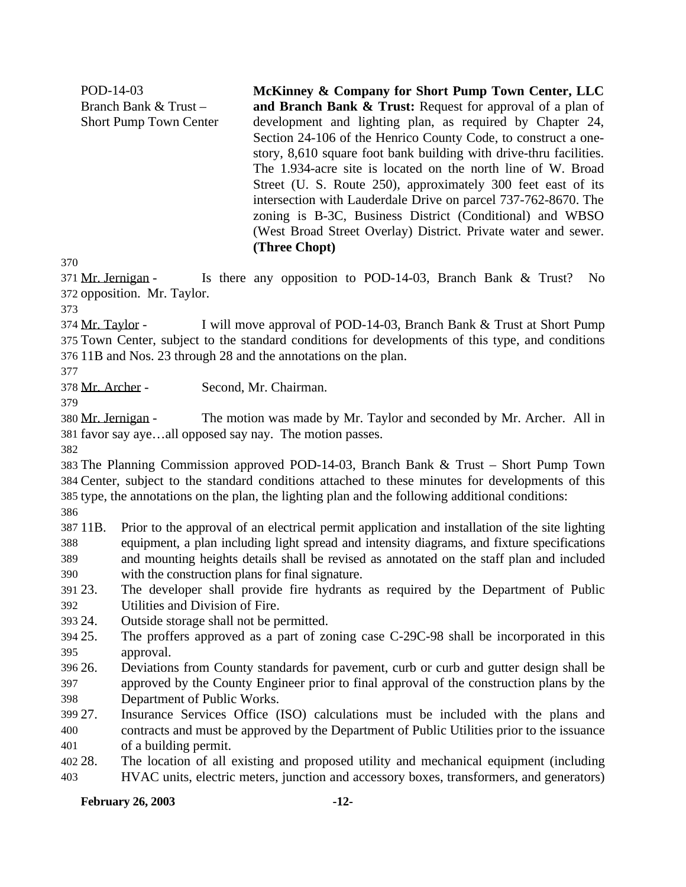POD-14-03 Branch Bank & Trust – Short Pump Town Center **McKinney & Company for Short Pump Town Center, LLC and Branch Bank & Trust:** Request for approval of a plan of development and lighting plan, as required by Chapter 24, Section 24-106 of the Henrico County Code, to construct a onestory, 8,610 square foot bank building with drive-thru facilities. The 1.934-acre site is located on the north line of W. Broad Street (U. S. Route 250), approximately 300 feet east of its intersection with Lauderdale Drive on parcel 737-762-8670. The zoning is B-3C, Business District (Conditional) and WBSO (West Broad Street Overlay) District. Private water and sewer. **(Three Chopt)**

 Mr. Jernigan - Is there any opposition to POD-14-03, Branch Bank & Trust? No opposition. Mr. Taylor.

 Mr. Taylor - I will move approval of POD-14-03, Branch Bank & Trust at Short Pump Town Center, subject to the standard conditions for developments of this type, and conditions 11B and Nos. 23 through 28 and the annotations on the plan.

Mr. Archer - Second, Mr. Chairman.

 Mr. Jernigan - The motion was made by Mr. Taylor and seconded by Mr. Archer. All in favor say aye…all opposed say nay. The motion passes.

 The Planning Commission approved POD-14-03, Branch Bank & Trust – Short Pump Town Center, subject to the standard conditions attached to these minutes for developments of this type, the annotations on the plan, the lighting plan and the following additional conditions: 

 11B. Prior to the approval of an electrical permit application and installation of the site lighting equipment, a plan including light spread and intensity diagrams, and fixture specifications and mounting heights details shall be revised as annotated on the staff plan and included with the construction plans for final signature.

 23. The developer shall provide fire hydrants as required by the Department of Public Utilities and Division of Fire.

24. Outside storage shall not be permitted.

- 25. The proffers approved as a part of zoning case C-29C-98 shall be incorporated in this approval.
- 26. Deviations from County standards for pavement, curb or curb and gutter design shall be approved by the County Engineer prior to final approval of the construction plans by the Department of Public Works.
- 27. Insurance Services Office (ISO) calculations must be included with the plans and contracts and must be approved by the Department of Public Utilities prior to the issuance of a building permit.
- 28. The location of all existing and proposed utility and mechanical equipment (including HVAC units, electric meters, junction and accessory boxes, transformers, and generators)

### **February 26, 2003 -12-**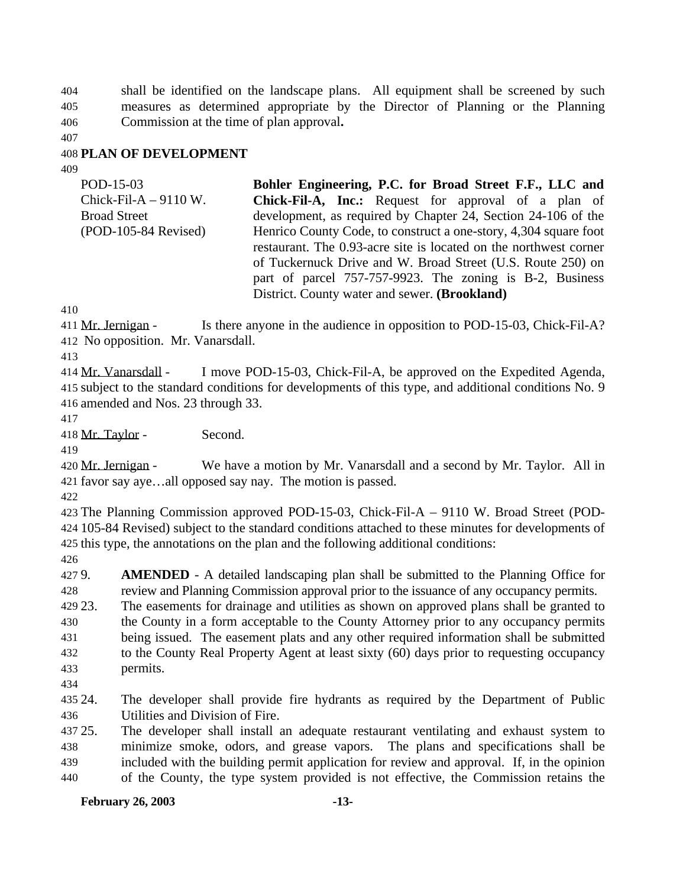shall be identified on the landscape plans. All equipment shall be screened by such measures as determined appropriate by the Director of Planning or the Planning Commission at the time of plan approval**.**

### **PLAN OF DEVELOPMENT**

| POD-15-03                  | Bohler Engineering, P.C. for Broad Street F.F., LLC and           |
|----------------------------|-------------------------------------------------------------------|
| $Chick$ -Fil-A $-$ 9110 W. | <b>Chick-Fil-A, Inc.:</b> Request for approval of a plan of       |
| <b>Broad Street</b>        | development, as required by Chapter 24, Section 24-106 of the     |
| $(POD-105-84$ Revised)     | Henrico County Code, to construct a one-story, 4,304 square foot  |
|                            | restaurant. The 0.93-acre site is located on the northwest corner |
|                            | of Tuckernuck Drive and W. Broad Street (U.S. Route 250) on       |
|                            | part of parcel 757-757-9923. The zoning is B-2, Business          |
|                            | District. County water and sewer. (Brookland)                     |

 Mr. Jernigan - Is there anyone in the audience in opposition to POD-15-03, Chick-Fil-A? No opposition. Mr. Vanarsdall.

 Mr. Vanarsdall - I move POD-15-03, Chick-Fil-A, be approved on the Expedited Agenda, subject to the standard conditions for developments of this type, and additional conditions No. 9 amended and Nos. 23 through 33.

Mr. Taylor - Second.

420 Mr. Jernigan - We have a motion by Mr. Vanarsdall and a second by Mr. Taylor. All in favor say aye…all opposed say nay. The motion is passed.

 The Planning Commission approved POD-15-03, Chick-Fil-A – 9110 W. Broad Street (POD- 105-84 Revised) subject to the standard conditions attached to these minutes for developments of this type, the annotations on the plan and the following additional conditions:

 9. **AMENDED** - A detailed landscaping plan shall be submitted to the Planning Office for review and Planning Commission approval prior to the issuance of any occupancy permits.

 23. The easements for drainage and utilities as shown on approved plans shall be granted to the County in a form acceptable to the County Attorney prior to any occupancy permits being issued. The easement plats and any other required information shall be submitted to the County Real Property Agent at least sixty (60) days prior to requesting occupancy permits.

 24. The developer shall provide fire hydrants as required by the Department of Public Utilities and Division of Fire.

 25. The developer shall install an adequate restaurant ventilating and exhaust system to minimize smoke, odors, and grease vapors. The plans and specifications shall be included with the building permit application for review and approval. If, in the opinion of the County, the type system provided is not effective, the Commission retains the

### **February 26, 2003 -13-**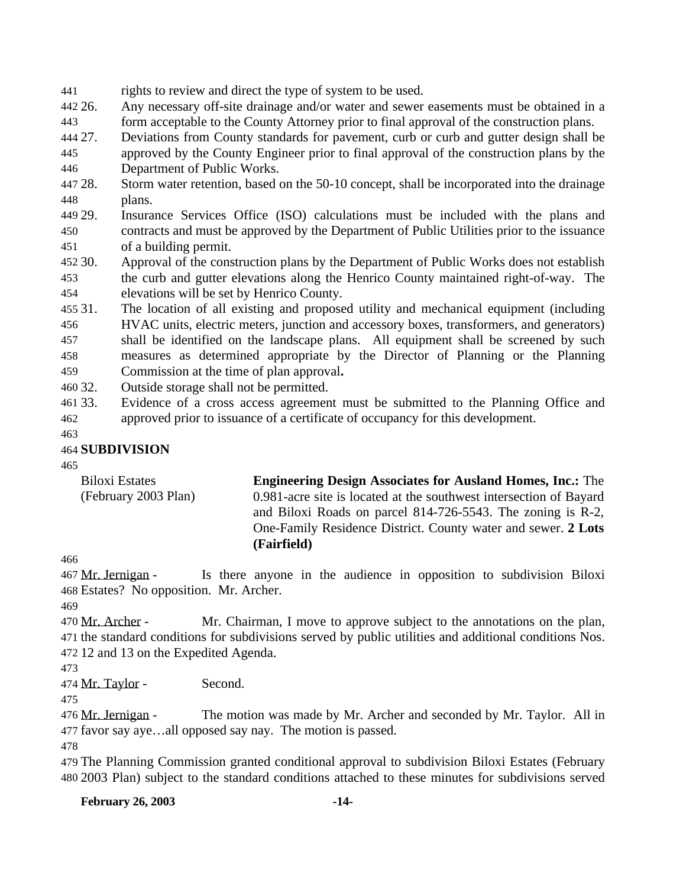rights to review and direct the type of system to be used.

 26. Any necessary off-site drainage and/or water and sewer easements must be obtained in a form acceptable to the County Attorney prior to final approval of the construction plans.

27. Deviations from County standards for pavement, curb or curb and gutter design shall be

 approved by the County Engineer prior to final approval of the construction plans by the Department of Public Works.

 28. Storm water retention, based on the 50-10 concept, shall be incorporated into the drainage plans.

 29. Insurance Services Office (ISO) calculations must be included with the plans and contracts and must be approved by the Department of Public Utilities prior to the issuance of a building permit.

 30. Approval of the construction plans by the Department of Public Works does not establish the curb and gutter elevations along the Henrico County maintained right-of-way. The elevations will be set by Henrico County.

 31. The location of all existing and proposed utility and mechanical equipment (including HVAC units, electric meters, junction and accessory boxes, transformers, and generators) shall be identified on the landscape plans. All equipment shall be screened by such measures as determined appropriate by the Director of Planning or the Planning Commission at the time of plan approval**.** 

- 32. Outside storage shall not be permitted.
- 33. Evidence of a cross access agreement must be submitted to the Planning Office and approved prior to issuance of a certificate of occupancy for this development.

## **SUBDIVISION**

Biloxi Estates (February 2003 Plan) **Engineering Design Associates for Ausland Homes, Inc.:** The 0.981-acre site is located at the southwest intersection of Bayard and Biloxi Roads on parcel 814-726-5543. The zoning is R-2, One-Family Residence District. County water and sewer. **2 Lots (Fairfield)**

 Mr. Jernigan - Is there anyone in the audience in opposition to subdivision Biloxi Estates? No opposition. Mr. Archer.

470 Mr. Archer - Mr. Chairman, I move to approve subject to the annotations on the plan, the standard conditions for subdivisions served by public utilities and additional conditions Nos. 12 and 13 on the Expedited Agenda.

Mr. Taylor - Second.

476 Mr. Jernigan - The motion was made by Mr. Archer and seconded by Mr. Taylor. All in favor say aye…all opposed say nay. The motion is passed.

 The Planning Commission granted conditional approval to subdivision Biloxi Estates (February 2003 Plan) subject to the standard conditions attached to these minutes for subdivisions served

**February 26, 2003 -14-**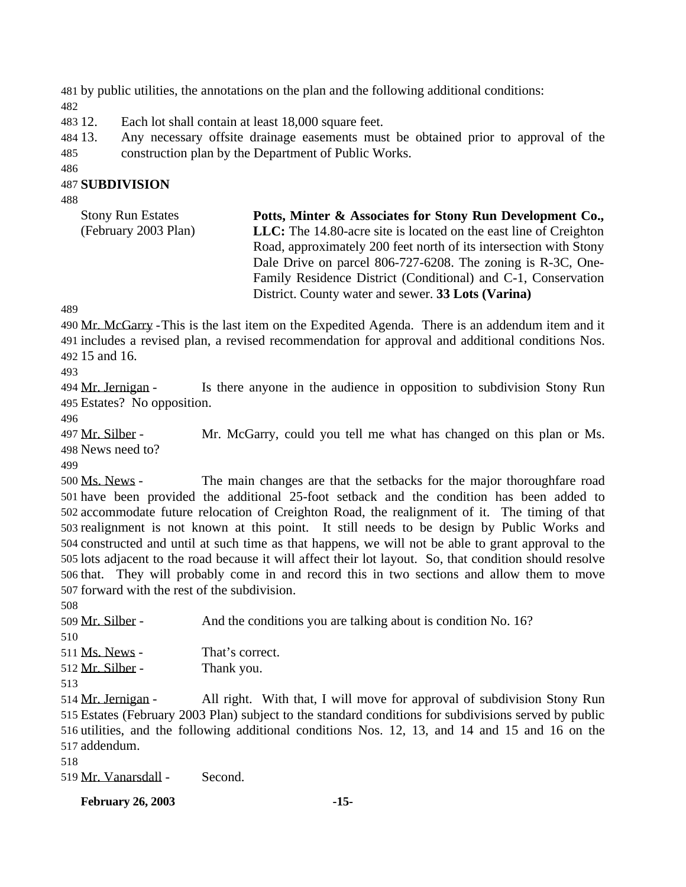by public utilities, the annotations on the plan and the following additional conditions: 

12. Each lot shall contain at least 18,000 square feet.

 13. Any necessary offsite drainage easements must be obtained prior to approval of the construction plan by the Department of Public Works.

#### 

#### **SUBDIVISION**

| <b>Stony Run Estates</b> | Potts, Minter & Associates for Stony Run Development Co.,         |
|--------------------------|-------------------------------------------------------------------|
| (February 2003 Plan)     | LLC: The 14.80-acre site is located on the east line of Creighton |
|                          | Road, approximately 200 feet north of its intersection with Stony |
|                          | Dale Drive on parcel 806-727-6208. The zoning is R-3C, One-       |
|                          | Family Residence District (Conditional) and C-1, Conservation     |
|                          | District. County water and sewer. 33 Lots (Varina)                |

 Mr. McGarry -This is the last item on the Expedited Agenda. There is an addendum item and it includes a revised plan, a revised recommendation for approval and additional conditions Nos. 15 and 16.

494 Mr. Jernigan - Is there anyone in the audience in opposition to subdivision Stony Run Estates? No opposition.

 Mr. Silber - Mr. McGarry, could you tell me what has changed on this plan or Ms. News need to?

 Ms. News - The main changes are that the setbacks for the major thoroughfare road have been provided the additional 25-foot setback and the condition has been added to accommodate future relocation of Creighton Road, the realignment of it. The timing of that realignment is not known at this point. It still needs to be design by Public Works and constructed and until at such time as that happens, we will not be able to grant approval to the lots adjacent to the road because it will affect their lot layout. So, that condition should resolve that. They will probably come in and record this in two sections and allow them to move forward with the rest of the subdivision.

 Mr. Silber - And the conditions you are talking about is condition No. 16? Ms. News - That's correct. Mr. Silber - Thank you. Mr. Jernigan - All right. With that, I will move for approval of subdivision Stony Run

 Estates (February 2003 Plan) subject to the standard conditions for subdivisions served by public utilities, and the following additional conditions Nos. 12, 13, and 14 and 15 and 16 on the addendum.

Mr. Vanarsdall - Second.

**February 26, 2003 -15-**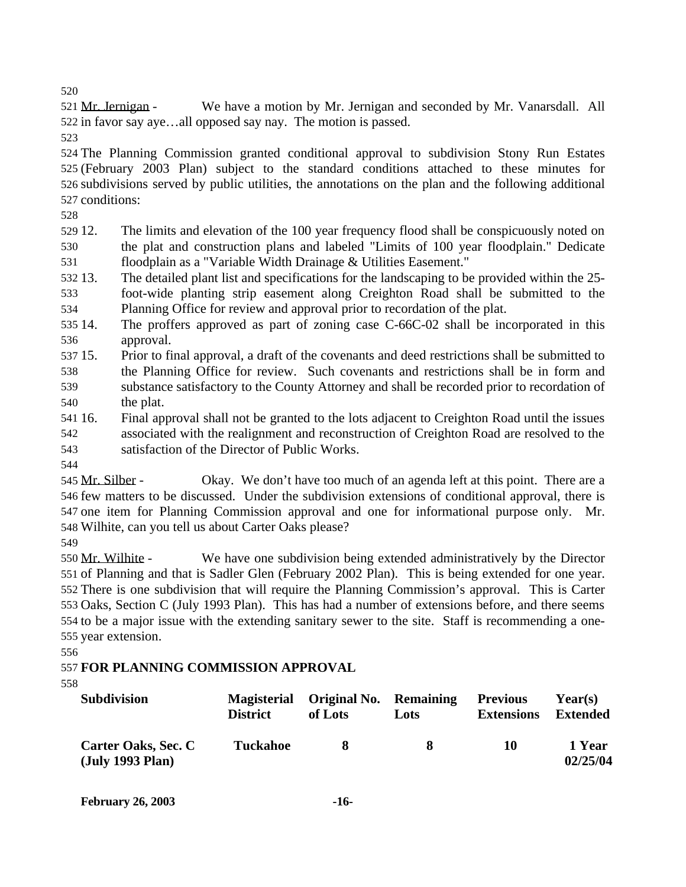Mr. Jernigan - We have a motion by Mr. Jernigan and seconded by Mr. Vanarsdall. All in favor say aye…all opposed say nay. The motion is passed.

 The Planning Commission granted conditional approval to subdivision Stony Run Estates (February 2003 Plan) subject to the standard conditions attached to these minutes for subdivisions served by public utilities, the annotations on the plan and the following additional conditions:

 12. The limits and elevation of the 100 year frequency flood shall be conspicuously noted on the plat and construction plans and labeled "Limits of 100 year floodplain." Dedicate floodplain as a "Variable Width Drainage & Utilities Easement."

 13. The detailed plant list and specifications for the landscaping to be provided within the 25- foot-wide planting strip easement along Creighton Road shall be submitted to the

Planning Office for review and approval prior to recordation of the plat.

- 14. The proffers approved as part of zoning case C-66C-02 shall be incorporated in this approval.
- 15. Prior to final approval, a draft of the covenants and deed restrictions shall be submitted to the Planning Office for review. Such covenants and restrictions shall be in form and substance satisfactory to the County Attorney and shall be recorded prior to recordation of the plat.
- 16. Final approval shall not be granted to the lots adjacent to Creighton Road until the issues associated with the realignment and reconstruction of Creighton Road are resolved to the satisfaction of the Director of Public Works.
- 

545 Mr. Silber - Okay. We don't have too much of an agenda left at this point. There are a few matters to be discussed. Under the subdivision extensions of conditional approval, there is one item for Planning Commission approval and one for informational purpose only. Mr. Wilhite, can you tell us about Carter Oaks please?

 Mr. Wilhite - We have one subdivision being extended administratively by the Director of Planning and that is Sadler Glen (February 2002 Plan). This is being extended for one year. There is one subdivision that will require the Planning Commission's approval. This is Carter Oaks, Section C (July 1993 Plan). This has had a number of extensions before, and there seems to be a major issue with the extending sanitary sewer to the site. Staff is recommending a one-year extension.

## **FOR PLANNING COMMISSION APPROVAL**

| <b>Subdivision</b>                      | <b>District</b> | Magisterial Original No. Remaining<br>of Lots | Lots | <b>Previous</b><br><b>Extensions</b> | Year(s)<br>Extended |
|-----------------------------------------|-----------------|-----------------------------------------------|------|--------------------------------------|---------------------|
| Carter Oaks, Sec. C<br>(July 1993 Plan) | <b>Tuckahoe</b> | x                                             | 8    | 10                                   | 1 Year<br>02/25/04  |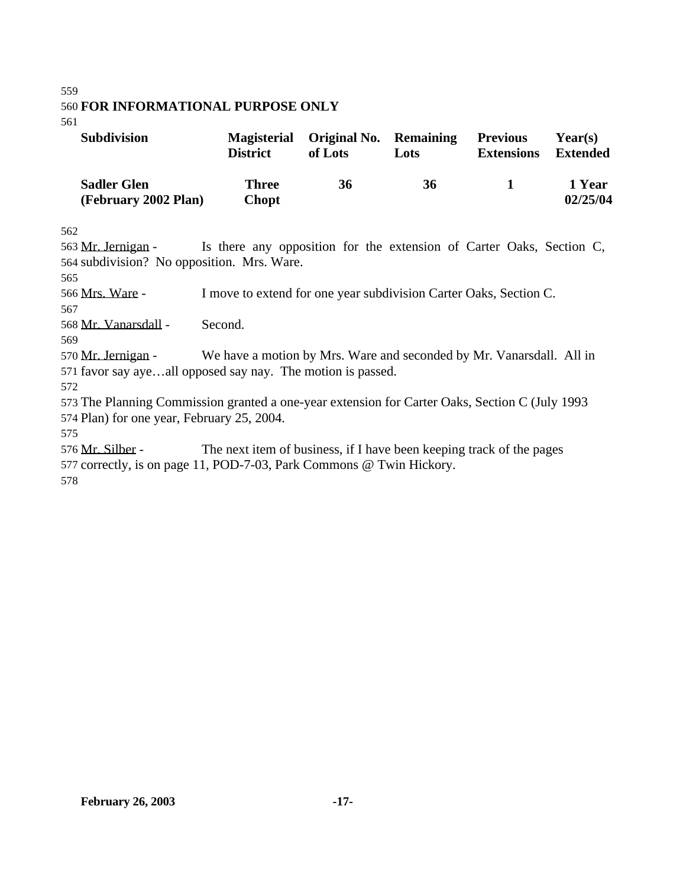#### 559

## 560 **FOR INFORMATIONAL PURPOSE ONLY**

561

| <b>Subdivision</b>                         | <b>Magisterial</b><br><b>District</b> | <b>Original No. Remaining</b><br>of Lots | Lots | <b>Previous</b><br><b>Extensions</b> | Year(s)<br><b>Extended</b> |
|--------------------------------------------|---------------------------------------|------------------------------------------|------|--------------------------------------|----------------------------|
| <b>Sadler Glen</b><br>(February 2002 Plan) | <b>Three</b><br><b>Chopt</b>          | 36                                       | 36   |                                      | 1 Year<br>02/25/04         |

562

563 Mr. Jernigan - Is there any opposition for the extension of Carter Oaks, Section C, 564 subdivision? No opposition. Mrs. Ware.

565

566 Mrs. Ware - I move to extend for one year subdivision Carter Oaks, Section C.

567

568 Mr. Vanarsdall - Second.

569

570 Mr. Jernigan - We have a motion by Mrs. Ware and seconded by Mr. Vanarsdall. All in 571 favor say aye…all opposed say nay. The motion is passed.

572

573 The Planning Commission granted a one-year extension for Carter Oaks, Section C (July 1993 574 Plan) for one year, February 25, 2004.

575

576 Mr. Silber - The next item of business, if I have been keeping track of the pages 577 correctly, is on page 11, POD-7-03, Park Commons @ Twin Hickory.

578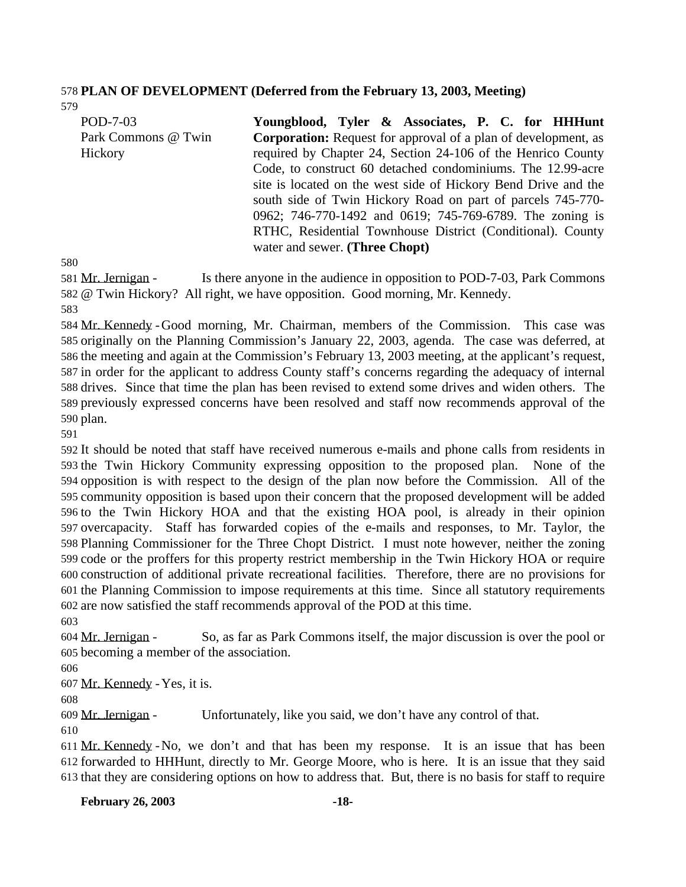#### **PLAN OF DEVELOPMENT (Deferred from the February 13, 2003, Meeting)**

| POD-7-03            | Youngblood, Tyler & Associates, P. C. for HHHunt                      |
|---------------------|-----------------------------------------------------------------------|
| Park Commons @ Twin | <b>Corporation:</b> Request for approval of a plan of development, as |
| Hickory             | required by Chapter 24, Section 24-106 of the Henrico County          |
|                     | Code, to construct 60 detached condominiums. The 12.99-acre           |
|                     | site is located on the west side of Hickory Bend Drive and the        |
|                     | south side of Twin Hickory Road on part of parcels 745-770-           |
|                     | 0962; 746-770-1492 and 0619; 745-769-6789. The zoning is              |
|                     | RTHC, Residential Townhouse District (Conditional). County            |
|                     | water and sewer. (Three Chopt)                                        |

 Mr. Jernigan - Is there anyone in the audience in opposition to POD-7-03, Park Commons @ Twin Hickory? All right, we have opposition. Good morning, Mr. Kennedy.

 Mr. Kennedy -Good morning, Mr. Chairman, members of the Commission. This case was originally on the Planning Commission's January 22, 2003, agenda. The case was deferred, at the meeting and again at the Commission's February 13, 2003 meeting, at the applicant's request, in order for the applicant to address County staff's concerns regarding the adequacy of internal drives. Since that time the plan has been revised to extend some drives and widen others. The previously expressed concerns have been resolved and staff now recommends approval of the plan.

 It should be noted that staff have received numerous e-mails and phone calls from residents in the Twin Hickory Community expressing opposition to the proposed plan. None of the opposition is with respect to the design of the plan now before the Commission. All of the community opposition is based upon their concern that the proposed development will be added to the Twin Hickory HOA and that the existing HOA pool, is already in their opinion overcapacity. Staff has forwarded copies of the e-mails and responses, to Mr. Taylor, the Planning Commissioner for the Three Chopt District. I must note however, neither the zoning code or the proffers for this property restrict membership in the Twin Hickory HOA or require construction of additional private recreational facilities. Therefore, there are no provisions for the Planning Commission to impose requirements at this time. Since all statutory requirements are now satisfied the staff recommends approval of the POD at this time.

 Mr. Jernigan - So, as far as Park Commons itself, the major discussion is over the pool or becoming a member of the association.

Mr. Kennedy -Yes, it is.

Mr. Jernigan - Unfortunately, like you said, we don't have any control of that.

 Mr. Kennedy -No, we don't and that has been my response. It is an issue that has been forwarded to HHHunt, directly to Mr. George Moore, who is here. It is an issue that they said that they are considering options on how to address that. But, there is no basis for staff to require

**February 26, 2003 -18-**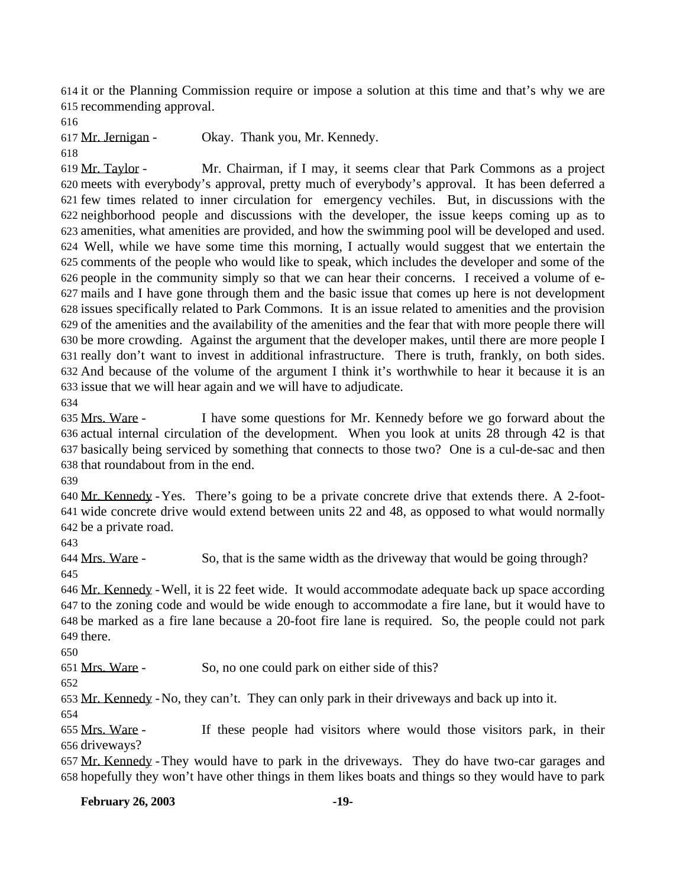it or the Planning Commission require or impose a solution at this time and that's why we are recommending approval.

Mr. Jernigan - Okay. Thank you, Mr. Kennedy.

 Mr. Taylor - Mr. Chairman, if I may, it seems clear that Park Commons as a project meets with everybody's approval, pretty much of everybody's approval. It has been deferred a few times related to inner circulation for emergency vechiles. But, in discussions with the neighborhood people and discussions with the developer, the issue keeps coming up as to amenities, what amenities are provided, and how the swimming pool will be developed and used. Well, while we have some time this morning, I actually would suggest that we entertain the comments of the people who would like to speak, which includes the developer and some of the people in the community simply so that we can hear their concerns. I received a volume of e- mails and I have gone through them and the basic issue that comes up here is not development issues specifically related to Park Commons. It is an issue related to amenities and the provision of the amenities and the availability of the amenities and the fear that with more people there will be more crowding. Against the argument that the developer makes, until there are more people I really don't want to invest in additional infrastructure. There is truth, frankly, on both sides. And because of the volume of the argument I think it's worthwhile to hear it because it is an issue that we will hear again and we will have to adjudicate.

 Mrs. Ware - I have some questions for Mr. Kennedy before we go forward about the actual internal circulation of the development. When you look at units 28 through 42 is that basically being serviced by something that connects to those two? One is a cul-de-sac and then that roundabout from in the end.

 Mr. Kennedy -Yes. There's going to be a private concrete drive that extends there. A 2-foot- wide concrete drive would extend between units 22 and 48, as opposed to what would normally be a private road.

 Mrs. Ware - So, that is the same width as the driveway that would be going through? 

 Mr. Kennedy -Well, it is 22 feet wide. It would accommodate adequate back up space according to the zoning code and would be wide enough to accommodate a fire lane, but it would have to be marked as a fire lane because a 20-foot fire lane is required. So, the people could not park there.

Mrs. Ware - So, no one could park on either side of this?

Mr. Kennedy -No, they can't. They can only park in their driveways and back up into it.

 Mrs. Ware - If these people had visitors where would those visitors park, in their driveways?

 Mr. Kennedy -They would have to park in the driveways. They do have two-car garages and hopefully they won't have other things in them likes boats and things so they would have to park

**February 26, 2003 -19-**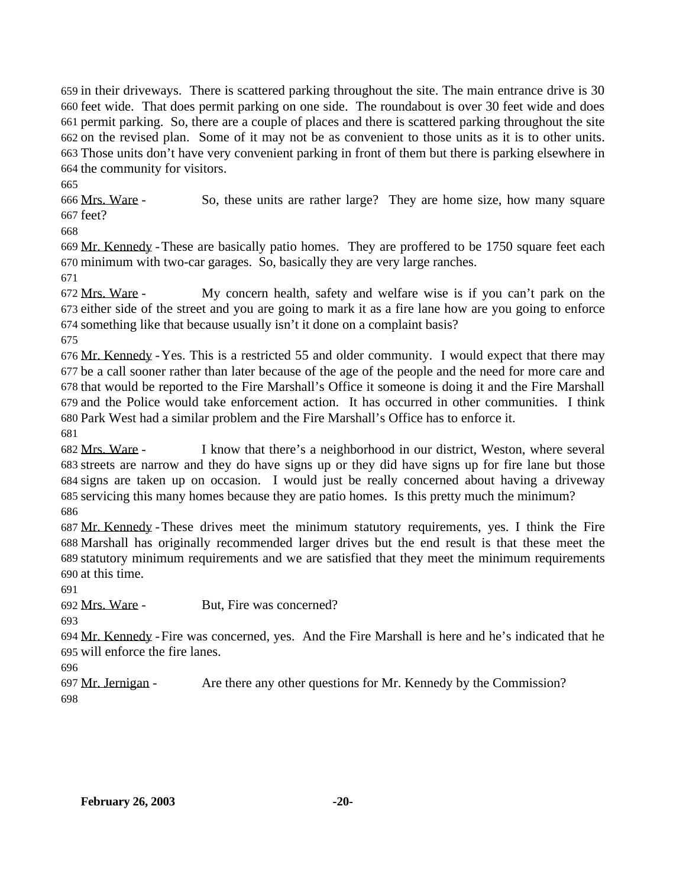in their driveways. There is scattered parking throughout the site. The main entrance drive is 30 feet wide. That does permit parking on one side. The roundabout is over 30 feet wide and does permit parking. So, there are a couple of places and there is scattered parking throughout the site on the revised plan. Some of it may not be as convenient to those units as it is to other units. Those units don't have very convenient parking in front of them but there is parking elsewhere in the community for visitors.

 Mrs. Ware - So, these units are rather large? They are home size, how many square feet?

 Mr. Kennedy -These are basically patio homes. They are proffered to be 1750 square feet each minimum with two-car garages. So, basically they are very large ranches.

 Mrs. Ware - My concern health, safety and welfare wise is if you can't park on the either side of the street and you are going to mark it as a fire lane how are you going to enforce something like that because usually isn't it done on a complaint basis?

 Mr. Kennedy -Yes. This is a restricted 55 and older community. I would expect that there may be a call sooner rather than later because of the age of the people and the need for more care and that would be reported to the Fire Marshall's Office it someone is doing it and the Fire Marshall and the Police would take enforcement action. It has occurred in other communities. I think Park West had a similar problem and the Fire Marshall's Office has to enforce it.

 Mrs. Ware - I know that there's a neighborhood in our district, Weston, where several streets are narrow and they do have signs up or they did have signs up for fire lane but those signs are taken up on occasion. I would just be really concerned about having a driveway servicing this many homes because they are patio homes. Is this pretty much the minimum? 

 Mr. Kennedy -These drives meet the minimum statutory requirements, yes. I think the Fire Marshall has originally recommended larger drives but the end result is that these meet the statutory minimum requirements and we are satisfied that they meet the minimum requirements at this time.

Mrs. Ware - But, Fire was concerned?

 Mr. Kennedy -Fire was concerned, yes. And the Fire Marshall is here and he's indicated that he will enforce the fire lanes.

 Mr. Jernigan - Are there any other questions for Mr. Kennedy by the Commission?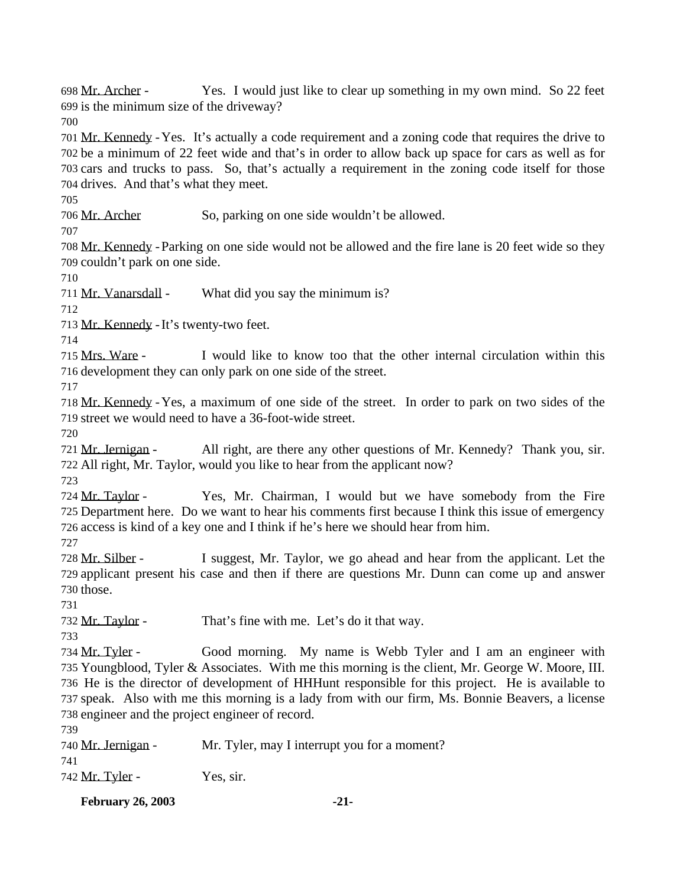Mr. Archer - Yes. I would just like to clear up something in my own mind. So 22 feet is the minimum size of the driveway? 

 Mr. Kennedy -Yes. It's actually a code requirement and a zoning code that requires the drive to be a minimum of 22 feet wide and that's in order to allow back up space for cars as well as for cars and trucks to pass. So, that's actually a requirement in the zoning code itself for those drives. And that's what they meet.

Mr. Archer So, parking on one side wouldn't be allowed.

 Mr. Kennedy -Parking on one side would not be allowed and the fire lane is 20 feet wide so they couldn't park on one side.

711 Mr. Vanarsdall - What did you say the minimum is?

Mr. Kennedy -It's twenty-two feet.

 Mrs. Ware - I would like to know too that the other internal circulation within this development they can only park on one side of the street.

 Mr. Kennedy -Yes, a maximum of one side of the street. In order to park on two sides of the street we would need to have a 36-foot-wide street.

 Mr. Jernigan - All right, are there any other questions of Mr. Kennedy? Thank you, sir. All right, Mr. Taylor, would you like to hear from the applicant now?

 Mr. Taylor - Yes, Mr. Chairman, I would but we have somebody from the Fire Department here. Do we want to hear his comments first because I think this issue of emergency access is kind of a key one and I think if he's here we should hear from him.

 Mr. Silber - I suggest, Mr. Taylor, we go ahead and hear from the applicant. Let the applicant present his case and then if there are questions Mr. Dunn can come up and answer those.

732 Mr. Taylor - That's fine with me. Let's do it that way.

 Mr. Tyler - Good morning. My name is Webb Tyler and I am an engineer with Youngblood, Tyler & Associates. With me this morning is the client, Mr. George W. Moore, III. He is the director of development of HHHunt responsible for this project. He is available to speak. Also with me this morning is a lady from with our firm, Ms. Bonnie Beavers, a license engineer and the project engineer of record.

| 740 <u>Mr. Jernigan</u> - | Mr. Tyler, may I interrupt you for a moment? |
|---------------------------|----------------------------------------------|
| 741                       |                                              |
| 742 <u>Mr. Tyler</u> -    | Yes, sir.                                    |

**February 26, 2003 -21-**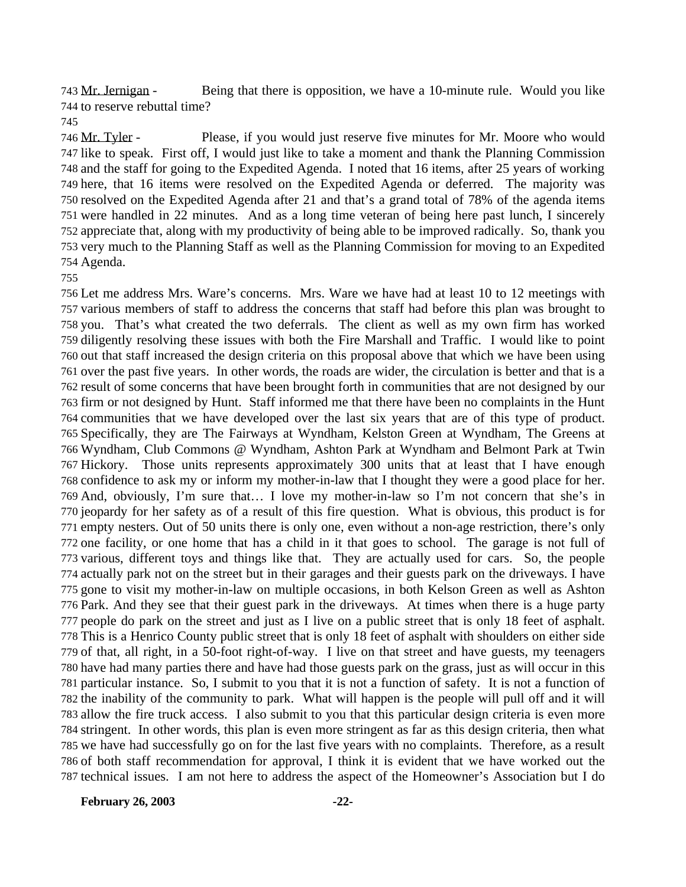Mr. Jernigan - Being that there is opposition, we have a 10-minute rule. Would you like to reserve rebuttal time?

 Mr. Tyler - Please, if you would just reserve five minutes for Mr. Moore who would like to speak. First off, I would just like to take a moment and thank the Planning Commission and the staff for going to the Expedited Agenda. I noted that 16 items, after 25 years of working here, that 16 items were resolved on the Expedited Agenda or deferred. The majority was resolved on the Expedited Agenda after 21 and that's a grand total of 78% of the agenda items were handled in 22 minutes. And as a long time veteran of being here past lunch, I sincerely appreciate that, along with my productivity of being able to be improved radically. So, thank you very much to the Planning Staff as well as the Planning Commission for moving to an Expedited Agenda.

 Let me address Mrs. Ware's concerns. Mrs. Ware we have had at least 10 to 12 meetings with various members of staff to address the concerns that staff had before this plan was brought to you. That's what created the two deferrals. The client as well as my own firm has worked diligently resolving these issues with both the Fire Marshall and Traffic. I would like to point out that staff increased the design criteria on this proposal above that which we have been using over the past five years. In other words, the roads are wider, the circulation is better and that is a result of some concerns that have been brought forth in communities that are not designed by our firm or not designed by Hunt. Staff informed me that there have been no complaints in the Hunt communities that we have developed over the last six years that are of this type of product. Specifically, they are The Fairways at Wyndham, Kelston Green at Wyndham, The Greens at Wyndham, Club Commons @ Wyndham, Ashton Park at Wyndham and Belmont Park at Twin Hickory. Those units represents approximately 300 units that at least that I have enough confidence to ask my or inform my mother-in-law that I thought they were a good place for her. And, obviously, I'm sure that… I love my mother-in-law so I'm not concern that she's in jeopardy for her safety as of a result of this fire question. What is obvious, this product is for empty nesters. Out of 50 units there is only one, even without a non-age restriction, there's only one facility, or one home that has a child in it that goes to school. The garage is not full of various, different toys and things like that. They are actually used for cars. So, the people actually park not on the street but in their garages and their guests park on the driveways. I have gone to visit my mother-in-law on multiple occasions, in both Kelson Green as well as Ashton Park. And they see that their guest park in the driveways. At times when there is a huge party people do park on the street and just as I live on a public street that is only 18 feet of asphalt. This is a Henrico County public street that is only 18 feet of asphalt with shoulders on either side of that, all right, in a 50-foot right-of-way. I live on that street and have guests, my teenagers have had many parties there and have had those guests park on the grass, just as will occur in this particular instance. So, I submit to you that it is not a function of safety. It is not a function of the inability of the community to park. What will happen is the people will pull off and it will allow the fire truck access. I also submit to you that this particular design criteria is even more stringent. In other words, this plan is even more stringent as far as this design criteria, then what we have had successfully go on for the last five years with no complaints. Therefore, as a result of both staff recommendation for approval, I think it is evident that we have worked out the technical issues. I am not here to address the aspect of the Homeowner's Association but I do

**February 26, 2003 -22-**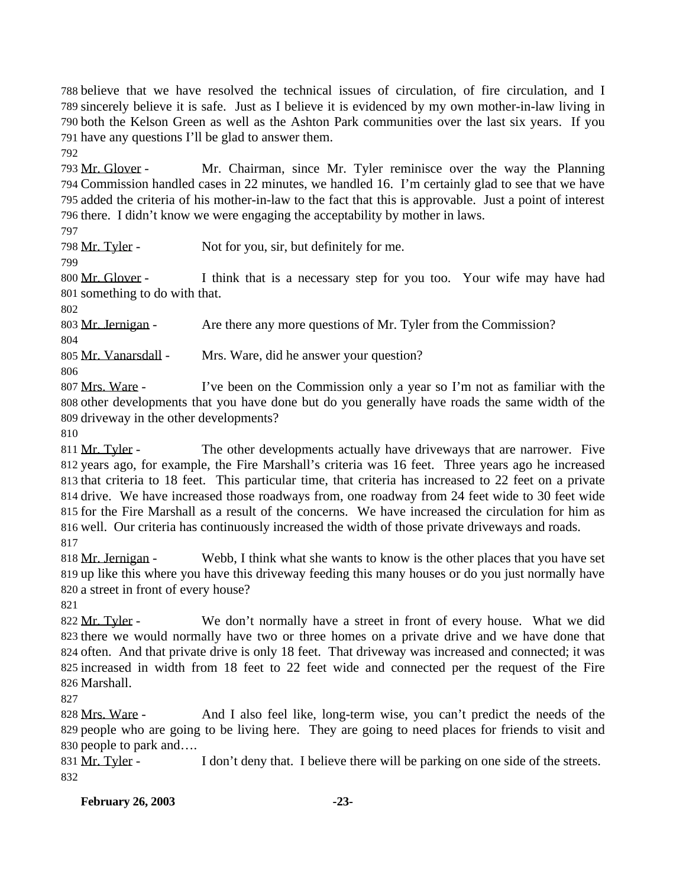believe that we have resolved the technical issues of circulation, of fire circulation, and I sincerely believe it is safe. Just as I believe it is evidenced by my own mother-in-law living in both the Kelson Green as well as the Ashton Park communities over the last six years. If you have any questions I'll be glad to answer them.

 Mr. Glover - Mr. Chairman, since Mr. Tyler reminisce over the way the Planning Commission handled cases in 22 minutes, we handled 16. I'm certainly glad to see that we have added the criteria of his mother-in-law to the fact that this is approvable. Just a point of interest there. I didn't know we were engaging the acceptability by mother in laws.

798 Mr. Tyler - Not for you, sir, but definitely for me.

 Mr. Glover - I think that is a necessary step for you too. Your wife may have had something to do with that.

Mr. Jernigan - Are there any more questions of Mr. Tyler from the Commission?

Mr. Vanarsdall - Mrs. Ware, did he answer your question?

 Mrs. Ware - I've been on the Commission only a year so I'm not as familiar with the other developments that you have done but do you generally have roads the same width of the driveway in the other developments?

811 Mr. Tyler - The other developments actually have driveways that are narrower. Five years ago, for example, the Fire Marshall's criteria was 16 feet. Three years ago he increased that criteria to 18 feet. This particular time, that criteria has increased to 22 feet on a private drive. We have increased those roadways from, one roadway from 24 feet wide to 30 feet wide for the Fire Marshall as a result of the concerns. We have increased the circulation for him as well. Our criteria has continuously increased the width of those private driveways and roads. 

 Mr. Jernigan - Webb, I think what she wants to know is the other places that you have set up like this where you have this driveway feeding this many houses or do you just normally have a street in front of every house?

822 Mr. Tyler - We don't normally have a street in front of every house. What we did there we would normally have two or three homes on a private drive and we have done that often. And that private drive is only 18 feet. That driveway was increased and connected; it was increased in width from 18 feet to 22 feet wide and connected per the request of the Fire Marshall.

828 Mrs. Ware - And I also feel like, long-term wise, you can't predict the needs of the people who are going to be living here. They are going to need places for friends to visit and people to park and….

831 Mr. Tyler - I don't deny that. I believe there will be parking on one side of the streets.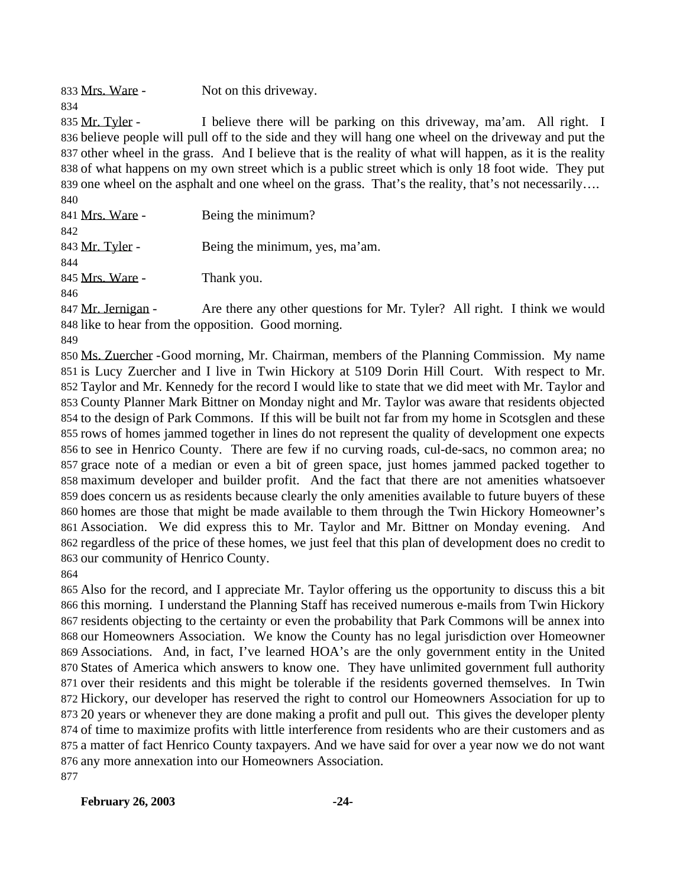833 Mrs. Ware - Not on this driveway.

835 Mr. Tyler - I believe there will be parking on this driveway, ma'am. All right. I believe people will pull off to the side and they will hang one wheel on the driveway and put the other wheel in the grass. And I believe that is the reality of what will happen, as it is the reality of what happens on my own street which is a public street which is only 18 foot wide. They put 839 one wheel on the asphalt and one wheel on the grass. That's the reality, that's not necessarily…. 

| 841 Mrs. Ware - | Being the minimum?             |
|-----------------|--------------------------------|
| 842             |                                |
| 843 Mr. Tyler - | Being the minimum, yes, ma'am. |
| 844             |                                |
| 845 Mrs. Ware - | Thank you.                     |
| 846             |                                |

847 Mr. Jernigan - Are there any other questions for Mr. Tyler? All right. I think we would like to hear from the opposition. Good morning.

 Ms. Zuercher -Good morning, Mr. Chairman, members of the Planning Commission. My name is Lucy Zuercher and I live in Twin Hickory at 5109 Dorin Hill Court. With respect to Mr. Taylor and Mr. Kennedy for the record I would like to state that we did meet with Mr. Taylor and County Planner Mark Bittner on Monday night and Mr. Taylor was aware that residents objected to the design of Park Commons. If this will be built not far from my home in Scotsglen and these rows of homes jammed together in lines do not represent the quality of development one expects to see in Henrico County. There are few if no curving roads, cul-de-sacs, no common area; no grace note of a median or even a bit of green space, just homes jammed packed together to maximum developer and builder profit. And the fact that there are not amenities whatsoever does concern us as residents because clearly the only amenities available to future buyers of these homes are those that might be made available to them through the Twin Hickory Homeowner's Association. We did express this to Mr. Taylor and Mr. Bittner on Monday evening. And regardless of the price of these homes, we just feel that this plan of development does no credit to our community of Henrico County.

 Also for the record, and I appreciate Mr. Taylor offering us the opportunity to discuss this a bit this morning. I understand the Planning Staff has received numerous e-mails from Twin Hickory residents objecting to the certainty or even the probability that Park Commons will be annex into our Homeowners Association. We know the County has no legal jurisdiction over Homeowner Associations. And, in fact, I've learned HOA's are the only government entity in the United States of America which answers to know one. They have unlimited government full authority over their residents and this might be tolerable if the residents governed themselves. In Twin Hickory, our developer has reserved the right to control our Homeowners Association for up to 20 years or whenever they are done making a profit and pull out. This gives the developer plenty of time to maximize profits with little interference from residents who are their customers and as a matter of fact Henrico County taxpayers. And we have said for over a year now we do not want any more annexation into our Homeowners Association. 

#### **February 26, 2003 -24-**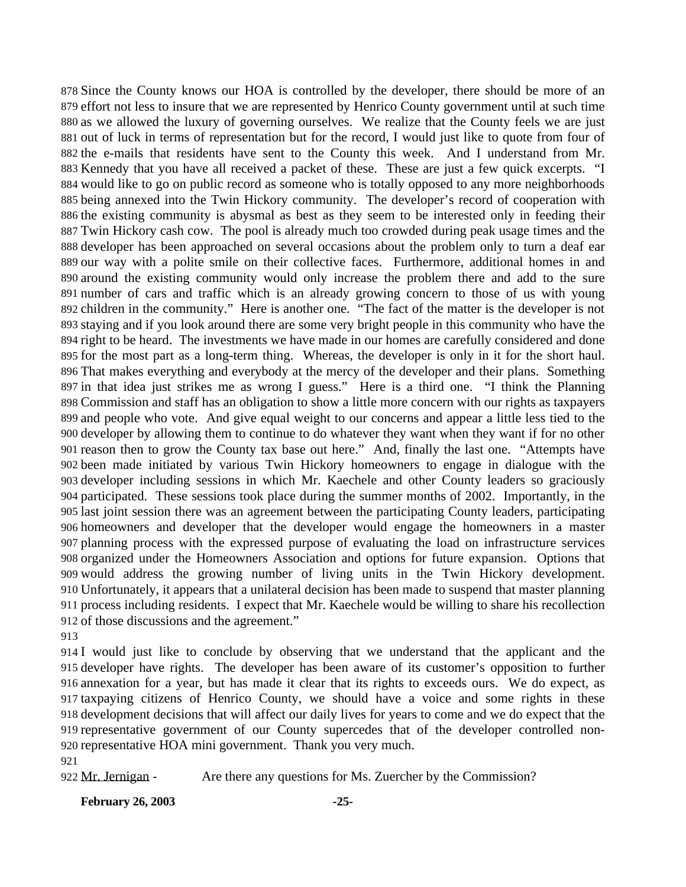Since the County knows our HOA is controlled by the developer, there should be more of an effort not less to insure that we are represented by Henrico County government until at such time as we allowed the luxury of governing ourselves. We realize that the County feels we are just out of luck in terms of representation but for the record, I would just like to quote from four of the e-mails that residents have sent to the County this week. And I understand from Mr. Kennedy that you have all received a packet of these. These are just a few quick excerpts. "I would like to go on public record as someone who is totally opposed to any more neighborhoods being annexed into the Twin Hickory community. The developer's record of cooperation with the existing community is abysmal as best as they seem to be interested only in feeding their Twin Hickory cash cow. The pool is already much too crowded during peak usage times and the developer has been approached on several occasions about the problem only to turn a deaf ear our way with a polite smile on their collective faces. Furthermore, additional homes in and around the existing community would only increase the problem there and add to the sure number of cars and traffic which is an already growing concern to those of us with young children in the community." Here is another one. "The fact of the matter is the developer is not staying and if you look around there are some very bright people in this community who have the right to be heard. The investments we have made in our homes are carefully considered and done for the most part as a long-term thing. Whereas, the developer is only in it for the short haul. That makes everything and everybody at the mercy of the developer and their plans. Something in that idea just strikes me as wrong I guess." Here is a third one. "I think the Planning Commission and staff has an obligation to show a little more concern with our rights as taxpayers and people who vote. And give equal weight to our concerns and appear a little less tied to the developer by allowing them to continue to do whatever they want when they want if for no other reason then to grow the County tax base out here." And, finally the last one. "Attempts have been made initiated by various Twin Hickory homeowners to engage in dialogue with the developer including sessions in which Mr. Kaechele and other County leaders so graciously participated. These sessions took place during the summer months of 2002. Importantly, in the last joint session there was an agreement between the participating County leaders, participating homeowners and developer that the developer would engage the homeowners in a master planning process with the expressed purpose of evaluating the load on infrastructure services organized under the Homeowners Association and options for future expansion. Options that would address the growing number of living units in the Twin Hickory development. Unfortunately, it appears that a unilateral decision has been made to suspend that master planning process including residents. I expect that Mr. Kaechele would be willing to share his recollection of those discussions and the agreement."

 I would just like to conclude by observing that we understand that the applicant and the developer have rights. The developer has been aware of its customer's opposition to further annexation for a year, but has made it clear that its rights to exceeds ours. We do expect, as taxpaying citizens of Henrico County, we should have a voice and some rights in these development decisions that will affect our daily lives for years to come and we do expect that the representative government of our County supercedes that of the developer controlled non-representative HOA mini government. Thank you very much.

922 Mr. Jernigan - Are there any questions for Ms. Zuercher by the Commission?

**February 26, 2003 -25-**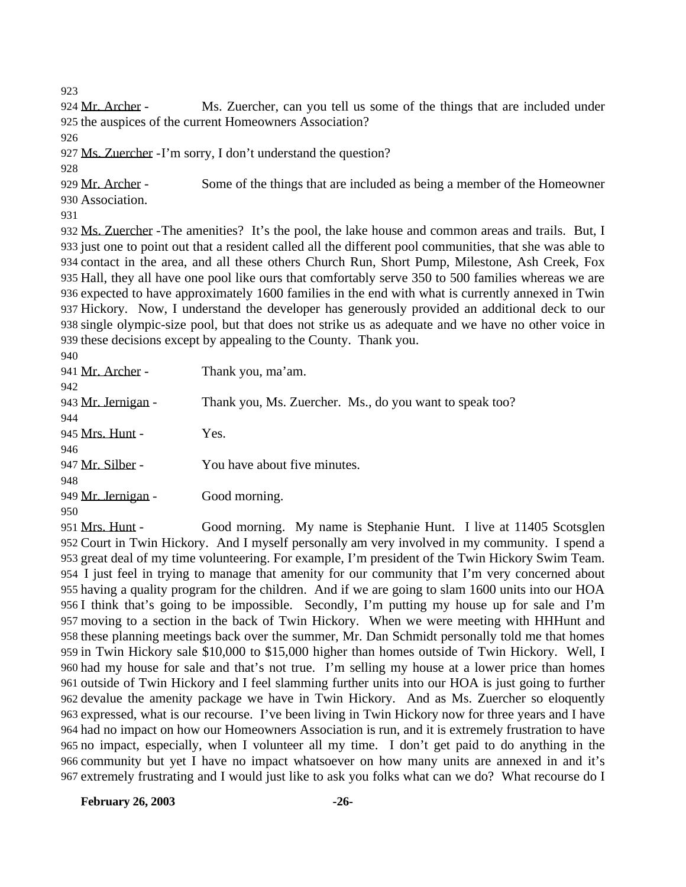924 Mr. Archer - Ms. Zuercher, can you tell us some of the things that are included under the auspices of the current Homeowners Association?

Ms. Zuercher -I'm sorry, I don't understand the question?

929 Mr. Archer - Some of the things that are included as being a member of the Homeowner Association.

 Ms. Zuercher -The amenities? It's the pool, the lake house and common areas and trails. But, I just one to point out that a resident called all the different pool communities, that she was able to contact in the area, and all these others Church Run, Short Pump, Milestone, Ash Creek, Fox Hall, they all have one pool like ours that comfortably serve 350 to 500 families whereas we are expected to have approximately 1600 families in the end with what is currently annexed in Twin Hickory. Now, I understand the developer has generously provided an additional deck to our single olympic-size pool, but that does not strike us as adequate and we have no other voice in these decisions except by appealing to the County. Thank you.  $0.40$ 

| フラリ                |                                                         |
|--------------------|---------------------------------------------------------|
| 941 Mr. Archer -   | Thank you, ma'am.                                       |
| 942                |                                                         |
| 943 Mr. Jernigan - | Thank you, Ms. Zuercher. Ms., do you want to speak too? |
| 944                |                                                         |
| 945 Mrs. Hunt -    | Yes.                                                    |
| 946                |                                                         |
| 947 Mr. Silber -   | You have about five minutes.                            |
| 948                |                                                         |
| 949 Mr. Jernigan - | Good morning.                                           |
| 950                |                                                         |

 Mrs. Hunt - Good morning. My name is Stephanie Hunt. I live at 11405 Scotsglen Court in Twin Hickory. And I myself personally am very involved in my community. I spend a great deal of my time volunteering. For example, I'm president of the Twin Hickory Swim Team. I just feel in trying to manage that amenity for our community that I'm very concerned about having a quality program for the children. And if we are going to slam 1600 units into our HOA I think that's going to be impossible. Secondly, I'm putting my house up for sale and I'm moving to a section in the back of Twin Hickory. When we were meeting with HHHunt and these planning meetings back over the summer, Mr. Dan Schmidt personally told me that homes in Twin Hickory sale \$10,000 to \$15,000 higher than homes outside of Twin Hickory. Well, I had my house for sale and that's not true. I'm selling my house at a lower price than homes outside of Twin Hickory and I feel slamming further units into our HOA is just going to further devalue the amenity package we have in Twin Hickory. And as Ms. Zuercher so eloquently expressed, what is our recourse. I've been living in Twin Hickory now for three years and I have had no impact on how our Homeowners Association is run, and it is extremely frustration to have no impact, especially, when I volunteer all my time. I don't get paid to do anything in the community but yet I have no impact whatsoever on how many units are annexed in and it's extremely frustrating and I would just like to ask you folks what can we do? What recourse do I

**February 26, 2003 -26-**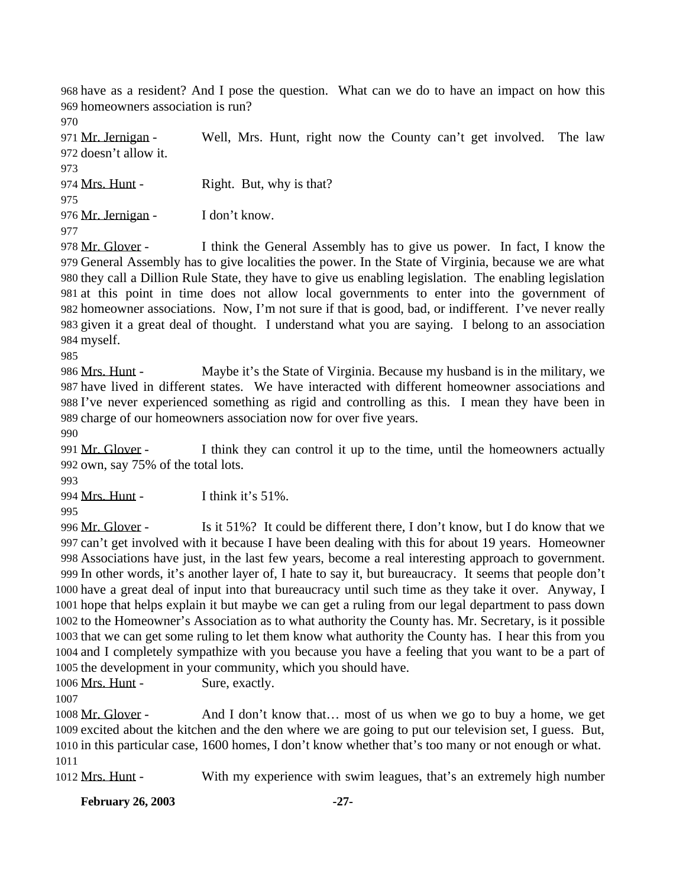have as a resident? And I pose the question. What can we do to have an impact on how this homeowners association is run?

 Mr. Jernigan - Well, Mrs. Hunt, right now the County can't get involved. The law doesn't allow it.

974 Mrs. Hunt - Right. But, why is that?

976 Mr. Jernigan - I don't know.

978 Mr. Glover - I think the General Assembly has to give us power. In fact, I know the General Assembly has to give localities the power. In the State of Virginia, because we are what they call a Dillion Rule State, they have to give us enabling legislation. The enabling legislation at this point in time does not allow local governments to enter into the government of homeowner associations. Now, I'm not sure if that is good, bad, or indifferent. I've never really given it a great deal of thought. I understand what you are saying. I belong to an association myself.

986 Mrs. Hunt - Maybe it's the State of Virginia. Because my husband is in the military, we have lived in different states. We have interacted with different homeowner associations and I've never experienced something as rigid and controlling as this. I mean they have been in charge of our homeowners association now for over five years.

991 Mr. Glover - I think they can control it up to the time, until the homeowners actually own, say 75% of the total lots.

Mrs. Hunt - I think it's 51%.

996 Mr. Glover - Is it 51%? It could be different there, I don't know, but I do know that we can't get involved with it because I have been dealing with this for about 19 years. Homeowner Associations have just, in the last few years, become a real interesting approach to government. In other words, it's another layer of, I hate to say it, but bureaucracy. It seems that people don't have a great deal of input into that bureaucracy until such time as they take it over. Anyway, I hope that helps explain it but maybe we can get a ruling from our legal department to pass down to the Homeowner's Association as to what authority the County has. Mr. Secretary, is it possible that we can get some ruling to let them know what authority the County has. I hear this from you and I completely sympathize with you because you have a feeling that you want to be a part of the development in your community, which you should have. 1006 Mrs. Hunt - Sure, exactly.

1008 Mr. Glover - And I don't know that... most of us when we go to buy a home, we get excited about the kitchen and the den where we are going to put our television set, I guess. But, in this particular case, 1600 homes, I don't know whether that's too many or not enough or what. 

Mrs. Hunt - With my experience with swim leagues, that's an extremely high number

**February 26, 2003 -27-**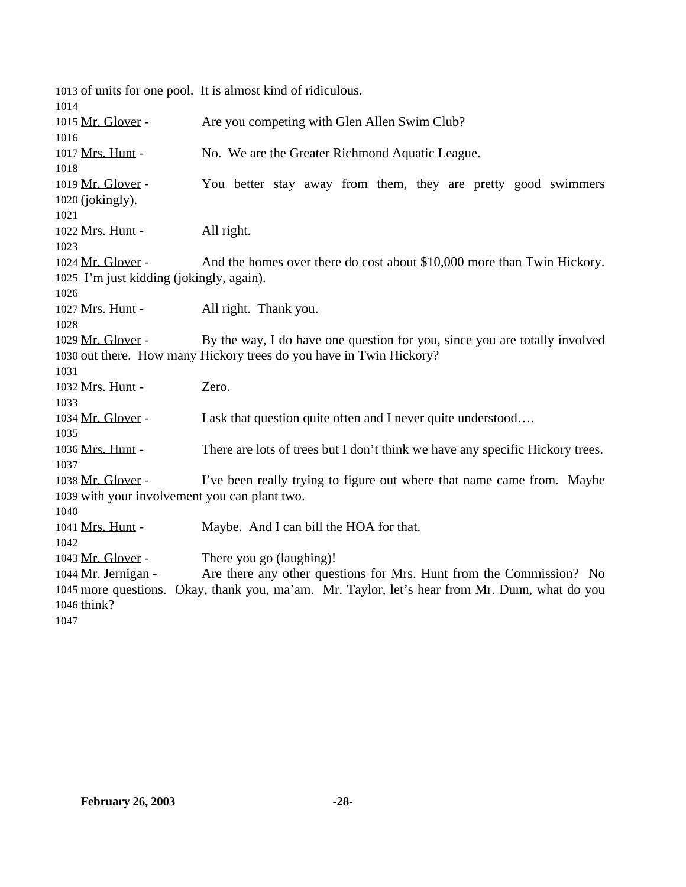of units for one pool. It is almost kind of ridiculous. 1015 Mr. Glover - Are you competing with Glen Allen Swim Club? 1017 Mrs. Hunt - No. We are the Greater Richmond Aquatic League. 1019 Mr. Glover - You better stay away from them, they are pretty good swimmers (jokingly). 1022 Mrs. Hunt - All right. 1024 Mr. Glover - And the homes over there do cost about \$10,000 more than Twin Hickory. I'm just kidding (jokingly, again). 1027 Mrs. Hunt - All right. Thank you. 1029 Mr. Glover - By the way, I do have one question for you, since you are totally involved out there. How many Hickory trees do you have in Twin Hickory? Mrs. Hunt - Zero. 1034 Mr. Glover - I ask that question quite often and I never quite understood.... Mrs. Hunt - There are lots of trees but I don't think we have any specific Hickory trees. 1038 Mr. Glover - I've been really trying to figure out where that name came from. Maybe with your involvement you can plant two. 1041 Mrs. Hunt - Maybe. And I can bill the HOA for that. 1043 Mr. Glover - There you go (laughing)! Mr. Jernigan - Are there any other questions for Mrs. Hunt from the Commission? No more questions. Okay, thank you, ma'am. Mr. Taylor, let's hear from Mr. Dunn, what do you think?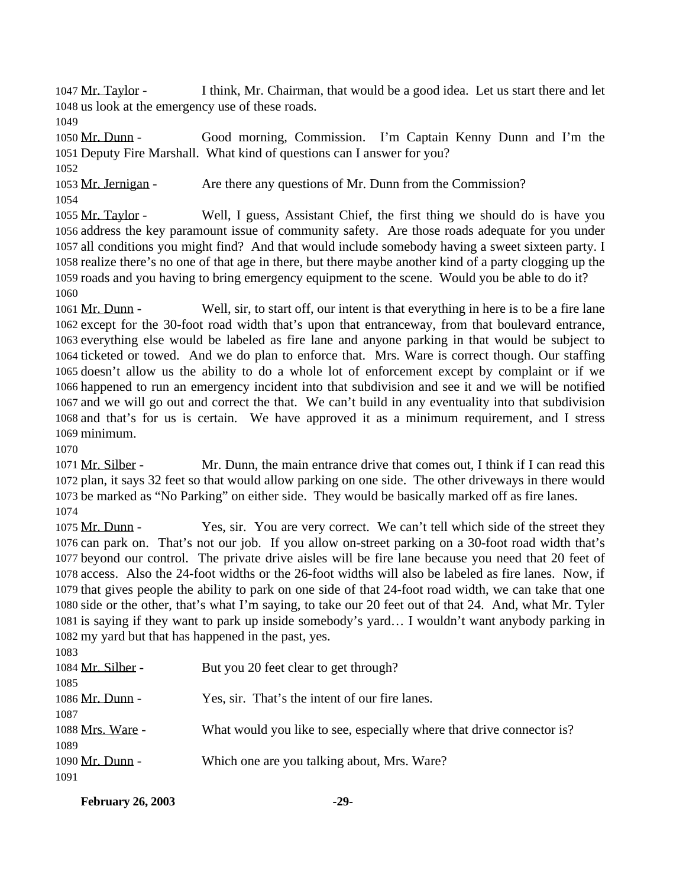Mr. Taylor - I think, Mr. Chairman, that would be a good idea. Let us start there and let us look at the emergency use of these roads.

 Mr. Dunn - Good morning, Commission. I'm Captain Kenny Dunn and I'm the Deputy Fire Marshall. What kind of questions can I answer for you? 

 Mr. Jernigan - Are there any questions of Mr. Dunn from the Commission? 

 Mr. Taylor - Well, I guess, Assistant Chief, the first thing we should do is have you address the key paramount issue of community safety. Are those roads adequate for you under all conditions you might find? And that would include somebody having a sweet sixteen party. I realize there's no one of that age in there, but there maybe another kind of a party clogging up the roads and you having to bring emergency equipment to the scene. Would you be able to do it? 

 Mr. Dunn - Well, sir, to start off, our intent is that everything in here is to be a fire lane except for the 30-foot road width that's upon that entranceway, from that boulevard entrance, everything else would be labeled as fire lane and anyone parking in that would be subject to ticketed or towed. And we do plan to enforce that. Mrs. Ware is correct though. Our staffing doesn't allow us the ability to do a whole lot of enforcement except by complaint or if we happened to run an emergency incident into that subdivision and see it and we will be notified and we will go out and correct the that. We can't build in any eventuality into that subdivision and that's for us is certain. We have approved it as a minimum requirement, and I stress minimum.

 Mr. Silber - Mr. Dunn, the main entrance drive that comes out, I think if I can read this plan, it says 32 feet so that would allow parking on one side. The other driveways in there would be marked as "No Parking" on either side. They would be basically marked off as fire lanes. 

1075 Mr. Dunn - Yes, sir. You are very correct. We can't tell which side of the street they can park on. That's not our job. If you allow on-street parking on a 30-foot road width that's beyond our control. The private drive aisles will be fire lane because you need that 20 feet of access. Also the 24-foot widths or the 26-foot widths will also be labeled as fire lanes. Now, if that gives people the ability to park on one side of that 24-foot road width, we can take that one side or the other, that's what I'm saying, to take our 20 feet out of that 24. And, what Mr. Tyler is saying if they want to park up inside somebody's yard… I wouldn't want anybody parking in my yard but that has happened in the past, yes.

| 1083              |                                                                       |
|-------------------|-----------------------------------------------------------------------|
| 1084 Mr. Silber - | But you 20 feet clear to get through?                                 |
| 1085              |                                                                       |
| 1086 Mr. Dunn -   | Yes, sir. That's the intent of our fire lanes.                        |
| 1087              |                                                                       |
| 1088 Mrs. Ware -  | What would you like to see, especially where that drive connector is? |
| 1089              |                                                                       |
| 1090 Mr. Dunn -   | Which one are you talking about, Mrs. Ware?                           |
| 1091              |                                                                       |
|                   |                                                                       |

| <b>February 26, 2003</b> |  |
|--------------------------|--|
|                          |  |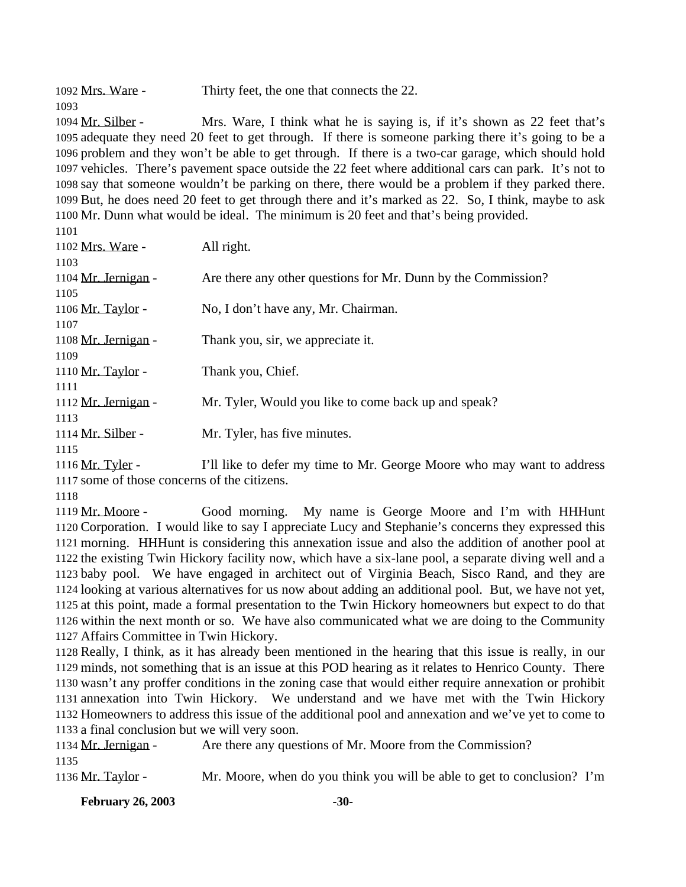Mrs. Ware - Thirty feet, the one that connects the 22.

 Mr. Silber - Mrs. Ware, I think what he is saying is, if it's shown as 22 feet that's adequate they need 20 feet to get through. If there is someone parking there it's going to be a problem and they won't be able to get through. If there is a two-car garage, which should hold vehicles. There's pavement space outside the 22 feet where additional cars can park. It's not to say that someone wouldn't be parking on there, there would be a problem if they parked there. But, he does need 20 feet to get through there and it's marked as 22. So, I think, maybe to ask Mr. Dunn what would be ideal. The minimum is 20 feet and that's being provided.

| 1102 Mrs. Ware -    | All right.                                                    |
|---------------------|---------------------------------------------------------------|
| 1103                |                                                               |
| 1104 Mr. Jernigan - | Are there any other questions for Mr. Dunn by the Commission? |
| 1105                |                                                               |
| 1106 Mr. Taylor -   | No, I don't have any, Mr. Chairman.                           |
| 1107                |                                                               |
| 1108 Mr. Jernigan - | Thank you, sir, we appreciate it.                             |
| 1109                |                                                               |
| 1110 Mr. Taylor -   | Thank you, Chief.                                             |
| 1111                |                                                               |
| 1112 Mr. Jernigan - | Mr. Tyler, Would you like to come back up and speak?          |
| 1113                |                                                               |
| 1114 Mr. Silber -   | Mr. Tyler, has five minutes.                                  |
| 1115                |                                                               |
|                     |                                                               |

 Mr. Tyler - I'll like to defer my time to Mr. George Moore who may want to address some of those concerns of the citizens.

 Mr. Moore - Good morning. My name is George Moore and I'm with HHHunt Corporation. I would like to say I appreciate Lucy and Stephanie's concerns they expressed this morning. HHHunt is considering this annexation issue and also the addition of another pool at the existing Twin Hickory facility now, which have a six-lane pool, a separate diving well and a baby pool. We have engaged in architect out of Virginia Beach, Sisco Rand, and they are looking at various alternatives for us now about adding an additional pool. But, we have not yet, at this point, made a formal presentation to the Twin Hickory homeowners but expect to do that within the next month or so. We have also communicated what we are doing to the Community Affairs Committee in Twin Hickory.

 Really, I think, as it has already been mentioned in the hearing that this issue is really, in our minds, not something that is an issue at this POD hearing as it relates to Henrico County. There wasn't any proffer conditions in the zoning case that would either require annexation or prohibit annexation into Twin Hickory. We understand and we have met with the Twin Hickory Homeowners to address this issue of the additional pool and annexation and we've yet to come to a final conclusion but we will very soon.

 Mr. Jernigan - Are there any questions of Mr. Moore from the Commission? Mr. Taylor - Mr. Moore, when do you think you will be able to get to conclusion? I'm

**February 26, 2003 -30-**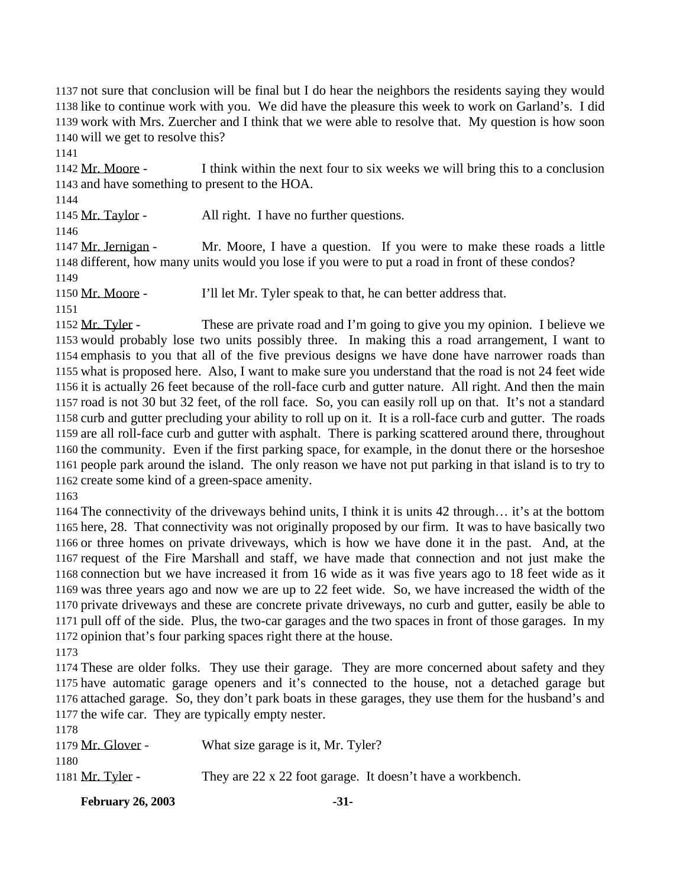not sure that conclusion will be final but I do hear the neighbors the residents saying they would like to continue work with you. We did have the pleasure this week to work on Garland's. I did work with Mrs. Zuercher and I think that we were able to resolve that. My question is how soon will we get to resolve this?

 Mr. Moore - I think within the next four to six weeks we will bring this to a conclusion and have something to present to the HOA.

Mr. Taylor - All right. I have no further questions.

 Mr. Jernigan - Mr. Moore, I have a question. If you were to make these roads a little different, how many units would you lose if you were to put a road in front of these condos? 

Mr. Moore - I'll let Mr. Tyler speak to that, he can better address that.

 Mr. Tyler - These are private road and I'm going to give you my opinion. I believe we would probably lose two units possibly three. In making this a road arrangement, I want to emphasis to you that all of the five previous designs we have done have narrower roads than what is proposed here. Also, I want to make sure you understand that the road is not 24 feet wide it is actually 26 feet because of the roll-face curb and gutter nature. All right. And then the main road is not 30 but 32 feet, of the roll face. So, you can easily roll up on that. It's not a standard curb and gutter precluding your ability to roll up on it. It is a roll-face curb and gutter. The roads are all roll-face curb and gutter with asphalt. There is parking scattered around there, throughout the community. Even if the first parking space, for example, in the donut there or the horseshoe people park around the island. The only reason we have not put parking in that island is to try to create some kind of a green-space amenity.

 The connectivity of the driveways behind units, I think it is units 42 through… it's at the bottom here, 28. That connectivity was not originally proposed by our firm. It was to have basically two or three homes on private driveways, which is how we have done it in the past. And, at the request of the Fire Marshall and staff, we have made that connection and not just make the connection but we have increased it from 16 wide as it was five years ago to 18 feet wide as it was three years ago and now we are up to 22 feet wide. So, we have increased the width of the private driveways and these are concrete private driveways, no curb and gutter, easily be able to pull off of the side. Plus, the two-car garages and the two spaces in front of those garages. In my opinion that's four parking spaces right there at the house.

 These are older folks. They use their garage. They are more concerned about safety and they have automatic garage openers and it's connected to the house, not a detached garage but attached garage. So, they don't park boats in these garages, they use them for the husband's and the wife car. They are typically empty nester. 1<sub>1</sub>

| 1178                    |                                                            |
|-------------------------|------------------------------------------------------------|
| 1179 Mr. Glover -       | What size garage is it, Mr. Tyler?                         |
| 1180                    |                                                            |
| 1181 <u>Mr. Tyler</u> - | They are 22 x 22 foot garage. It doesn't have a workbench. |
|                         |                                                            |

**February 26, 2003 -31-**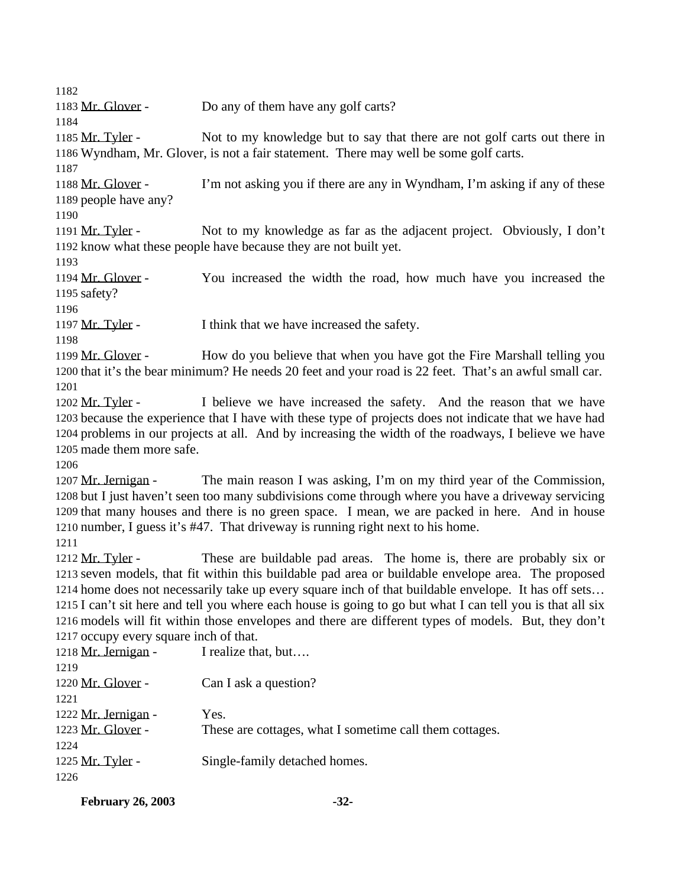1183 Mr. Glover - Do any of them have any golf carts?

 Mr. Tyler - Not to my knowledge but to say that there are not golf carts out there in Wyndham, Mr. Glover, is not a fair statement. There may well be some golf carts.

 Mr. Glover - I'm not asking you if there are any in Wyndham, I'm asking if any of these people have any?

1191 Mr. Tyler - Not to my knowledge as far as the adjacent project. Obviously, I don't know what these people have because they are not built yet.

 Mr. Glover - You increased the width the road, how much have you increased the safety?

1197 Mr. Tyler - I think that we have increased the safety.

1199 Mr. Glover - How do you believe that when you have got the Fire Marshall telling you that it's the bear minimum? He needs 20 feet and your road is 22 feet. That's an awful small car. 

1202 Mr. Tyler - I believe we have increased the safety. And the reason that we have because the experience that I have with these type of projects does not indicate that we have had problems in our projects at all. And by increasing the width of the roadways, I believe we have made them more safe.

 Mr. Jernigan - The main reason I was asking, I'm on my third year of the Commission, but I just haven't seen too many subdivisions come through where you have a driveway servicing that many houses and there is no green space. I mean, we are packed in here. And in house number, I guess it's #47. That driveway is running right next to his home.

1212 Mr. Tyler - These are buildable pad areas. The home is, there are probably six or seven models, that fit within this buildable pad area or buildable envelope area. The proposed home does not necessarily take up every square inch of that buildable envelope. It has off sets… I can't sit here and tell you where each house is going to go but what I can tell you is that all six models will fit within those envelopes and there are different types of models. But, they don't occupy every square inch of that.

| 1218 Mr. Jernigan - | I realize that, but                                     |
|---------------------|---------------------------------------------------------|
| 1219                |                                                         |
| 1220 Mr. Glover -   | Can I ask a question?                                   |
| 1221                |                                                         |
| 1222 Mr. Jernigan - | Yes.                                                    |
| 1223 Mr. Glover -   | These are cottages, what I sometime call them cottages. |
| 1224                |                                                         |
| 1225 Mr. Tyler -    | Single-family detached homes.                           |
| 1226                |                                                         |
|                     |                                                         |

**February 26, 2003 -32-**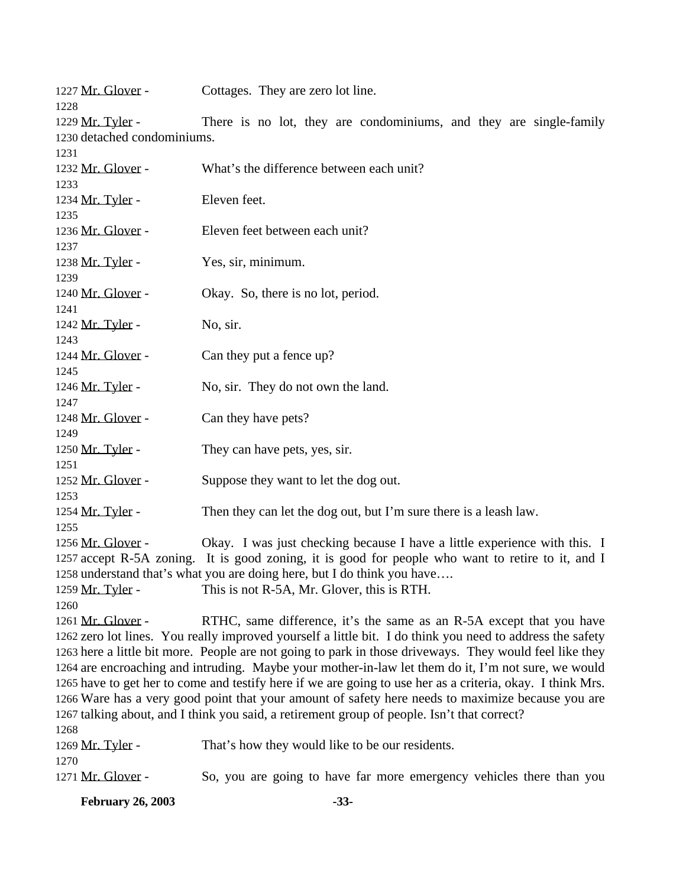| <b>February 26, 2003</b>    | $-33-$                                                                                                     |
|-----------------------------|------------------------------------------------------------------------------------------------------------|
| 1271 Mr. Glover -           | So, you are going to have far more emergency vehicles there than you                                       |
| 1270                        |                                                                                                            |
| 1269 Mr. Tyler -            | That's how they would like to be our residents.                                                            |
| 1268                        | 1267 talking about, and I think you said, a retirement group of people. Isn't that correct?                |
|                             | 1266 Ware has a very good point that your amount of safety here needs to maximize because you are          |
|                             | 1265 have to get her to come and testify here if we are going to use her as a criteria, okay. I think Mrs. |
|                             | 1264 are encroaching and intruding. Maybe your mother-in-law let them do it, I'm not sure, we would        |
|                             | 1263 here a little bit more. People are not going to park in those driveways. They would feel like they    |
|                             | 1262 zero lot lines. You really improved yourself a little bit. I do think you need to address the safety  |
| 1261 Mr. Glover -           | RTHC, same difference, it's the same as an R-5A except that you have                                       |
| 1260                        |                                                                                                            |
| 1259 Mr. Tyler -            | This is not R-5A, Mr. Glover, this is RTH.                                                                 |
|                             | 1258 understand that's what you are doing here, but I do think you have                                    |
|                             | 1257 accept R-5A zoning. It is good zoning, it is good for people who want to retire to it, and I          |
| 1256 Mr. Glover -           | Okay. I was just checking because I have a little experience with this. I                                  |
| 1255                        |                                                                                                            |
| 1254 Mr. Tyler -            | Then they can let the dog out, but I'm sure there is a leash law.                                          |
| 1253                        |                                                                                                            |
| 1252 Mr. Glover -           | Suppose they want to let the dog out.                                                                      |
| 1251                        |                                                                                                            |
| 1250 Mr. Tyler -            | They can have pets, yes, sir.                                                                              |
| 1249                        |                                                                                                            |
| 1248 Mr. Glover -           | Can they have pets?                                                                                        |
| 1247                        |                                                                                                            |
| 1246 Mr. Tyler -            | No, sir. They do not own the land.                                                                         |
| 1245                        |                                                                                                            |
| 1244 Mr. Glover -           | Can they put a fence up?                                                                                   |
| 1243                        |                                                                                                            |
| 1242 Mr. Tyler -            | No, sir.                                                                                                   |
| 1241                        |                                                                                                            |
| 1240 Mr. Glover -           | Okay. So, there is no lot, period.                                                                         |
| 1239                        |                                                                                                            |
| 1237<br>1238 Mr. Tyler -    | Yes, sir, minimum.                                                                                         |
| 1236 Mr. Glover -           | Eleven feet between each unit?                                                                             |
| 1235                        |                                                                                                            |
| 1234 Mr. Tyler -            | Eleven feet.                                                                                               |
| 1233                        |                                                                                                            |
| 1232 Mr. Glover -           | What's the difference between each unit?                                                                   |
| 1231                        |                                                                                                            |
| 1230 detached condominiums. |                                                                                                            |
| 1229 Mr. Tyler -            | There is no lot, they are condominiums, and they are single-family                                         |
| 1228                        |                                                                                                            |
| 1227 Mr. Glover -           | Cottages. They are zero lot line.                                                                          |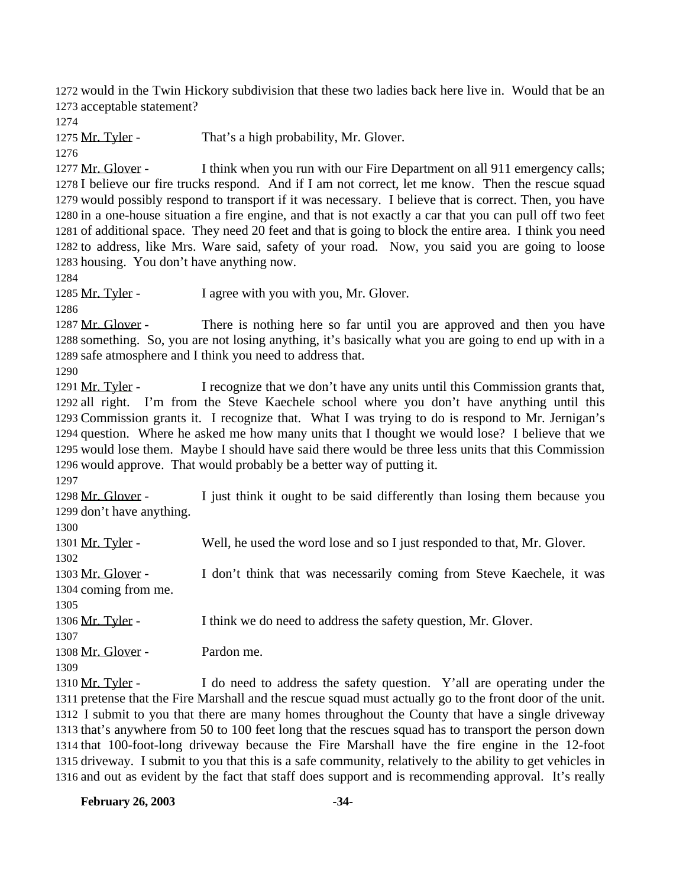would in the Twin Hickory subdivision that these two ladies back here live in. Would that be an acceptable statement?

1275 Mr. Tyler - That's a high probability, Mr. Glover.

1277 Mr. Glover - I think when you run with our Fire Department on all 911 emergency calls; I believe our fire trucks respond. And if I am not correct, let me know. Then the rescue squad would possibly respond to transport if it was necessary. I believe that is correct. Then, you have in a one-house situation a fire engine, and that is not exactly a car that you can pull off two feet of additional space. They need 20 feet and that is going to block the entire area. I think you need to address, like Mrs. Ware said, safety of your road. Now, you said you are going to loose housing. You don't have anything now.

1285 Mr. Tyler - I agree with you with you, Mr. Glover.

1287 Mr. Glover - There is nothing here so far until you are approved and then you have something. So, you are not losing anything, it's basically what you are going to end up with in a safe atmosphere and I think you need to address that.

1291 Mr. Tyler - I recognize that we don't have any units until this Commission grants that, all right. I'm from the Steve Kaechele school where you don't have anything until this Commission grants it. I recognize that. What I was trying to do is respond to Mr. Jernigan's question. Where he asked me how many units that I thought we would lose? I believe that we would lose them. Maybe I should have said there would be three less units that this Commission would approve. That would probably be a better way of putting it.

1298 Mr. Glover - I just think it ought to be said differently than losing them because you don't have anything.

 Mr. Tyler - Well, he used the word lose and so I just responded to that, Mr. Glover. Mr. Glover - I don't think that was necessarily coming from Steve Kaechele, it was coming from me. 1306 Mr. Tyler - I think we do need to address the safety question, Mr. Glover. Mr. Glover - Pardon me. 

1310 Mr. Tyler - I do need to address the safety question. Y'all are operating under the pretense that the Fire Marshall and the rescue squad must actually go to the front door of the unit. I submit to you that there are many homes throughout the County that have a single driveway that's anywhere from 50 to 100 feet long that the rescues squad has to transport the person down that 100-foot-long driveway because the Fire Marshall have the fire engine in the 12-foot driveway. I submit to you that this is a safe community, relatively to the ability to get vehicles in and out as evident by the fact that staff does support and is recommending approval. It's really

**February 26, 2003 -34-**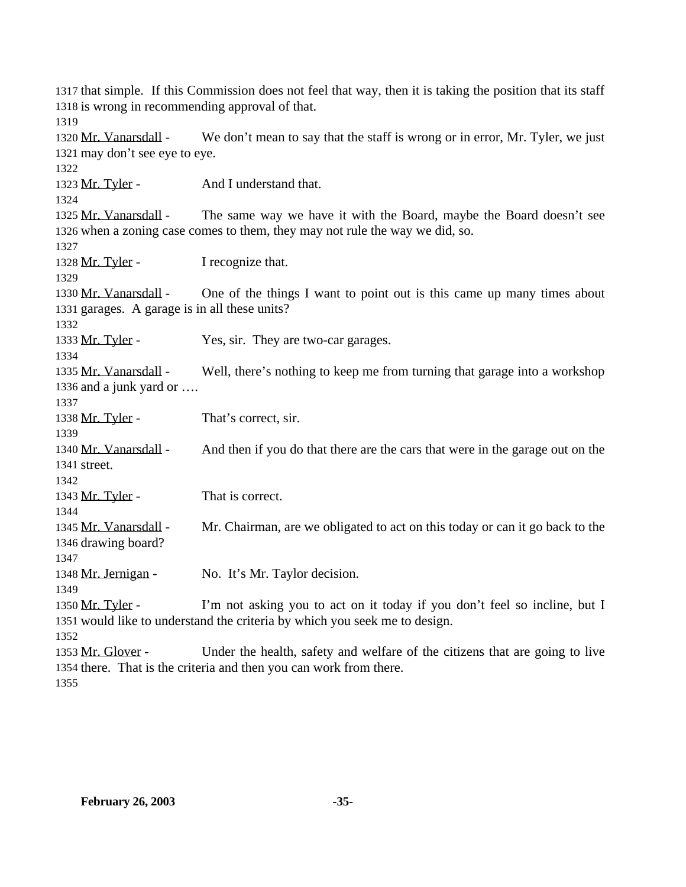that simple. If this Commission does not feel that way, then it is taking the position that its staff is wrong in recommending approval of that. Mr. Vanarsdall - We don't mean to say that the staff is wrong or in error, Mr. Tyler, we just may don't see eye to eye. 1323 Mr. Tyler - And I understand that. 1325 Mr. Vanarsdall - The same way we have it with the Board, maybe the Board doesn't see when a zoning case comes to them, they may not rule the way we did, so. 1328 Mr. Tyler - I recognize that. Mr. Vanarsdall - One of the things I want to point out is this came up many times about garages. A garage is in all these units? 1333 Mr. Tyler - Yes, sir. They are two-car garages. Mr. Vanarsdall - Well, there's nothing to keep me from turning that garage into a workshop and a junk yard or …. 1338 Mr. Tyler - That's correct, sir. 1340 Mr. Vanarsdall - And then if you do that there are the cars that were in the garage out on the street. 1343 Mr. Tyler - That is correct. Mr. Vanarsdall - Mr. Chairman, are we obligated to act on this today or can it go back to the drawing board? Mr. Jernigan - No. It's Mr. Taylor decision. 1350 Mr. Tyler - I'm not asking you to act on it today if you don't feel so incline, but I would like to understand the criteria by which you seek me to design. Mr. Glover - Under the health, safety and welfare of the citizens that are going to live there. That is the criteria and then you can work from there.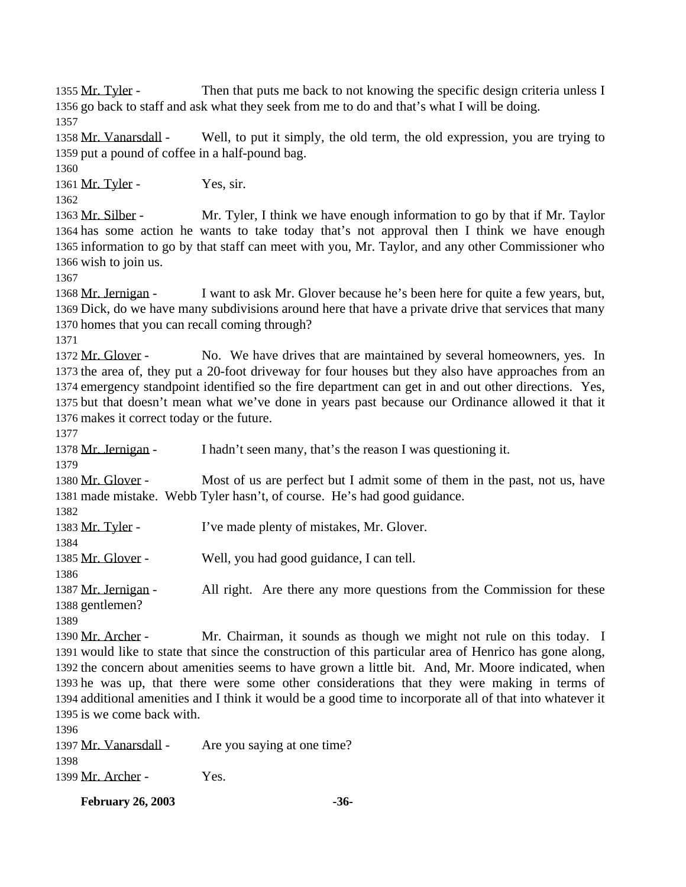1355 Mr. Tyler - Then that puts me back to not knowing the specific design criteria unless I go back to staff and ask what they seek from me to do and that's what I will be doing. 

 Mr. Vanarsdall - Well, to put it simply, the old term, the old expression, you are trying to put a pound of coffee in a half-pound bag.

1361 Mr. Tyler - Yes, sir.

1363 Mr. Silber - Mr. Tyler, I think we have enough information to go by that if Mr. Taylor has some action he wants to take today that's not approval then I think we have enough information to go by that staff can meet with you, Mr. Taylor, and any other Commissioner who wish to join us.

 Mr. Jernigan - I want to ask Mr. Glover because he's been here for quite a few years, but, Dick, do we have many subdivisions around here that have a private drive that services that many homes that you can recall coming through?

1372 Mr. Glover - No. We have drives that are maintained by several homeowners, yes. In the area of, they put a 20-foot driveway for four houses but they also have approaches from an emergency standpoint identified so the fire department can get in and out other directions. Yes, but that doesn't mean what we've done in years past because our Ordinance allowed it that it makes it correct today or the future.

 Mr. Jernigan - I hadn't seen many, that's the reason I was questioning it. 1380 Mr. Glover - Most of us are perfect but I admit some of them in the past, not us, have made mistake. Webb Tyler hasn't, of course. He's had good guidance. 1383 Mr. Tyler - I've made plenty of mistakes, Mr. Glover. Mr. Glover - Well, you had good guidance, I can tell. 1387 Mr. Jernigan - All right. Are there any more questions from the Commission for these gentlemen?

1390 Mr. Archer - Mr. Chairman, it sounds as though we might not rule on this today. I would like to state that since the construction of this particular area of Henrico has gone along, the concern about amenities seems to have grown a little bit. And, Mr. Moore indicated, when he was up, that there were some other considerations that they were making in terms of additional amenities and I think it would be a good time to incorporate all of that into whatever it is we come back with.

1397 Mr. Vanarsdall - Are you saying at one time? Mr. Archer - Yes.

**February 26, 2003 -36-**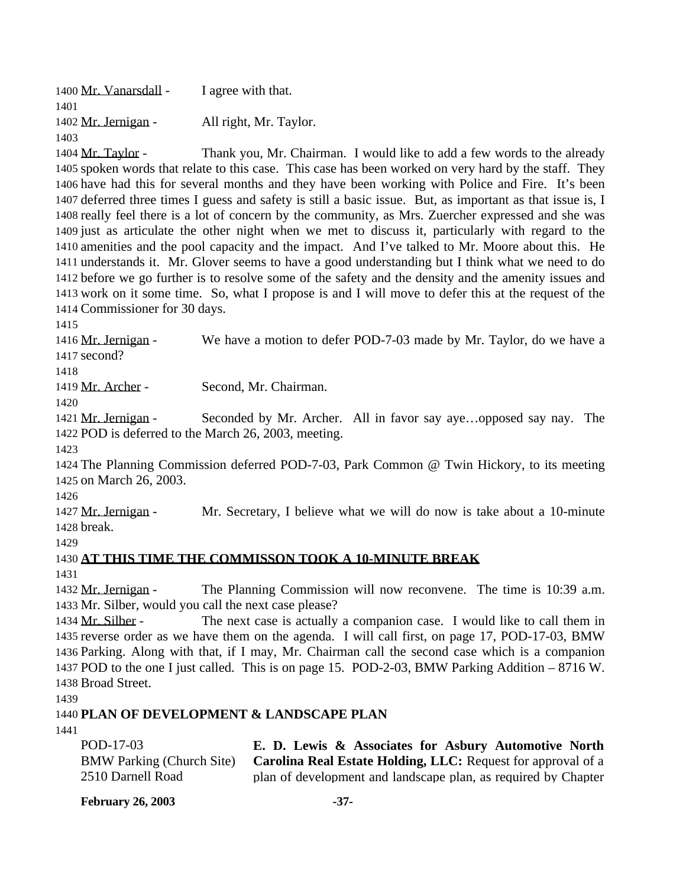| 1400 Mr. Vanarsdall - | I agree with that.     |
|-----------------------|------------------------|
| 1401                  |                        |
| 1402 Mr. Jernigan -   | All right, Mr. Taylor. |
| 1403                  |                        |
| 1404 Mr. Taylor -     | Thank you, Mr. Chairr  |

man. I would like to add a few words to the already spoken words that relate to this case. This case has been worked on very hard by the staff. They have had this for several months and they have been working with Police and Fire. It's been deferred three times I guess and safety is still a basic issue. But, as important as that issue is, I really feel there is a lot of concern by the community, as Mrs. Zuercher expressed and she was just as articulate the other night when we met to discuss it, particularly with regard to the amenities and the pool capacity and the impact. And I've talked to Mr. Moore about this. He understands it. Mr. Glover seems to have a good understanding but I think what we need to do before we go further is to resolve some of the safety and the density and the amenity issues and work on it some time. So, what I propose is and I will move to defer this at the request of the Commissioner for 30 days.

 Mr. Jernigan - We have a motion to defer POD-7-03 made by Mr. Taylor, do we have a second?

Mr. Archer - Second, Mr. Chairman.

 Mr. Jernigan - Seconded by Mr. Archer. All in favor say aye…opposed say nay. The POD is deferred to the March 26, 2003, meeting.

 The Planning Commission deferred POD-7-03, Park Common @ Twin Hickory, to its meeting on March 26, 2003.

 Mr. Jernigan - Mr. Secretary, I believe what we will do now is take about a 10-minute break.

## **AT THIS TIME THE COMMISSON TOOK A 10-MINUTE BREAK**

 Mr. Jernigan - The Planning Commission will now reconvene. The time is 10:39 a.m. Mr. Silber, would you call the next case please?

1434 Mr. Silber - The next case is actually a companion case. I would like to call them in reverse order as we have them on the agenda. I will call first, on page 17, POD-17-03, BMW Parking. Along with that, if I may, Mr. Chairman call the second case which is a companion POD to the one I just called. This is on page 15. POD-2-03, BMW Parking Addition – 8716 W. Broad Street.

### **PLAN OF DEVELOPMENT & LANDSCAPE PLAN**

| POD-17-03         | E. D. Lewis & Associates for Asbury Automotive North                                          |
|-------------------|-----------------------------------------------------------------------------------------------|
|                   | BMW Parking (Church Site) <b>Carolina Real Estate Holding, LLC:</b> Request for approval of a |
| 2510 Darnell Road | plan of development and landscape plan, as required by Chapter                                |

**February 26, 2003 -37-**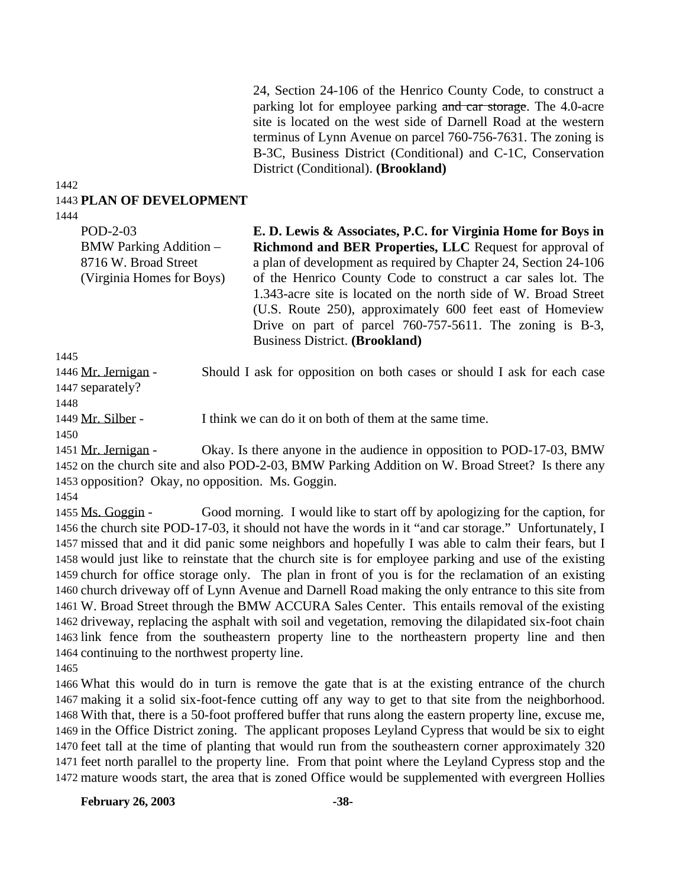24, Section 24-106 of the Henrico County Code, to construct a parking lot for employee parking and car storage. The 4.0-acre site is located on the west side of Darnell Road at the western terminus of Lynn Avenue on parcel 760-756-7631. The zoning is B-3C, Business District (Conditional) and C-1C, Conservation District (Conditional). **(Brookland)**

#### 1442 1443 **PLAN OF DEVELOPMENT**

1444

POD-2-03 BMW Parking Addition – 8716 W. Broad Street (Virginia Homes for Boys)

**E. D. Lewis & Associates, P.C. for Virginia Home for Boys in Richmond and BER Properties, LLC** Request for approval of a plan of development as required by Chapter 24, Section 24-106 of the Henrico County Code to construct a car sales lot. The 1.343-acre site is located on the north side of W. Broad Street (U.S. Route 250), approximately 600 feet east of Homeview Drive on part of parcel 760-757-5611. The zoning is B-3, Business District. **(Brookland)**

1445

1446 Mr. Jernigan - Should I ask for opposition on both cases or should I ask for each case

1447 separately?

1448

1449 Mr. Silber - I think we can do it on both of them at the same time.

1450

1451 Mr. Jernigan - Okay. Is there anyone in the audience in opposition to POD-17-03, BMW 1452 on the church site and also POD-2-03, BMW Parking Addition on W. Broad Street? Is there any 1453 opposition? Okay, no opposition. Ms. Goggin.

1454

 Ms. Goggin - Good morning. I would like to start off by apologizing for the caption, for the church site POD-17-03, it should not have the words in it "and car storage." Unfortunately, I missed that and it did panic some neighbors and hopefully I was able to calm their fears, but I would just like to reinstate that the church site is for employee parking and use of the existing church for office storage only. The plan in front of you is for the reclamation of an existing church driveway off of Lynn Avenue and Darnell Road making the only entrance to this site from W. Broad Street through the BMW ACCURA Sales Center. This entails removal of the existing driveway, replacing the asphalt with soil and vegetation, removing the dilapidated six-foot chain link fence from the southeastern property line to the northeastern property line and then continuing to the northwest property line.

1465

 What this would do in turn is remove the gate that is at the existing entrance of the church making it a solid six-foot-fence cutting off any way to get to that site from the neighborhood. With that, there is a 50-foot proffered buffer that runs along the eastern property line, excuse me, in the Office District zoning. The applicant proposes Leyland Cypress that would be six to eight feet tall at the time of planting that would run from the southeastern corner approximately 320 feet north parallel to the property line. From that point where the Leyland Cypress stop and the mature woods start, the area that is zoned Office would be supplemented with evergreen Hollies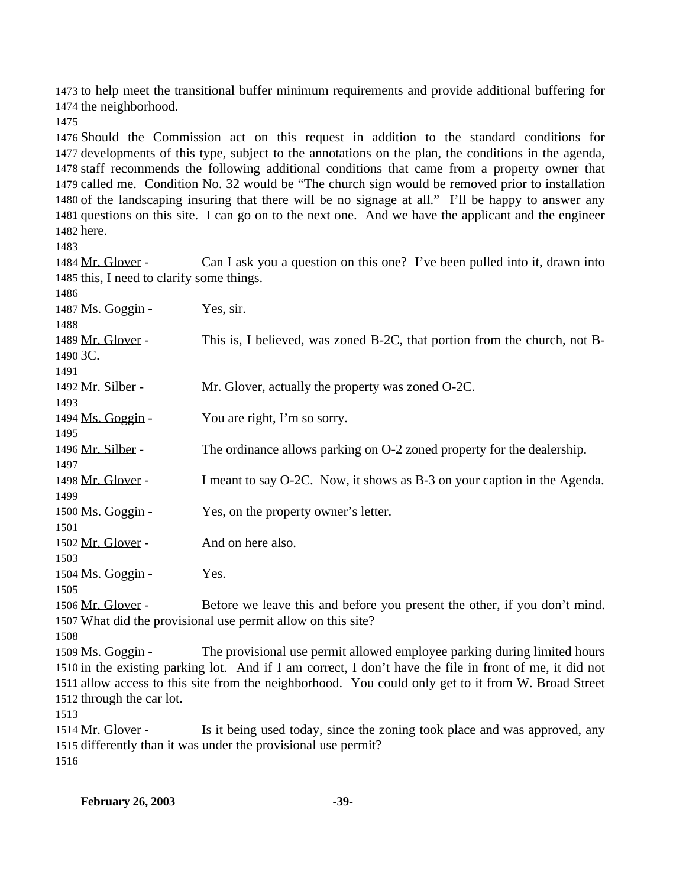to help meet the transitional buffer minimum requirements and provide additional buffering for the neighborhood.

 Should the Commission act on this request in addition to the standard conditions for developments of this type, subject to the annotations on the plan, the conditions in the agenda, staff recommends the following additional conditions that came from a property owner that called me. Condition No. 32 would be "The church sign would be removed prior to installation of the landscaping insuring that there will be no signage at all." I'll be happy to answer any questions on this site. I can go on to the next one. And we have the applicant and the engineer here.

 Mr. Glover - Can I ask you a question on this one? I've been pulled into it, drawn into this, I need to clarify some things.

| 1486              |                                                                           |
|-------------------|---------------------------------------------------------------------------|
| 1487 Ms. Goggin - | Yes, sir.                                                                 |
| 1488              |                                                                           |
| 1489 Mr. Glover - | This is, I believed, was zoned B-2C, that portion from the church, not B- |
| 1490 3C.          |                                                                           |
| 1491              |                                                                           |
| 1492 Mr. Silber - | Mr. Glover, actually the property was zoned O-2C.                         |
| 1493              |                                                                           |
| 1494 Ms. Goggin - | You are right, I'm so sorry.                                              |
| 1495              |                                                                           |
| 1496 Mr. Silber - | The ordinance allows parking on O-2 zoned property for the dealership.    |
| 1497              |                                                                           |
| 1498 Mr. Glover - | I meant to say O-2C. Now, it shows as B-3 on your caption in the Agenda.  |
| 1499              |                                                                           |
| 1500 Ms. Goggin - | Yes, on the property owner's letter.                                      |
| 1501              |                                                                           |
| 1502 Mr. Glover - | And on here also.                                                         |
| 1503              |                                                                           |
| 1504 Ms. Goggin - | Yes.                                                                      |
| 1505              |                                                                           |
| 1506 Mr. Glover - | Before we leave this and before you present the other, if you don't mind. |
|                   | 1507 What did the provisional use permit allow on this site?              |

 Ms. Goggin - The provisional use permit allowed employee parking during limited hours in the existing parking lot. And if I am correct, I don't have the file in front of me, it did not allow access to this site from the neighborhood. You could only get to it from W. Broad Street through the car lot.

1514 Mr. Glover - Is it being used today, since the zoning took place and was approved, any differently than it was under the provisional use permit?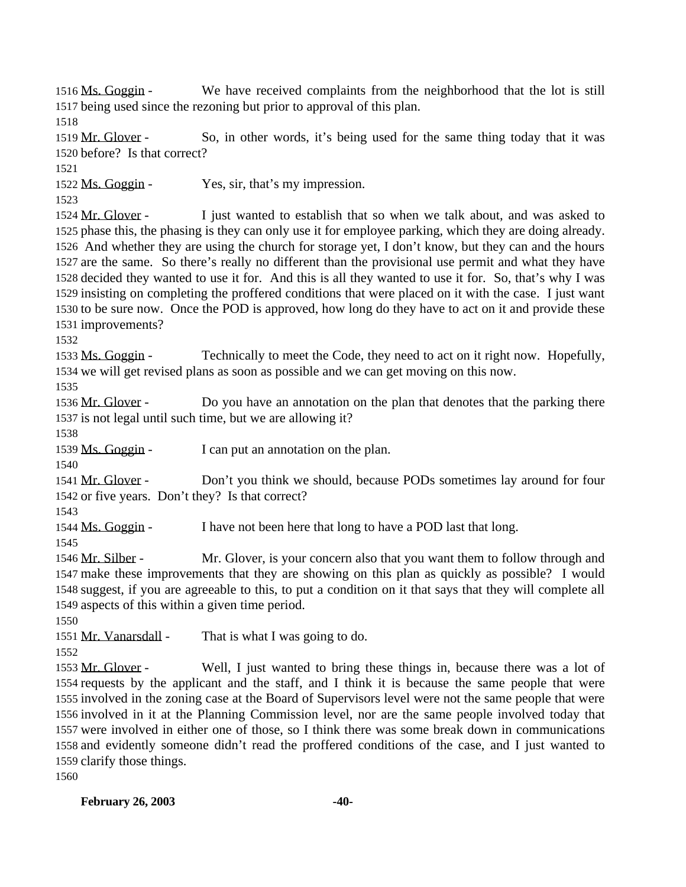Ms. Goggin - We have received complaints from the neighborhood that the lot is still being used since the rezoning but prior to approval of this plan.

 Mr. Glover - So, in other words, it's being used for the same thing today that it was before? Is that correct?

Ms. Goggin - Yes, sir, that's my impression.

1524 Mr. Glover - I just wanted to establish that so when we talk about, and was asked to phase this, the phasing is they can only use it for employee parking, which they are doing already. And whether they are using the church for storage yet, I don't know, but they can and the hours are the same. So there's really no different than the provisional use permit and what they have decided they wanted to use it for. And this is all they wanted to use it for. So, that's why I was insisting on completing the proffered conditions that were placed on it with the case. I just want to be sure now. Once the POD is approved, how long do they have to act on it and provide these improvements?

 Ms. Goggin - Technically to meet the Code, they need to act on it right now. Hopefully, we will get revised plans as soon as possible and we can get moving on this now.

1536 Mr. Glover - Do you have an annotation on the plan that denotes that the parking there is not legal until such time, but we are allowing it?

1539 Ms. Goggin - I can put an annotation on the plan.

 Mr. Glover - Don't you think we should, because PODs sometimes lay around for four or five years. Don't they? Is that correct?

Ms. Goggin - I have not been here that long to have a POD last that long.

 Mr. Silber - Mr. Glover, is your concern also that you want them to follow through and make these improvements that they are showing on this plan as quickly as possible? I would suggest, if you are agreeable to this, to put a condition on it that says that they will complete all aspects of this within a given time period.

1551 Mr. Vanarsdall - That is what I was going to do.

 Mr. Glover - Well, I just wanted to bring these things in, because there was a lot of requests by the applicant and the staff, and I think it is because the same people that were involved in the zoning case at the Board of Supervisors level were not the same people that were involved in it at the Planning Commission level, nor are the same people involved today that were involved in either one of those, so I think there was some break down in communications and evidently someone didn't read the proffered conditions of the case, and I just wanted to clarify those things.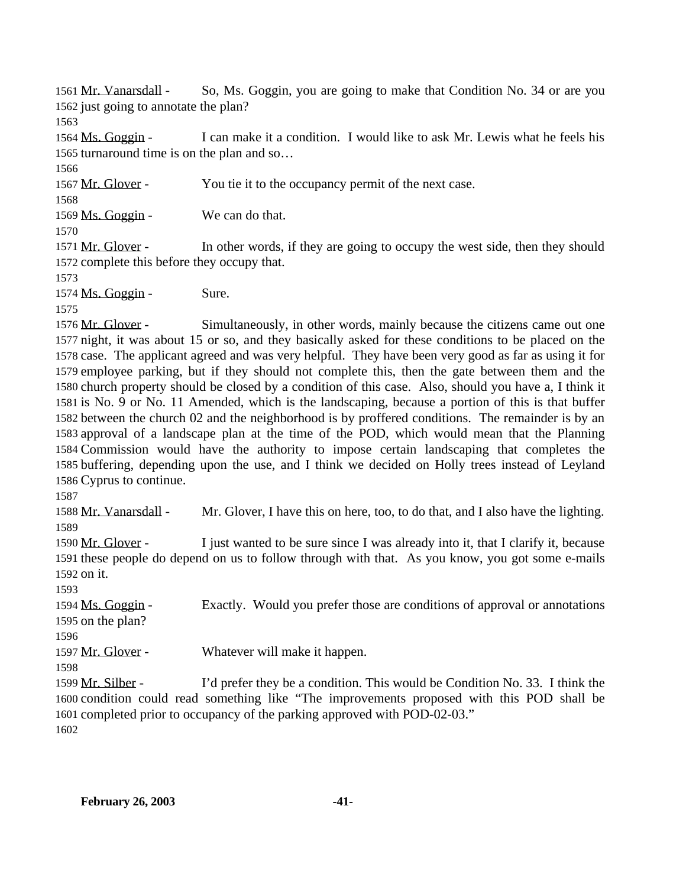Mr. Vanarsdall - So, Ms. Goggin, you are going to make that Condition No. 34 or are you just going to annotate the plan? 

 Ms. Goggin - I can make it a condition. I would like to ask Mr. Lewis what he feels his turnaround time is on the plan and so…

1567 Mr. Glover - You tie it to the occupancy permit of the next case. 1569 Ms. Goggin - We can do that. 1571 Mr. Glover - In other words, if they are going to occupy the west side, then they should complete this before they occupy that. 1574 Ms. Goggin - Sure. 

 Mr. Glover - Simultaneously, in other words, mainly because the citizens came out one night, it was about 15 or so, and they basically asked for these conditions to be placed on the case. The applicant agreed and was very helpful. They have been very good as far as using it for employee parking, but if they should not complete this, then the gate between them and the church property should be closed by a condition of this case. Also, should you have a, I think it is No. 9 or No. 11 Amended, which is the landscaping, because a portion of this is that buffer between the church 02 and the neighborhood is by proffered conditions. The remainder is by an approval of a landscape plan at the time of the POD, which would mean that the Planning Commission would have the authority to impose certain landscaping that completes the buffering, depending upon the use, and I think we decided on Holly trees instead of Leyland Cyprus to continue.

 Mr. Vanarsdall - Mr. Glover, I have this on here, too, to do that, and I also have the lighting. 

 Mr. Glover - I just wanted to be sure since I was already into it, that I clarify it, because these people do depend on us to follow through with that. As you know, you got some e-mails on it.

 Ms. Goggin - Exactly. Would you prefer those are conditions of approval or annotations on the plan? Mr. Glover - Whatever will make it happen. Mr. Silber - I'd prefer they be a condition. This would be Condition No. 33. I think the condition could read something like "The improvements proposed with this POD shall be completed prior to occupancy of the parking approved with POD-02-03."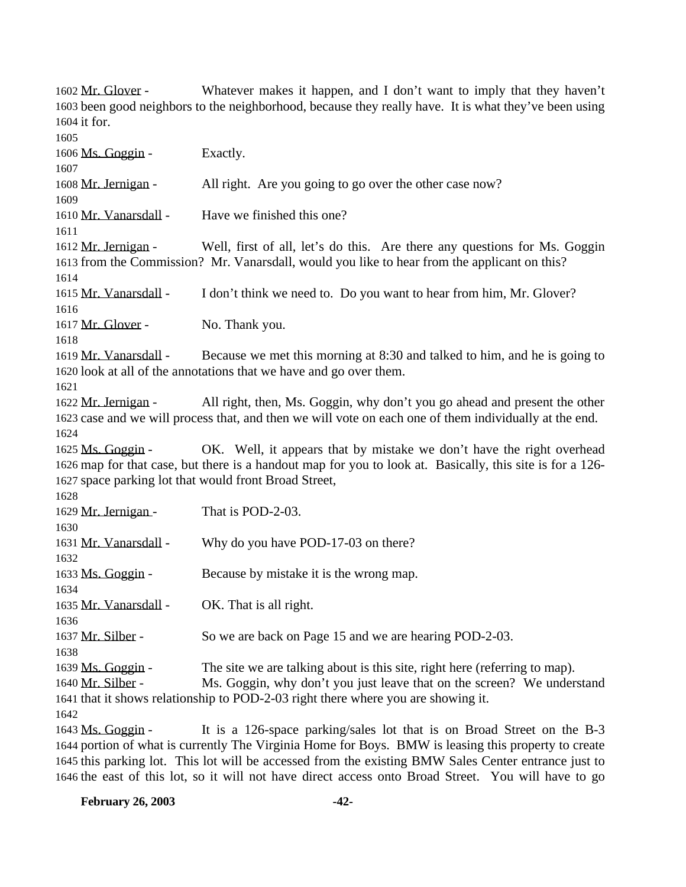Mr. Glover - Whatever makes it happen, and I don't want to imply that they haven't been good neighbors to the neighborhood, because they really have. It is what they've been using it for. 1606 Ms. Goggin - Exactly. Mr. Jernigan - All right. Are you going to go over the other case now? 1610 Mr. Vanarsdall - Have we finished this one? 1612 Mr. Jernigan - Well, first of all, let's do this. Are there any questions for Ms. Goggin from the Commission? Mr. Vanarsdall, would you like to hear from the applicant on this? Mr. Vanarsdall - I don't think we need to. Do you want to hear from him, Mr. Glover? 1617 Mr. Glover - No. Thank you. Mr. Vanarsdall - Because we met this morning at 8:30 and talked to him, and he is going to look at all of the annotations that we have and go over them. Mr. Jernigan - All right, then, Ms. Goggin, why don't you go ahead and present the other case and we will process that, and then we will vote on each one of them individually at the end. 1625 Ms. Goggin - OK. Well, it appears that by mistake we don't have the right overhead map for that case, but there is a handout map for you to look at. Basically, this site is for a 126- space parking lot that would front Broad Street, 1629 Mr. Jernigan - That is POD-2-03. 1631 Mr. Vanarsdall - Why do you have POD-17-03 on there? Ms. Goggin - Because by mistake it is the wrong map. 1635 Mr. Vanarsdall - OK. That is all right. 1637 Mr. Silber - So we are back on Page 15 and we are hearing POD-2-03. Ms. Goggin - The site we are talking about is this site, right here (referring to map). 1640 Mr. Silber - Ms. Goggin, why don't you just leave that on the screen? We understand that it shows relationship to POD-2-03 right there where you are showing it. Ms. Goggin - It is a 126-space parking/sales lot that is on Broad Street on the B-3 portion of what is currently The Virginia Home for Boys. BMW is leasing this property to create this parking lot. This lot will be accessed from the existing BMW Sales Center entrance just to

the east of this lot, so it will not have direct access onto Broad Street. You will have to go

**February 26, 2003 -42-**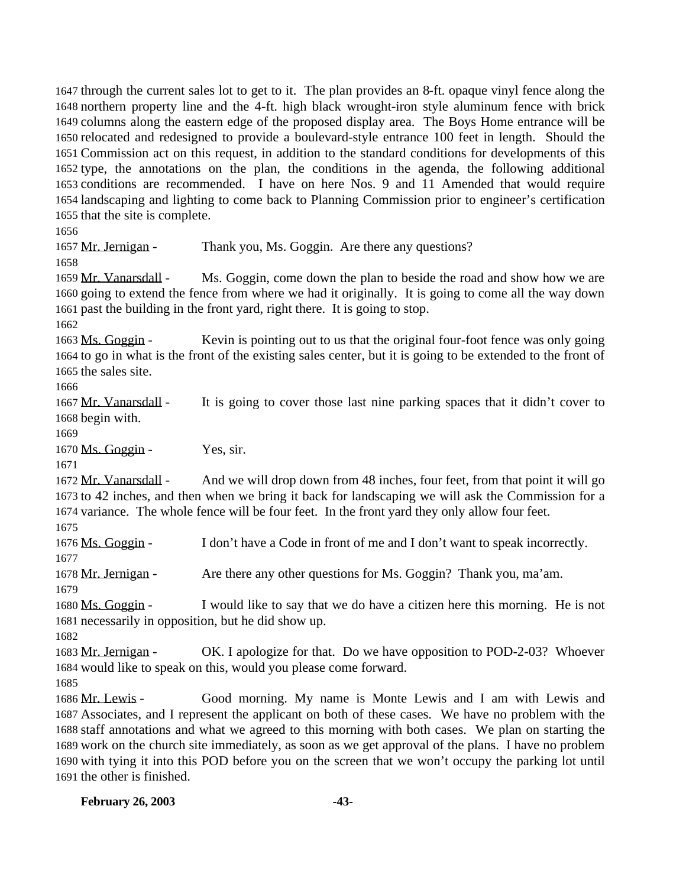through the current sales lot to get to it. The plan provides an 8-ft. opaque vinyl fence along the northern property line and the 4-ft. high black wrought-iron style aluminum fence with brick columns along the eastern edge of the proposed display area. The Boys Home entrance will be relocated and redesigned to provide a boulevard-style entrance 100 feet in length. Should the Commission act on this request, in addition to the standard conditions for developments of this type, the annotations on the plan, the conditions in the agenda, the following additional conditions are recommended. I have on here Nos. 9 and 11 Amended that would require landscaping and lighting to come back to Planning Commission prior to engineer's certification that the site is complete.

1657 Mr. Jernigan - Thank you, Ms. Goggin. Are there any questions? Mr. Vanarsdall - Ms. Goggin, come down the plan to beside the road and show how we are

 going to extend the fence from where we had it originally. It is going to come all the way down past the building in the front yard, right there. It is going to stop.

1663 Ms. Goggin - Kevin is pointing out to us that the original four-foot fence was only going to go in what is the front of the existing sales center, but it is going to be extended to the front of the sales site.

 Mr. Vanarsdall - It is going to cover those last nine parking spaces that it didn't cover to begin with.

Ms. Goggin - Yes, sir.

 Mr. Vanarsdall - And we will drop down from 48 inches, four feet, from that point it will go to 42 inches, and then when we bring it back for landscaping we will ask the Commission for a variance. The whole fence will be four feet. In the front yard they only allow four feet.

 Ms. Goggin - I don't have a Code in front of me and I don't want to speak incorrectly. 

Mr. Jernigan - Are there any other questions for Ms. Goggin? Thank you, ma'am.

 Ms. Goggin - I would like to say that we do have a citizen here this morning. He is not necessarily in opposition, but he did show up.

 Mr. Jernigan - OK. I apologize for that. Do we have opposition to POD-2-03? Whoever would like to speak on this, would you please come forward.

 Mr. Lewis - Good morning. My name is Monte Lewis and I am with Lewis and Associates, and I represent the applicant on both of these cases. We have no problem with the staff annotations and what we agreed to this morning with both cases. We plan on starting the work on the church site immediately, as soon as we get approval of the plans. I have no problem with tying it into this POD before you on the screen that we won't occupy the parking lot until the other is finished.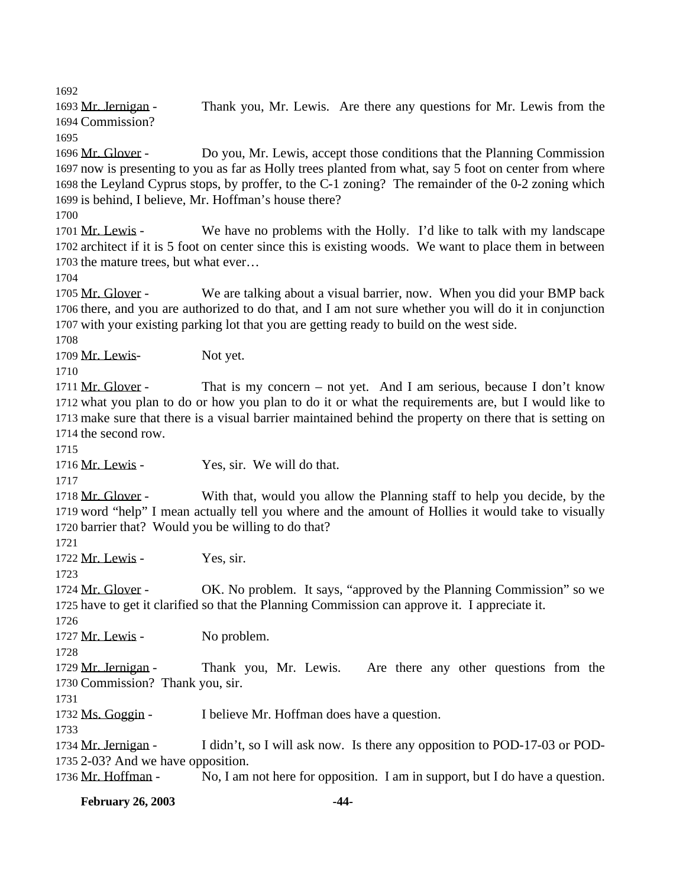Mr. Jernigan - Thank you, Mr. Lewis. Are there any questions for Mr. Lewis from the Commission?

 Mr. Glover - Do you, Mr. Lewis, accept those conditions that the Planning Commission now is presenting to you as far as Holly trees planted from what, say 5 foot on center from where the Leyland Cyprus stops, by proffer, to the C-1 zoning? The remainder of the 0-2 zoning which is behind, I believe, Mr. Hoffman's house there?

1701 Mr. Lewis - We have no problems with the Holly. I'd like to talk with my landscape architect if it is 5 foot on center since this is existing woods. We want to place them in between the mature trees, but what ever…

1705 Mr. Glover - We are talking about a visual barrier, now. When you did your BMP back there, and you are authorized to do that, and I am not sure whether you will do it in conjunction with your existing parking lot that you are getting ready to build on the west side.

1709 Mr. Lewis- Not yet.

1711 Mr. Glover - That is my concern – not yet. And I am serious, because I don't know what you plan to do or how you plan to do it or what the requirements are, but I would like to make sure that there is a visual barrier maintained behind the property on there that is setting on the second row.

1716 Mr. Lewis - Yes, sir. We will do that.

 Mr. Glover - With that, would you allow the Planning staff to help you decide, by the word "help" I mean actually tell you where and the amount of Hollies it would take to visually barrier that? Would you be willing to do that?

Mr. Lewis - Yes, sir.

1724 Mr. Glover - OK. No problem. It says, "approved by the Planning Commission" so we have to get it clarified so that the Planning Commission can approve it. I appreciate it.

1727 Mr. Lewis - No problem.

 Mr. Jernigan - Thank you, Mr. Lewis. Are there any other questions from the Commission? Thank you, sir.

1732 Ms. Goggin - I believe Mr. Hoffman does have a question.

 Mr. Jernigan - I didn't, so I will ask now. Is there any opposition to POD-17-03 or POD-2-03? And we have opposition.

Mr. Hoffman - No, I am not here for opposition. I am in support, but I do have a question.

**February 26, 2003 -44-**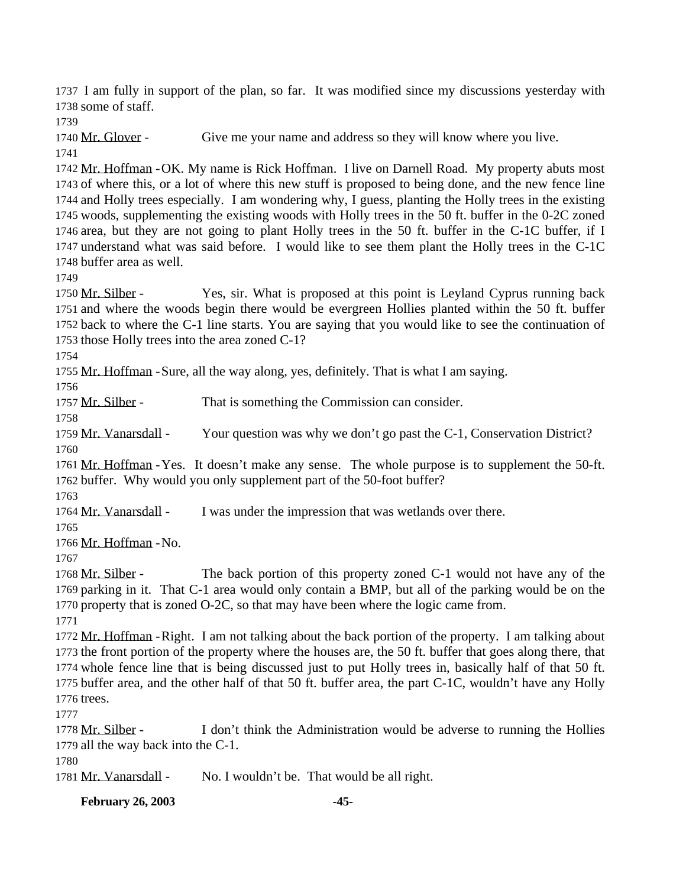I am fully in support of the plan, so far. It was modified since my discussions yesterday with some of staff.

Mr. Glover - Give me your name and address so they will know where you live.

 Mr. Hoffman -OK. My name is Rick Hoffman. I live on Darnell Road. My property abuts most of where this, or a lot of where this new stuff is proposed to being done, and the new fence line and Holly trees especially. I am wondering why, I guess, planting the Holly trees in the existing woods, supplementing the existing woods with Holly trees in the 50 ft. buffer in the 0-2C zoned area, but they are not going to plant Holly trees in the 50 ft. buffer in the C-1C buffer, if I understand what was said before. I would like to see them plant the Holly trees in the C-1C buffer area as well.

1750 Mr. Silber - Yes, sir. What is proposed at this point is Leyland Cyprus running back and where the woods begin there would be evergreen Hollies planted within the 50 ft. buffer back to where the C-1 line starts. You are saying that you would like to see the continuation of those Holly trees into the area zoned C-1?

Mr. Hoffman -Sure, all the way along, yes, definitely. That is what I am saying.

1757 Mr. Silber - That is something the Commission can consider.

 Mr. Vanarsdall - Your question was why we don't go past the C-1, Conservation District? 

 Mr. Hoffman -Yes. It doesn't make any sense. The whole purpose is to supplement the 50-ft. buffer. Why would you only supplement part of the 50-foot buffer?

1764 Mr. Vanarsdall - I was under the impression that was wetlands over there.

Mr. Hoffman -No.

1768 Mr. Silber - The back portion of this property zoned C-1 would not have any of the parking in it. That C-1 area would only contain a BMP, but all of the parking would be on the property that is zoned O-2C, so that may have been where the logic came from. 

 Mr. Hoffman -Right. I am not talking about the back portion of the property. I am talking about the front portion of the property where the houses are, the 50 ft. buffer that goes along there, that whole fence line that is being discussed just to put Holly trees in, basically half of that 50 ft. buffer area, and the other half of that 50 ft. buffer area, the part C-1C, wouldn't have any Holly trees.

 Mr. Silber - I don't think the Administration would be adverse to running the Hollies all the way back into the C-1.

1781 Mr. Vanarsdall - No. I wouldn't be. That would be all right.

**February 26, 2003 -45-**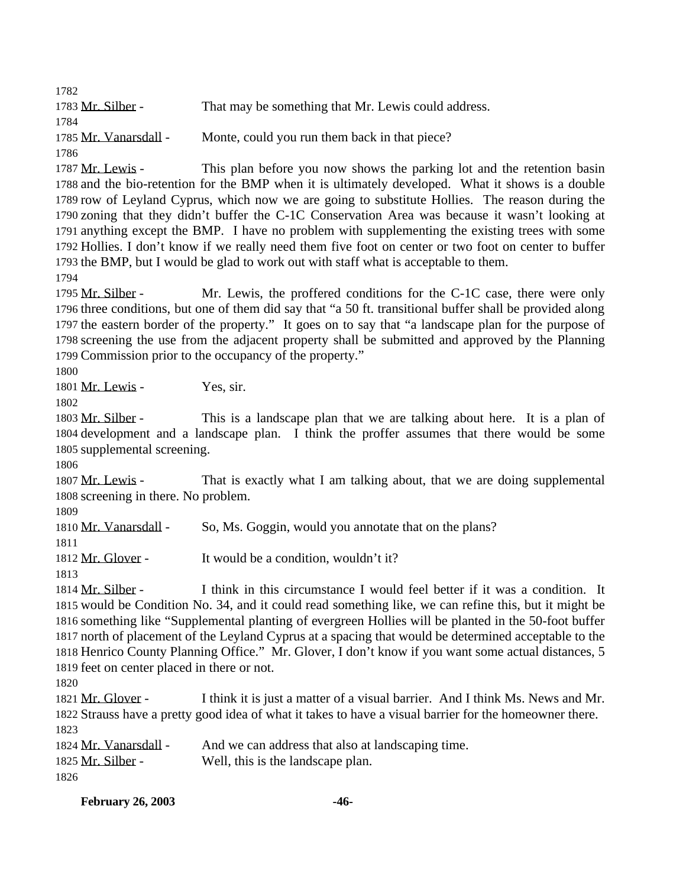1783 Mr. Silber - That may be something that Mr. Lewis could address. 1785 Mr. Vanarsdall - Monte, could you run them back in that piece? 1787 Mr. Lewis - This plan before you now shows the parking lot and the retention basin and the bio-retention for the BMP when it is ultimately developed. What it shows is a double

 row of Leyland Cyprus, which now we are going to substitute Hollies. The reason during the zoning that they didn't buffer the C-1C Conservation Area was because it wasn't looking at anything except the BMP. I have no problem with supplementing the existing trees with some Hollies. I don't know if we really need them five foot on center or two foot on center to buffer the BMP, but I would be glad to work out with staff what is acceptable to them.

1795 Mr. Silber - Mr. Lewis, the proffered conditions for the C-1C case, there were only three conditions, but one of them did say that "a 50 ft. transitional buffer shall be provided along the eastern border of the property." It goes on to say that "a landscape plan for the purpose of screening the use from the adjacent property shall be submitted and approved by the Planning Commission prior to the occupancy of the property."

1801 Mr. Lewis - Yes, sir.

1803 Mr. Silber - This is a landscape plan that we are talking about here. It is a plan of development and a landscape plan. I think the proffer assumes that there would be some supplemental screening.

1807 Mr. Lewis - That is exactly what I am talking about, that we are doing supplemental screening in there. No problem.

1810 Mr. Vanarsdall - So, Ms. Goggin, would you annotate that on the plans?

Mr. Glover - It would be a condition, wouldn't it?

 Mr. Silber - I think in this circumstance I would feel better if it was a condition. It would be Condition No. 34, and it could read something like, we can refine this, but it might be something like "Supplemental planting of evergreen Hollies will be planted in the 50-foot buffer north of placement of the Leyland Cyprus at a spacing that would be determined acceptable to the Henrico County Planning Office." Mr. Glover, I don't know if you want some actual distances, 5 feet on center placed in there or not.

1821 Mr. Glover - I think it is just a matter of a visual barrier. And I think Ms. News and Mr. Strauss have a pretty good idea of what it takes to have a visual barrier for the homeowner there. 

| 1824 Mr. Vanarsdall - | And we can address that also at landscaping time. |
|-----------------------|---------------------------------------------------|
| 1825 Mr. Silber -     | Well, this is the landscape plan.                 |
| 1826                  |                                                   |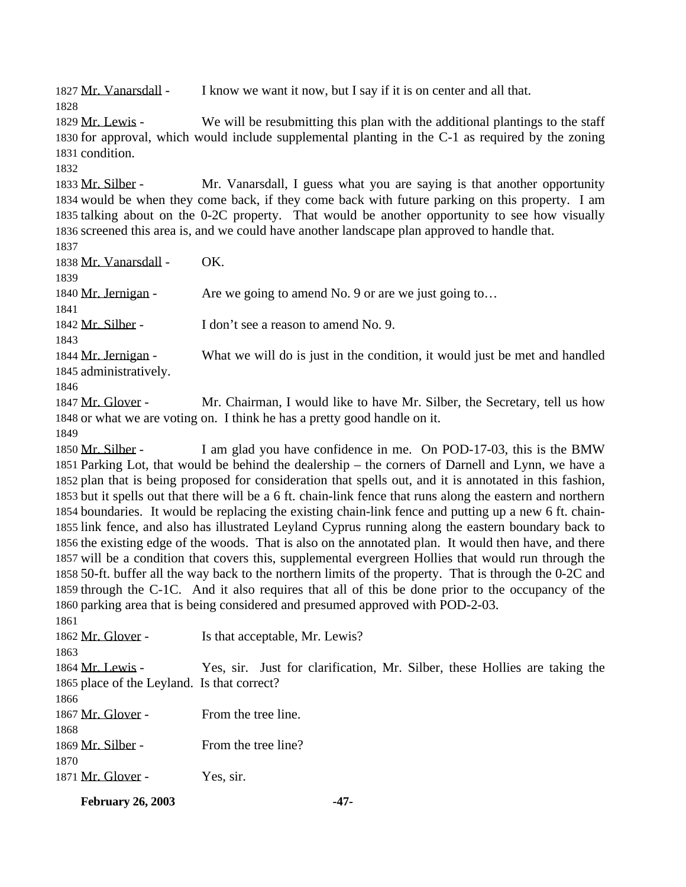1827 Mr. Vanarsdall - I know we want it now, but I say if it is on center and all that.

1829 Mr. Lewis - We will be resubmitting this plan with the additional plantings to the staff for approval, which would include supplemental planting in the C-1 as required by the zoning condition.

 Mr. Silber - Mr. Vanarsdall, I guess what you are saying is that another opportunity would be when they come back, if they come back with future parking on this property. I am talking about on the 0-2C property. That would be another opportunity to see how visually screened this area is, and we could have another landscape plan approved to handle that. 

| 1837                   |                                                                            |
|------------------------|----------------------------------------------------------------------------|
| 1838 Mr. Vanarsdall -  | OK.                                                                        |
| 1839                   |                                                                            |
| 1840 Mr. Jernigan -    | Are we going to amend No. 9 or are we just going to                        |
| 1841                   |                                                                            |
| 1842 Mr. Silber -      | I don't see a reason to amend No. 9.                                       |
| 1843                   |                                                                            |
| 1844 Mr. Jernigan -    | What we will do is just in the condition, it would just be met and handled |
| 1845 administratively. |                                                                            |
| 1846                   |                                                                            |
| 1847 Mr. Glover -      | Mr. Chairman, I would like to have Mr. Silber, the Secretary, tell us how  |
|                        | 1848 or what we are voting on. I think he has a pretty good handle on it.  |
| 1849                   |                                                                            |

 Mr. Silber - I am glad you have confidence in me. On POD-17-03, this is the BMW Parking Lot, that would be behind the dealership – the corners of Darnell and Lynn, we have a plan that is being proposed for consideration that spells out, and it is annotated in this fashion, but it spells out that there will be a 6 ft. chain-link fence that runs along the eastern and northern boundaries. It would be replacing the existing chain-link fence and putting up a new 6 ft. chain- link fence, and also has illustrated Leyland Cyprus running along the eastern boundary back to the existing edge of the woods. That is also on the annotated plan. It would then have, and there will be a condition that covers this, supplemental evergreen Hollies that would run through the 50-ft. buffer all the way back to the northern limits of the property. That is through the 0-2C and through the C-1C. And it also requires that all of this be done prior to the occupancy of the parking area that is being considered and presumed approved with POD-2-03.

| 1861                                        |                                                                            |
|---------------------------------------------|----------------------------------------------------------------------------|
| 1862 Mr. Glover -                           | Is that acceptable, Mr. Lewis?                                             |
| 1863                                        |                                                                            |
| 1864 Mr. Lewis -                            | Yes, sir. Just for clarification, Mr. Silber, these Hollies are taking the |
| 1865 place of the Leyland. Is that correct? |                                                                            |
| 1866                                        |                                                                            |
| 1867 Mr. Glover -                           | From the tree line.                                                        |
| 1868                                        |                                                                            |
| 1869 Mr. Silber -                           | From the tree line?                                                        |
| 1870                                        |                                                                            |
| 1871 Mr. Glover -                           | Yes, sir.                                                                  |
|                                             |                                                                            |

**February 26, 2003 -47-**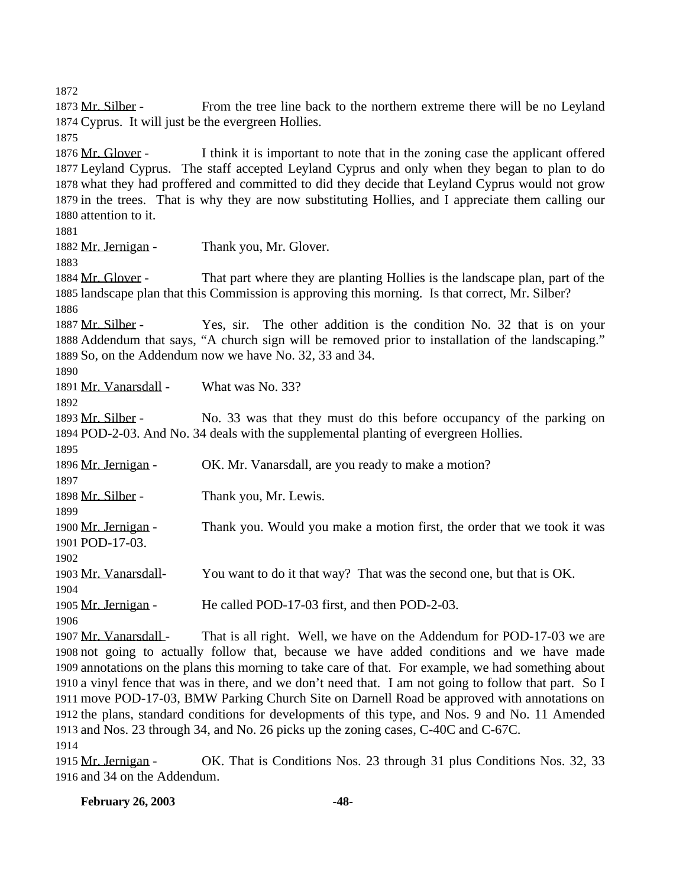1873 Mr. Silber - From the tree line back to the northern extreme there will be no Leyland Cyprus. It will just be the evergreen Hollies. 1876 Mr. Glover - I think it is important to note that in the zoning case the applicant offered

 Leyland Cyprus. The staff accepted Leyland Cyprus and only when they began to plan to do what they had proffered and committed to did they decide that Leyland Cyprus would not grow in the trees. That is why they are now substituting Hollies, and I appreciate them calling our attention to it.

1882 Mr. Jernigan - Thank you, Mr. Glover. Mr. Glover - That part where they are planting Hollies is the landscape plan, part of the landscape plan that this Commission is approving this morning. Is that correct, Mr. Silber? 1887 Mr. Silber - Yes, sir. The other addition is the condition No. 32 that is on your Addendum that says, "A church sign will be removed prior to installation of the landscaping." So, on the Addendum now we have No. 32, 33 and 34. Mr. Vanarsdall - What was No. 33? 1893 Mr. Silber - No. 33 was that they must do this before occupancy of the parking on POD-2-03. And No. 34 deals with the supplemental planting of evergreen Hollies. 1896 Mr. Jernigan - OK. Mr. Vanarsdall, are you ready to make a motion? 1898 Mr. Silber - Thank you, Mr. Lewis. 1900 Mr. Jernigan - Thank you. Would you make a motion first, the order that we took it was POD-17-03. Mr. Vanarsdall- You want to do it that way? That was the second one, but that is OK. Mr. Jernigan - He called POD-17-03 first, and then POD-2-03. 

1907 Mr. Vanarsdall - That is all right. Well, we have on the Addendum for POD-17-03 we are not going to actually follow that, because we have added conditions and we have made annotations on the plans this morning to take care of that. For example, we had something about a vinyl fence that was in there, and we don't need that. I am not going to follow that part. So I move POD-17-03, BMW Parking Church Site on Darnell Road be approved with annotations on the plans, standard conditions for developments of this type, and Nos. 9 and No. 11 Amended and Nos. 23 through 34, and No. 26 picks up the zoning cases, C-40C and C-67C. 

 Mr. Jernigan - OK. That is Conditions Nos. 23 through 31 plus Conditions Nos. 32, 33 and 34 on the Addendum.

**February 26, 2003 -48-**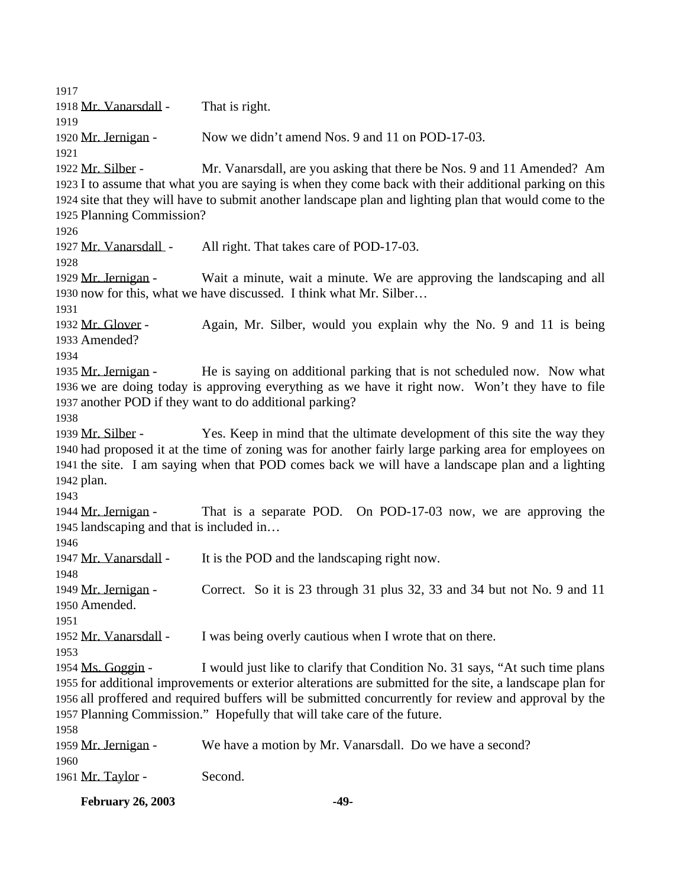1918 Mr. Vanarsdall - That is right. Mr. Jernigan - Now we didn't amend Nos. 9 and 11 on POD-17-03. Mr. Silber - Mr. Vanarsdall, are you asking that there be Nos. 9 and 11 Amended? Am I to assume that what you are saying is when they come back with their additional parking on this site that they will have to submit another landscape plan and lighting plan that would come to the Planning Commission? Mr. Vanarsdall - All right. That takes care of POD-17-03. Mr. Jernigan - Wait a minute, wait a minute. We are approving the landscaping and all now for this, what we have discussed. I think what Mr. Silber… Mr. Glover - Again, Mr. Silber, would you explain why the No. 9 and 11 is being Amended? Mr. Jernigan - He is saying on additional parking that is not scheduled now. Now what we are doing today is approving everything as we have it right now. Won't they have to file another POD if they want to do additional parking? 1939 Mr. Silber - Yes. Keep in mind that the ultimate development of this site the way they had proposed it at the time of zoning was for another fairly large parking area for employees on the site. I am saying when that POD comes back we will have a landscape plan and a lighting plan. Mr. Jernigan - That is a separate POD. On POD-17-03 now, we are approving the landscaping and that is included in… 1947 Mr. Vanarsdall - It is the POD and the landscaping right now. Mr. Jernigan - Correct. So it is 23 through 31 plus 32, 33 and 34 but not No. 9 and 11 Amended. 1952 Mr. Vanarsdall - I was being overly cautious when I wrote that on there. Ms. Goggin - I would just like to clarify that Condition No. 31 says, "At such time plans for additional improvements or exterior alterations are submitted for the site, a landscape plan for all proffered and required buffers will be submitted concurrently for review and approval by the Planning Commission." Hopefully that will take care of the future. Mr. Jernigan - We have a motion by Mr. Vanarsdall. Do we have a second? 1961 Mr. Taylor - Second.

**February 26, 2003 -49-**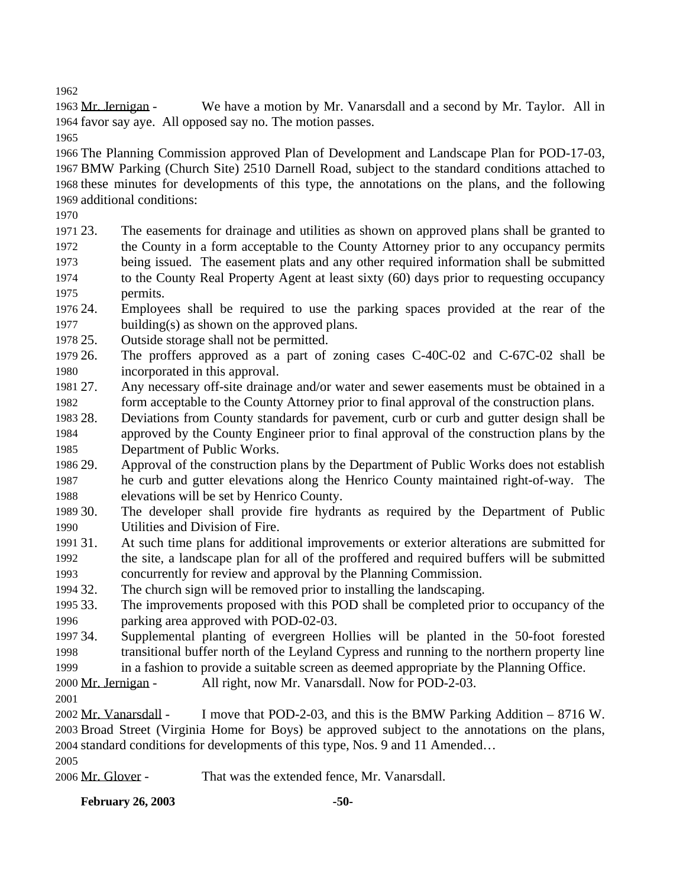Mr. Jernigan - We have a motion by Mr. Vanarsdall and a second by Mr. Taylor. All in favor say aye. All opposed say no. The motion passes.

 The Planning Commission approved Plan of Development and Landscape Plan for POD-17-03, BMW Parking (Church Site) 2510 Darnell Road, subject to the standard conditions attached to these minutes for developments of this type, the annotations on the plans, and the following additional conditions:

 23. The easements for drainage and utilities as shown on approved plans shall be granted to the County in a form acceptable to the County Attorney prior to any occupancy permits being issued. The easement plats and any other required information shall be submitted to the County Real Property Agent at least sixty (60) days prior to requesting occupancy permits.

 24. Employees shall be required to use the parking spaces provided at the rear of the building(s) as shown on the approved plans.

25. Outside storage shall not be permitted.

 26. The proffers approved as a part of zoning cases C-40C-02 and C-67C-02 shall be incorporated in this approval.

 27. Any necessary off-site drainage and/or water and sewer easements must be obtained in a form acceptable to the County Attorney prior to final approval of the construction plans.

 28. Deviations from County standards for pavement, curb or curb and gutter design shall be approved by the County Engineer prior to final approval of the construction plans by the Department of Public Works.

 29. Approval of the construction plans by the Department of Public Works does not establish he curb and gutter elevations along the Henrico County maintained right-of-way. The elevations will be set by Henrico County.

 30. The developer shall provide fire hydrants as required by the Department of Public Utilities and Division of Fire.

- 31. At such time plans for additional improvements or exterior alterations are submitted for the site, a landscape plan for all of the proffered and required buffers will be submitted concurrently for review and approval by the Planning Commission.
- 32. The church sign will be removed prior to installing the landscaping.

 33. The improvements proposed with this POD shall be completed prior to occupancy of the parking area approved with POD-02-03.

 34. Supplemental planting of evergreen Hollies will be planted in the 50-foot forested transitional buffer north of the Leyland Cypress and running to the northern property line

in a fashion to provide a suitable screen as deemed appropriate by the Planning Office.

Mr. Jernigan - All right, now Mr. Vanarsdall. Now for POD-2-03.

 Mr. Vanarsdall - I move that POD-2-03, and this is the BMW Parking Addition – 8716 W. Broad Street (Virginia Home for Boys) be approved subject to the annotations on the plans, standard conditions for developments of this type, Nos. 9 and 11 Amended…

Mr. Glover - That was the extended fence, Mr. Vanarsdall.

**February 26, 2003 -50-**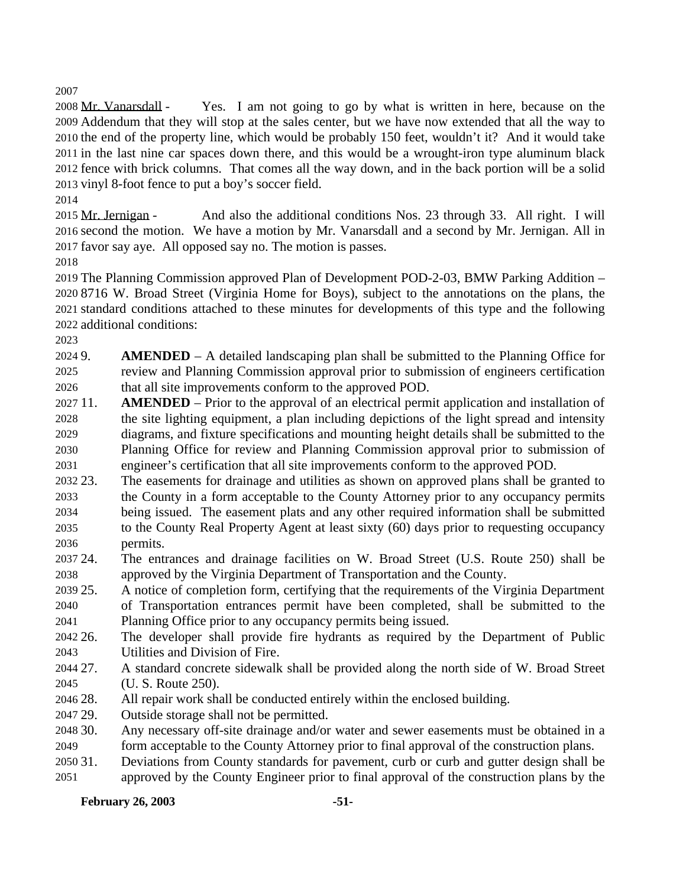Mr. Vanarsdall - Yes. I am not going to go by what is written in here, because on the Addendum that they will stop at the sales center, but we have now extended that all the way to the end of the property line, which would be probably 150 feet, wouldn't it? And it would take in the last nine car spaces down there, and this would be a wrought-iron type aluminum black fence with brick columns. That comes all the way down, and in the back portion will be a solid vinyl 8-foot fence to put a boy's soccer field.

 Mr. Jernigan - And also the additional conditions Nos. 23 through 33. All right. I will second the motion. We have a motion by Mr. Vanarsdall and a second by Mr. Jernigan. All in favor say aye. All opposed say no. The motion is passes.

 The Planning Commission approved Plan of Development POD-2-03, BMW Parking Addition – 8716 W. Broad Street (Virginia Home for Boys), subject to the annotations on the plans, the standard conditions attached to these minutes for developments of this type and the following additional conditions:

 9. **AMENDED** – A detailed landscaping plan shall be submitted to the Planning Office for review and Planning Commission approval prior to submission of engineers certification that all site improvements conform to the approved POD.

- 11. **AMENDED**  Prior to the approval of an electrical permit application and installation of the site lighting equipment, a plan including depictions of the light spread and intensity diagrams, and fixture specifications and mounting height details shall be submitted to the Planning Office for review and Planning Commission approval prior to submission of engineer's certification that all site improvements conform to the approved POD.
- 23. The easements for drainage and utilities as shown on approved plans shall be granted to the County in a form acceptable to the County Attorney prior to any occupancy permits being issued. The easement plats and any other required information shall be submitted to the County Real Property Agent at least sixty (60) days prior to requesting occupancy permits.
- 24. The entrances and drainage facilities on W. Broad Street (U.S. Route 250) shall be approved by the Virginia Department of Transportation and the County.
- 25. A notice of completion form, certifying that the requirements of the Virginia Department of Transportation entrances permit have been completed, shall be submitted to the Planning Office prior to any occupancy permits being issued.
- 26. The developer shall provide fire hydrants as required by the Department of Public Utilities and Division of Fire.
- 27. A standard concrete sidewalk shall be provided along the north side of W. Broad Street (U. S. Route 250).
- 28. All repair work shall be conducted entirely within the enclosed building.
- 29. Outside storage shall not be permitted.
- 30. Any necessary off-site drainage and/or water and sewer easements must be obtained in a form acceptable to the County Attorney prior to final approval of the construction plans.
- 31. Deviations from County standards for pavement, curb or curb and gutter design shall be approved by the County Engineer prior to final approval of the construction plans by the

## **February 26, 2003 -51-**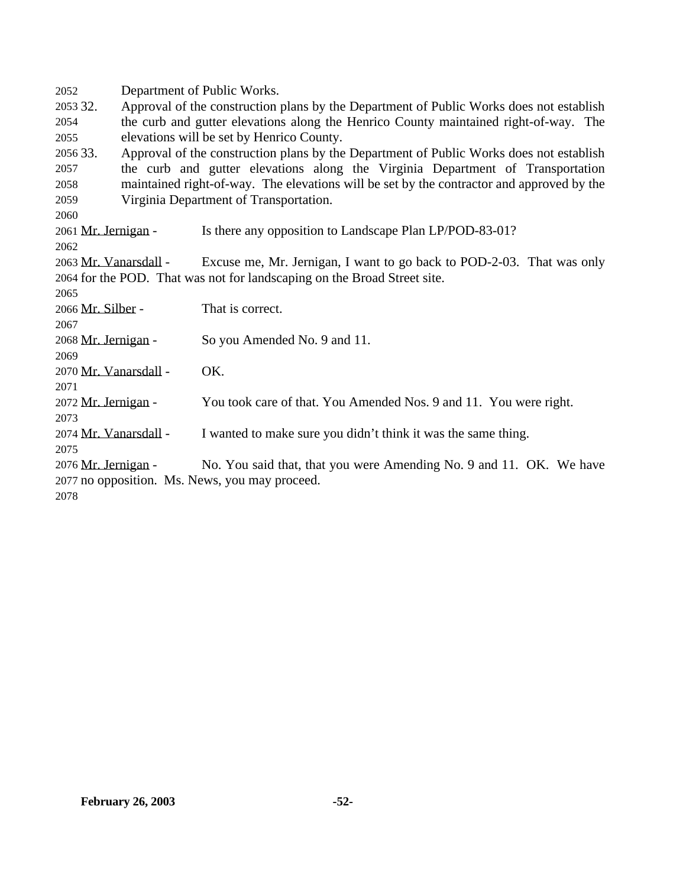Department of Public Works. 32. Approval of the construction plans by the Department of Public Works does not establish the curb and gutter elevations along the Henrico County maintained right-of-way. The elevations will be set by Henrico County. 33. Approval of the construction plans by the Department of Public Works does not establish the curb and gutter elevations along the Virginia Department of Transportation maintained right-of-way. The elevations will be set by the contractor and approved by the Virginia Department of Transportation. Mr. Jernigan - Is there any opposition to Landscape Plan LP/POD-83-01? Mr. Vanarsdall - Excuse me, Mr. Jernigan, I want to go back to POD-2-03. That was only for the POD. That was not for landscaping on the Broad Street site. Mr. Silber - That is correct. Mr. Jernigan - So you Amended No. 9 and 11. Mr. Vanarsdall - OK. Mr. Jernigan - You took care of that. You Amended Nos. 9 and 11. You were right. Mr. Vanarsdall - I wanted to make sure you didn't think it was the same thing. Mr. Jernigan - No. You said that, that you were Amending No. 9 and 11. OK. We have no opposition. Ms. News, you may proceed.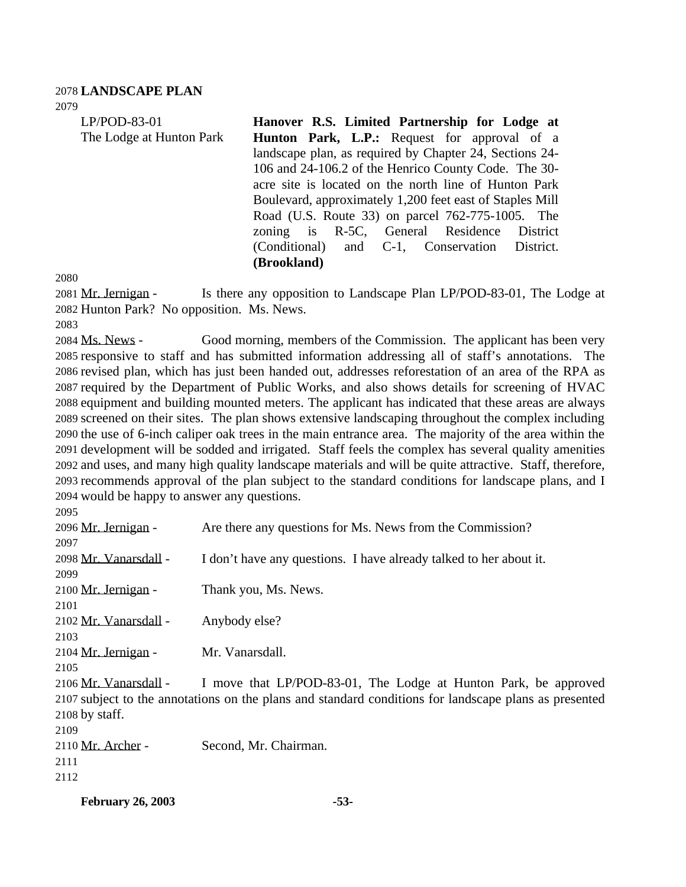### **LANDSCAPE PLAN**

| 2079                     |                                                          |  |
|--------------------------|----------------------------------------------------------|--|
| $LP/POD-83-01$           | Hanover R.S. Limited Partnership for Lodge at            |  |
| The Lodge at Hunton Park | Hunton Park, L.P.: Request for approval of a             |  |
|                          | landscape plan, as required by Chapter 24, Sections 24-  |  |
|                          | 106 and 24-106.2 of the Henrico County Code. The 30-     |  |
|                          | acre site is located on the north line of Hunton Park    |  |
|                          | Boulevard, approximately 1,200 feet east of Staples Mill |  |
|                          | Road (U.S. Route 33) on parcel 762-775-1005. The         |  |
|                          | zoning is R-5C, General Residence District               |  |
|                          | (Conditional) and C-1, Conservation District.            |  |
|                          | (Brookland)                                              |  |

2081 Mr. Jernigan - Is there any opposition to Landscape Plan LP/POD-83-01, The Lodge at Hunton Park? No opposition. Ms. News.

 Ms. News - Good morning, members of the Commission. The applicant has been very responsive to staff and has submitted information addressing all of staff's annotations. The revised plan, which has just been handed out, addresses reforestation of an area of the RPA as required by the Department of Public Works, and also shows details for screening of HVAC equipment and building mounted meters. The applicant has indicated that these areas are always screened on their sites. The plan shows extensive landscaping throughout the complex including the use of 6-inch caliper oak trees in the main entrance area. The majority of the area within the development will be sodded and irrigated. Staff feels the complex has several quality amenities and uses, and many high quality landscape materials and will be quite attractive. Staff, therefore, recommends approval of the plan subject to the standard conditions for landscape plans, and I would be happy to answer any questions.

 Mr. Jernigan - Are there any questions for Ms. News from the Commission? Mr. Vanarsdall - I don't have any questions. I have already talked to her about it. 2100 Mr. Jernigan - Thank you, Ms. News. Mr. Vanarsdall - Anybody else? Mr. Jernigan - Mr. Vanarsdall. Mr. Vanarsdall - I move that LP/POD-83-01, The Lodge at Hunton Park, be approved subject to the annotations on the plans and standard conditions for landscape plans as presented by staff. Mr. Archer - Second, Mr. Chairman.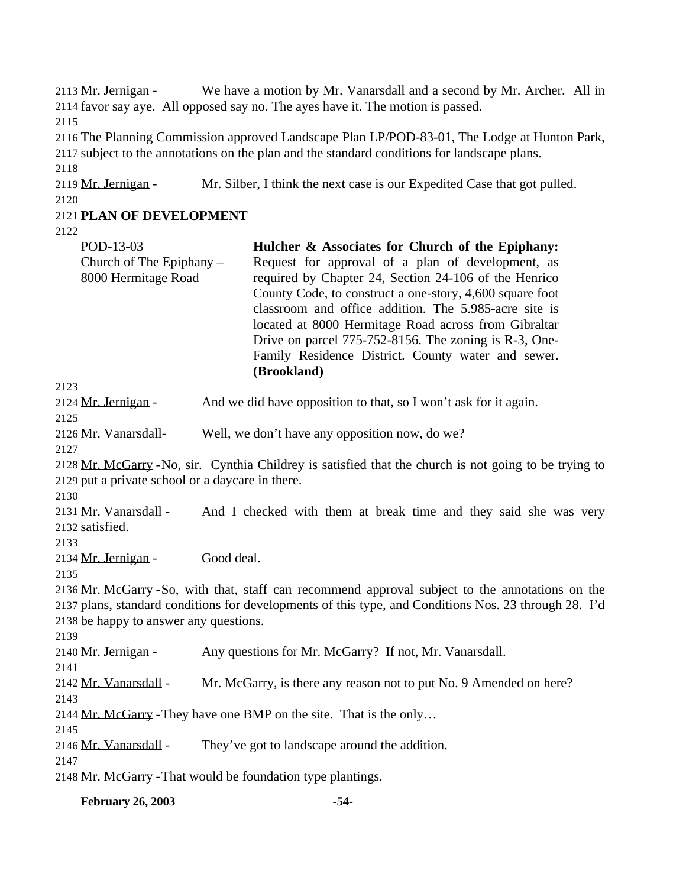Mr. Jernigan - We have a motion by Mr. Vanarsdall and a second by Mr. Archer. All in favor say aye. All opposed say no. The ayes have it. The motion is passed. The Planning Commission approved Landscape Plan LP/POD-83-01, The Lodge at Hunton Park, subject to the annotations on the plan and the standard conditions for landscape plans. Mr. Jernigan - Mr. Silber, I think the next case is our Expedited Case that got pulled. **PLAN OF DEVELOPMENT**  POD-13-03 Church of The Epiphany – 8000 Hermitage Road **Hulcher & Associates for Church of the Epiphany:** Request for approval of a plan of development, as required by Chapter 24, Section 24-106 of the Henrico County Code, to construct a one-story, 4,600 square foot classroom and office addition. The 5.985-acre site is located at 8000 Hermitage Road across from Gibraltar Drive on parcel 775-752-8156. The zoning is R-3, One-Family Residence District. County water and sewer. **(Brookland)** Mr. Jernigan - And we did have opposition to that, so I won't ask for it again. Mr. Vanarsdall- Well, we don't have any opposition now, do we? Mr. McGarry -No, sir. Cynthia Childrey is satisfied that the church is not going to be trying to put a private school or a daycare in there. 2131 Mr. Vanarsdall - And I checked with them at break time and they said she was very satisfied. Mr. Jernigan - Good deal. Mr. McGarry -So, with that, staff can recommend approval subject to the annotations on the plans, standard conditions for developments of this type, and Conditions Nos. 23 through 28. I'd be happy to answer any questions. Mr. Jernigan - Any questions for Mr. McGarry? If not, Mr. Vanarsdall. Mr. Vanarsdall - Mr. McGarry, is there any reason not to put No. 9 Amended on here? Mr. McGarry -They have one BMP on the site. That is the only… Mr. Vanarsdall - They've got to landscape around the addition. Mr. McGarry -That would be foundation type plantings.

**February 26, 2003 -54-**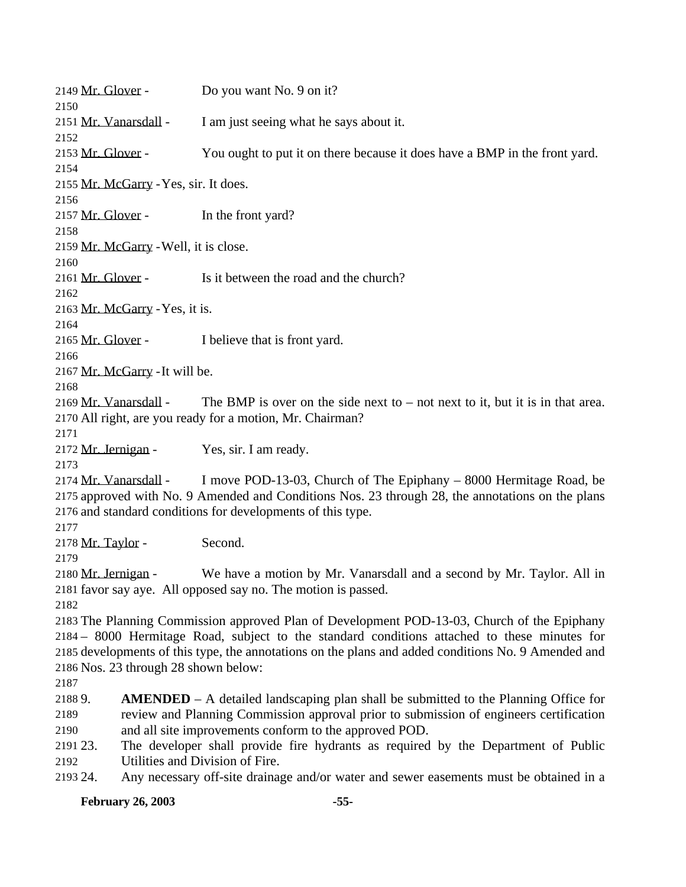2149 Mr. Glover - Do you want No. 9 on it? 2151 Mr. Vanarsdall - I am just seeing what he says about it. 2153 Mr. Glover - You ought to put it on there because it does have a BMP in the front yard. Mr. McGarry -Yes, sir. It does. 2157 Mr. Glover - In the front yard? Mr. McGarry -Well, it is close. Mr. Glover - Is it between the road and the church? Mr. McGarry -Yes, it is. 2165 Mr. Glover - I believe that is front yard. Mr. McGarry -It will be. 2169 Mr. Vanarsdall - The BMP is over on the side next to – not next to it, but it is in that area. All right, are you ready for a motion, Mr. Chairman? Mr. Jernigan - Yes, sir. I am ready. Mr. Vanarsdall - I move POD-13-03, Church of The Epiphany – 8000 Hermitage Road, be approved with No. 9 Amended and Conditions Nos. 23 through 28, the annotations on the plans and standard conditions for developments of this type. Mr. Taylor - Second. Mr. Jernigan - We have a motion by Mr. Vanarsdall and a second by Mr. Taylor. All in favor say aye. All opposed say no. The motion is passed. The Planning Commission approved Plan of Development POD-13-03, Church of the Epiphany – 8000 Hermitage Road, subject to the standard conditions attached to these minutes for developments of this type, the annotations on the plans and added conditions No. 9 Amended and Nos. 23 through 28 shown below: 9. **AMENDED** – A detailed landscaping plan shall be submitted to the Planning Office for review and Planning Commission approval prior to submission of engineers certification and all site improvements conform to the approved POD. 23. The developer shall provide fire hydrants as required by the Department of Public Utilities and Division of Fire. 24. Any necessary off-site drainage and/or water and sewer easements must be obtained in a

#### **February 26, 2003 -55-**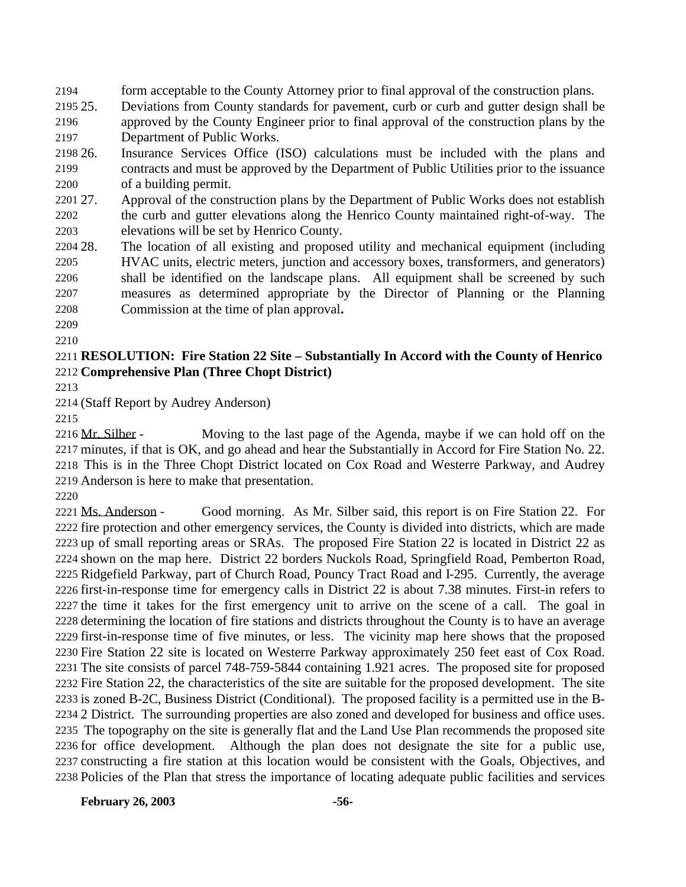form acceptable to the County Attorney prior to final approval of the construction plans.

 25. Deviations from County standards for pavement, curb or curb and gutter design shall be approved by the County Engineer prior to final approval of the construction plans by the

Department of Public Works.

 26. Insurance Services Office (ISO) calculations must be included with the plans and contracts and must be approved by the Department of Public Utilities prior to the issuance of a building permit.

 27. Approval of the construction plans by the Department of Public Works does not establish the curb and gutter elevations along the Henrico County maintained right-of-way. The elevations will be set by Henrico County.

 28. The location of all existing and proposed utility and mechanical equipment (including HVAC units, electric meters, junction and accessory boxes, transformers, and generators) shall be identified on the landscape plans. All equipment shall be screened by such measures as determined appropriate by the Director of Planning or the Planning Commission at the time of plan approval**.**

### **RESOLUTION: Fire Station 22 Site – Substantially In Accord with the County of Henrico Comprehensive Plan (Three Chopt District)**

(Staff Report by Audrey Anderson)

2216 Mr. Silber - Moving to the last page of the Agenda, maybe if we can hold off on the minutes, if that is OK, and go ahead and hear the Substantially in Accord for Fire Station No. 22. This is in the Three Chopt District located on Cox Road and Westerre Parkway, and Audrey Anderson is here to make that presentation.

 Ms. Anderson - Good morning. As Mr. Silber said, this report is on Fire Station 22. For fire protection and other emergency services, the County is divided into districts, which are made up of small reporting areas or SRAs. The proposed Fire Station 22 is located in District 22 as shown on the map here. District 22 borders Nuckols Road, Springfield Road, Pemberton Road, Ridgefield Parkway, part of Church Road, Pouncy Tract Road and I-295. Currently, the average first-in-response time for emergency calls in District 22 is about 7.38 minutes. First-in refers to the time it takes for the first emergency unit to arrive on the scene of a call. The goal in determining the location of fire stations and districts throughout the County is to have an average first-in-response time of five minutes, or less. The vicinity map here shows that the proposed Fire Station 22 site is located on Westerre Parkway approximately 250 feet east of Cox Road. The site consists of parcel 748-759-5844 containing 1.921 acres. The proposed site for proposed Fire Station 22, the characteristics of the site are suitable for the proposed development. The site is zoned B-2C, Business District (Conditional). The proposed facility is a permitted use in the B- 2 District. The surrounding properties are also zoned and developed for business and office uses. The topography on the site is generally flat and the Land Use Plan recommends the proposed site for office development. Although the plan does not designate the site for a public use, constructing a fire station at this location would be consistent with the Goals, Objectives, and Policies of the Plan that stress the importance of locating adequate public facilities and services

**February 26, 2003 -56-**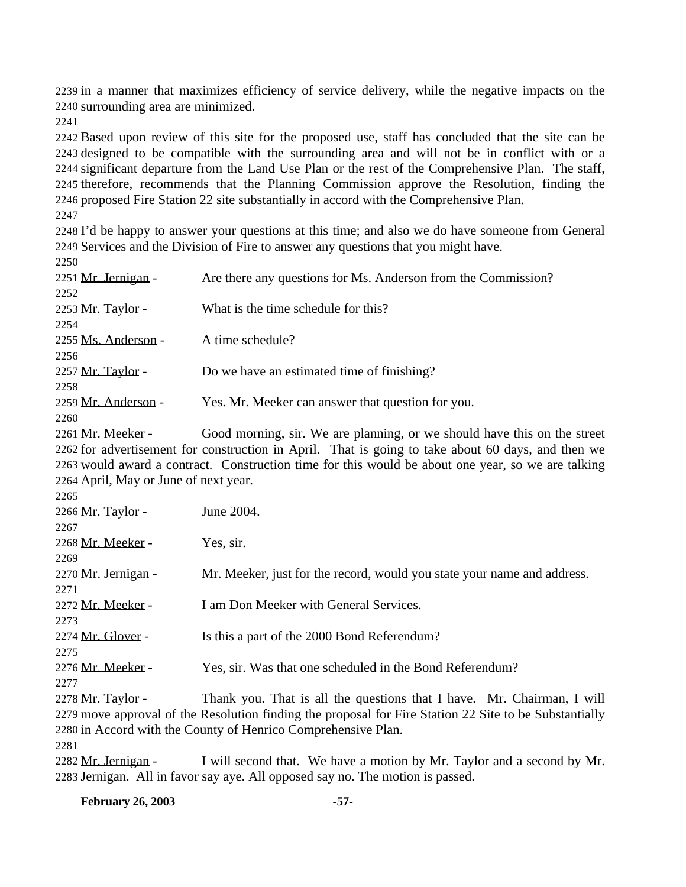in a manner that maximizes efficiency of service delivery, while the negative impacts on the surrounding area are minimized.

 Based upon review of this site for the proposed use, staff has concluded that the site can be designed to be compatible with the surrounding area and will not be in conflict with or a significant departure from the Land Use Plan or the rest of the Comprehensive Plan. The staff, therefore, recommends that the Planning Commission approve the Resolution, finding the proposed Fire Station 22 site substantially in accord with the Comprehensive Plan.

 I'd be happy to answer your questions at this time; and also we do have someone from General Services and the Division of Fire to answer any questions that you might have.

| Are there any questions for Ms. Anderson from the Commission? |
|---------------------------------------------------------------|
|                                                               |
| What is the time schedule for this?                           |
|                                                               |
| A time schedule?                                              |
|                                                               |
| Do we have an estimated time of finishing?                    |
|                                                               |
| Yes. Mr. Meeker can answer that question for you.             |
|                                                               |
|                                                               |

2261 Mr. Meeker - Good morning, sir. We are planning, or we should have this on the street for advertisement for construction in April. That is going to take about 60 days, and then we would award a contract. Construction time for this would be about one year, so we are talking April, May or June of next year.

| 2265                |                                                                                                        |
|---------------------|--------------------------------------------------------------------------------------------------------|
| 2266 Mr. Taylor -   | June 2004.                                                                                             |
| 2267                |                                                                                                        |
| 2268 Mr. Meeker -   | Yes, sir.                                                                                              |
| 2269                |                                                                                                        |
| 2270 Mr. Jernigan - | Mr. Meeker, just for the record, would you state your name and address.                                |
| 2271                |                                                                                                        |
| 2272 Mr. Meeker -   | I am Don Meeker with General Services.                                                                 |
| 2273                |                                                                                                        |
| 2274 Mr. Glover -   | Is this a part of the 2000 Bond Referendum?                                                            |
| 2275                |                                                                                                        |
| 2276 Mr. Meeker -   | Yes, sir. Was that one scheduled in the Bond Referendum?                                               |
| 2277                |                                                                                                        |
| 2278 Mr. Taylor -   | Thank you. That is all the questions that I have. Mr. Chairman, I will                                 |
|                     | 2279 move approval of the Resolution finding the proposal for Fire Station 22 Site to be Substantially |

in Accord with the County of Henrico Comprehensive Plan.

2282 Mr. Jernigan - I will second that. We have a motion by Mr. Taylor and a second by Mr. Jernigan. All in favor say aye. All opposed say no. The motion is passed.

**February 26, 2003 -57-**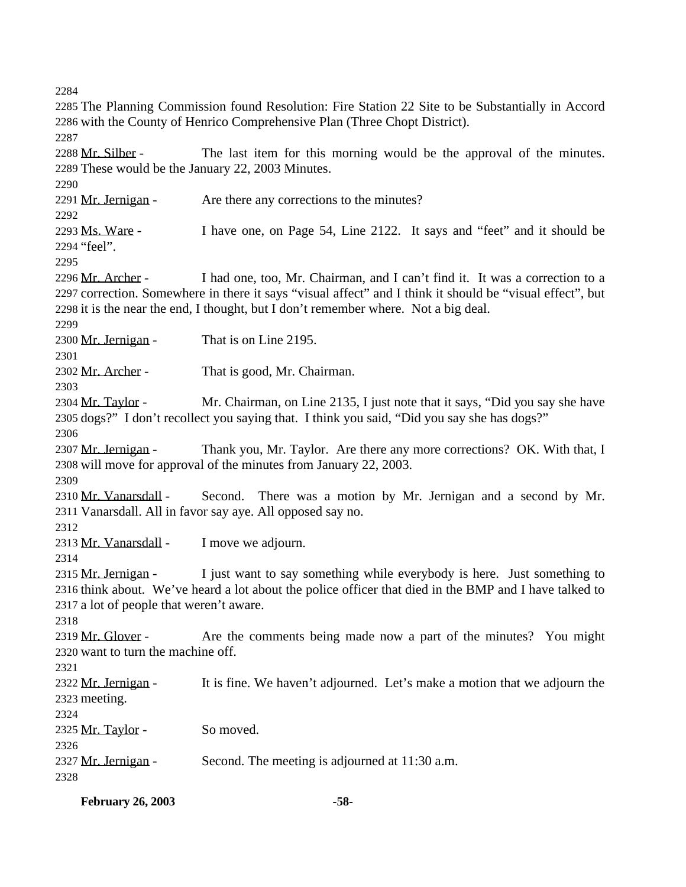The Planning Commission found Resolution: Fire Station 22 Site to be Substantially in Accord with the County of Henrico Comprehensive Plan (Three Chopt District). 2288 Mr. Silber - The last item for this morning would be the approval of the minutes. These would be the January 22, 2003 Minutes. 2291 Mr. Jernigan - Are there any corrections to the minutes? Ms. Ware - I have one, on Page 54, Line 2122. It says and "feet" and it should be "feel". Mr. Archer - I had one, too, Mr. Chairman, and I can't find it. It was a correction to a correction. Somewhere in there it says "visual affect" and I think it should be "visual effect", but it is the near the end, I thought, but I don't remember where. Not a big deal. 2300 Mr. Jernigan - That is on Line 2195. Mr. Archer - That is good, Mr. Chairman. Mr. Taylor - Mr. Chairman, on Line 2135, I just note that it says, "Did you say she have dogs?" I don't recollect you saying that. I think you said, "Did you say she has dogs?" 2307 Mr. Jernigan - Thank you, Mr. Taylor. Are there any more corrections? OK. With that, I will move for approval of the minutes from January 22, 2003. Mr. Vanarsdall - Second. There was a motion by Mr. Jernigan and a second by Mr. Vanarsdall. All in favor say aye. All opposed say no. 2313 Mr. Vanarsdall - I move we adjourn. 2315 Mr. Jernigan - I just want to say something while everybody is here. Just something to think about. We've heard a lot about the police officer that died in the BMP and I have talked to a lot of people that weren't aware. 2319 Mr. Glover - Are the comments being made now a part of the minutes? You might want to turn the machine off. 2322 Mr. Jernigan - It is fine. We haven't adjourned. Let's make a motion that we adjourn the meeting. 2325 Mr. Taylor - So moved. 2327 Mr. Jernigan - Second. The meeting is adjourned at 11:30 a.m. 

**February 26, 2003 -58-**